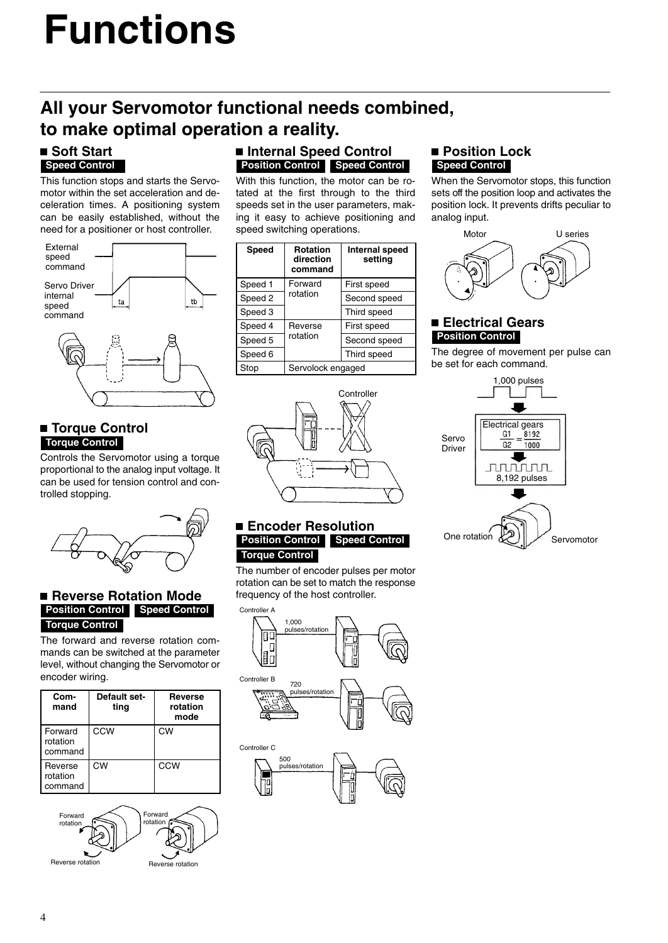# **Functions**

# **All your Servomotor functional needs combined, to make optimal operation a reality.**

#### **Soft Start Speed Control**

This function stops and starts the Servomotor within the set acceleration and deceleration times. A positioning system can be easily established, without the need for a positioner or host controller.



### **Torque Control Torque Control**

Controls the Servomotor using a torque proportional to the analog input voltage. It can be used for tension control and controlled stopping.



### **Reverse Rotation Mode Position Control Speed Control Torque Control**

The forward and reverse rotation commands can be switched at the parameter level, without changing the Servomotor or encoder wiring.

| Com-<br>mand                   | Default set-<br>ting | <b>Reverse</b><br>rotation<br>mode |
|--------------------------------|----------------------|------------------------------------|
| Forward<br>rotation<br>command | CCW                  | CW                                 |
| Reverse<br>rotation<br>command | СW                   | CCW                                |



### **Internal Speed Control Position Control Speed Control**

With this function, the motor can be rotated at the first through to the third speeds set in the user parameters, making it easy to achieve positioning and speed switching operations.

| Speed   | <b>Rotation</b><br>direction<br>command | <b>Internal speed</b><br>setting |  |
|---------|-----------------------------------------|----------------------------------|--|
| Speed 1 | Forward                                 | First speed                      |  |
| Speed 2 | rotation                                | Second speed                     |  |
| Speed 3 |                                         | Third speed                      |  |
| Speed 4 | Reverse                                 | First speed                      |  |
| Speed 5 | rotation                                | Second speed                     |  |
| Speed 6 |                                         | Third speed                      |  |
| Stop    | Servolock engaged                       |                                  |  |



### ■ Position Lock **Speed Control**

When the Servomotor stops, this function sets off the position loop and activates the position lock. It prevents drifts peculiar to analog input.



### **Electrical Gears Position Control**

The degree of movement per pulse can be set for each command.



#### **Encoder Resolution Position Control Speed Control Torque Control**

The number of encoder pulses per motor rotation can be set to match the response frequency of the host controller.



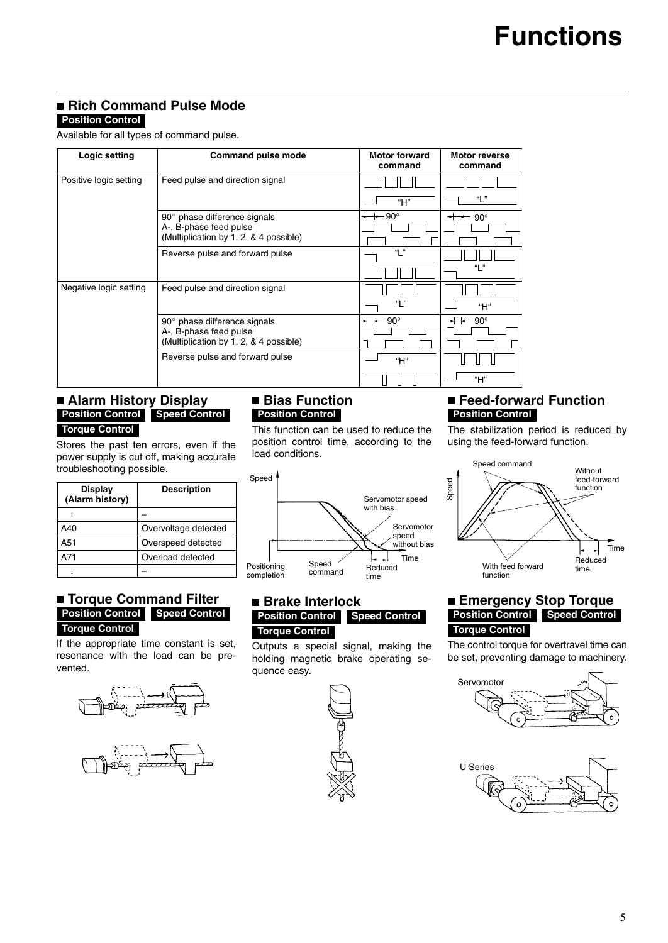#### **Rich Command Pulse Mode Position Control**

Available for all types of command pulse.

| Logic setting          | <b>Command pulse mode</b>                                     | <b>Motor forward</b><br>command | Motor reverse<br>command |
|------------------------|---------------------------------------------------------------|---------------------------------|--------------------------|
| Positive logic setting | Feed pulse and direction signal                               |                                 |                          |
|                        |                                                               | "H"                             | "L"                      |
|                        | $90^\circ$ phase difference signals<br>A-, B-phase feed pulse | $+$ 90 $^{\circ}$               | $+$ 90 $^{\circ}$        |
|                        | (Multiplication by 1, 2, & 4 possible)                        |                                 |                          |
|                        | Reverse pulse and forward pulse                               | "L"                             |                          |
|                        |                                                               |                                 | "I"                      |
| Negative logic setting | Feed pulse and direction signal                               |                                 |                          |
|                        |                                                               | "  "                            | "H"                      |
|                        | 90° phase difference signals<br>A-, B-phase feed pulse        | <del>-⊢⊢</del> 90°              | $+$ 90°                  |
|                        | (Multiplication by 1, 2, & 4 possible)                        |                                 |                          |
|                        | Reverse pulse and forward pulse                               | "H"                             |                          |
|                        |                                                               |                                 | H''''                    |

#### **Alarm History Display Position Control Speed Control Torque Control**

Stores the past ten errors, even if the power supply is cut off, making accurate troubleshooting possible.

| Display<br>(Alarm history) | <b>Description</b>   |
|----------------------------|----------------------|
|                            |                      |
| A40                        | Overvoltage detected |
| A51                        | Overspeed detected   |
| A71                        | Overload detected    |
|                            |                      |

#### **Torque Command Filter Position Control Speed Control Torque Control**

If the appropriate time constant is set, resonance with the load can be prevented.





### ■ Bias Function **Position Control**

This function can be used to reduce the position control time, according to the load conditions.



#### ■ Brake Interlock **Position Control Speed Control Torque Control**

Outputs a special signal, making the holding magnetic brake operating sequence easy.



### **Feed-forward Function Position Control**

The stabilization period is reduced by using the feed-forward function.



### **Emergency Stop Torque Position Control Speed Control Torque Control**

The control torque for overtravel time can be set, preventing damage to machinery.



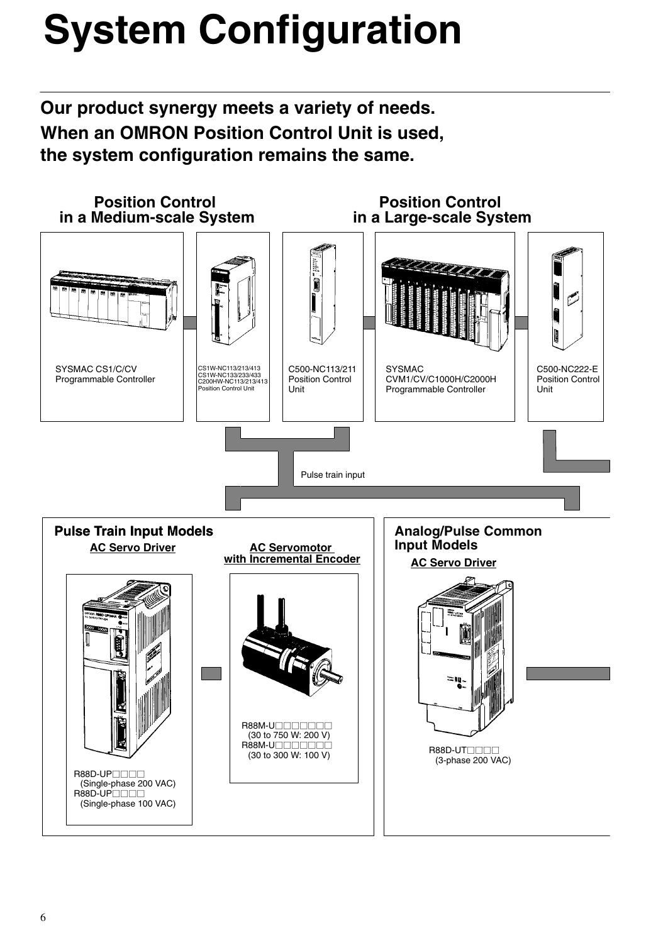# **System Configuration**

**Our product synergy meets a variety of needs. When an OMRON Position Control Unit is used, the system configuration remains the same.**

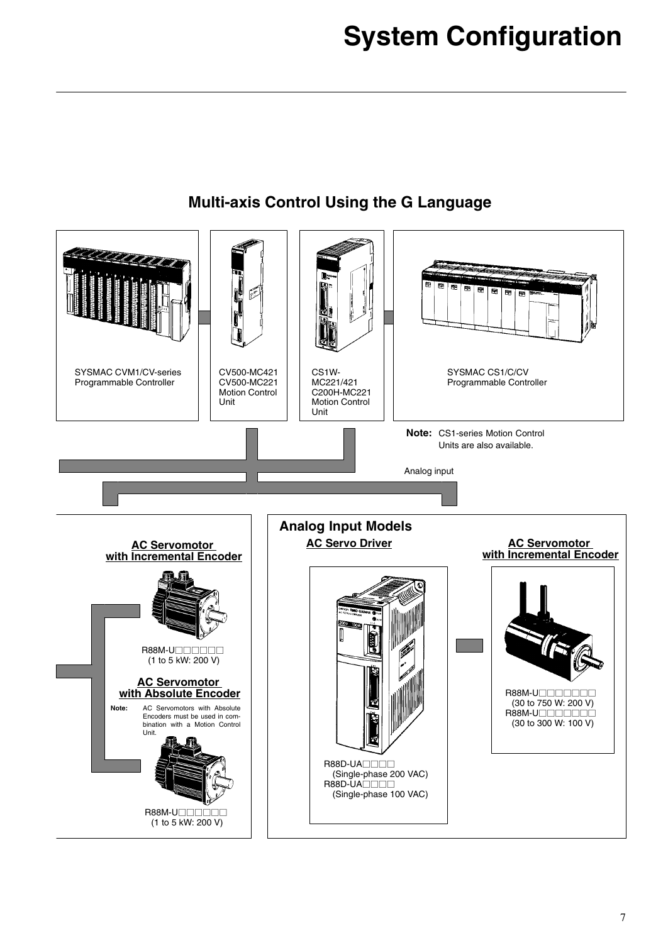

## **Multi-axis Control Using the G Language**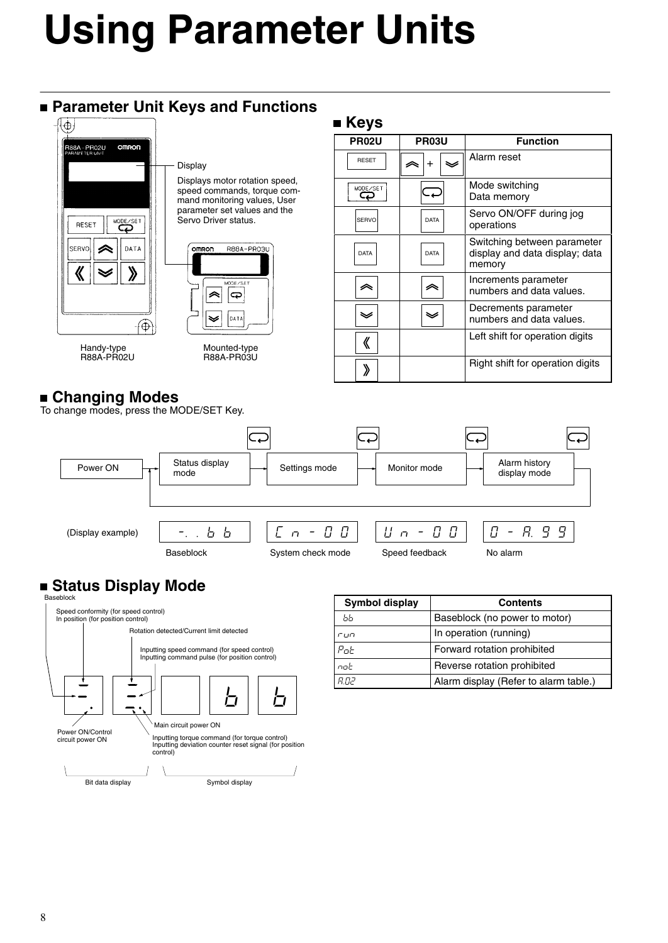# **Using Parameter Units**

### **Parameter Unit Keys and Functions**



Displays motor rotation speed, speed commands, torque command monitoring values, User parameter set values and the Servo Driver status.

# R88A-PRO3U **ODE/SB** |ಧ ldatz Mounted-type

R88A-PR03U

R88A-PR02U

### **Changing Modes**

To change modes, press the MODE/SET Key.

| <b>PR02U</b> | PR03U       |  | <b>Function</b>                                                         |
|--------------|-------------|--|-------------------------------------------------------------------------|
| <b>RESET</b> | $\ddot{}$   |  | Alarm reset                                                             |
| MODE/SET     |             |  | Mode switching<br>Data memory                                           |
| SERVO        | <b>DATA</b> |  | Servo ON/OFF during jog<br>operations                                   |
| <b>DATA</b>  | <b>DATA</b> |  | Switching between parameter<br>display and data display; data<br>memory |
| <i></i>      | ╱           |  | Increments parameter<br>numbers and data values.                        |
| ❤            |             |  | Decrements parameter<br>numbers and data values.                        |
| 《            |             |  | Left shift for operation digits                                         |
|              |             |  | Right shift for operation digits                                        |



 **Keys**

### **Status Display Mode**



| <b>Symbol display</b> | <b>Contents</b>                       |
|-----------------------|---------------------------------------|
| ЬЬ                    | Baseblock (no power to motor)         |
| 5117                  | In operation (running)                |
| $P$ o $t$             | Forward rotation prohibited           |
| nob                   | Reverse rotation prohibited           |
| הח ח                  | Alarm display (Refer to alarm table.) |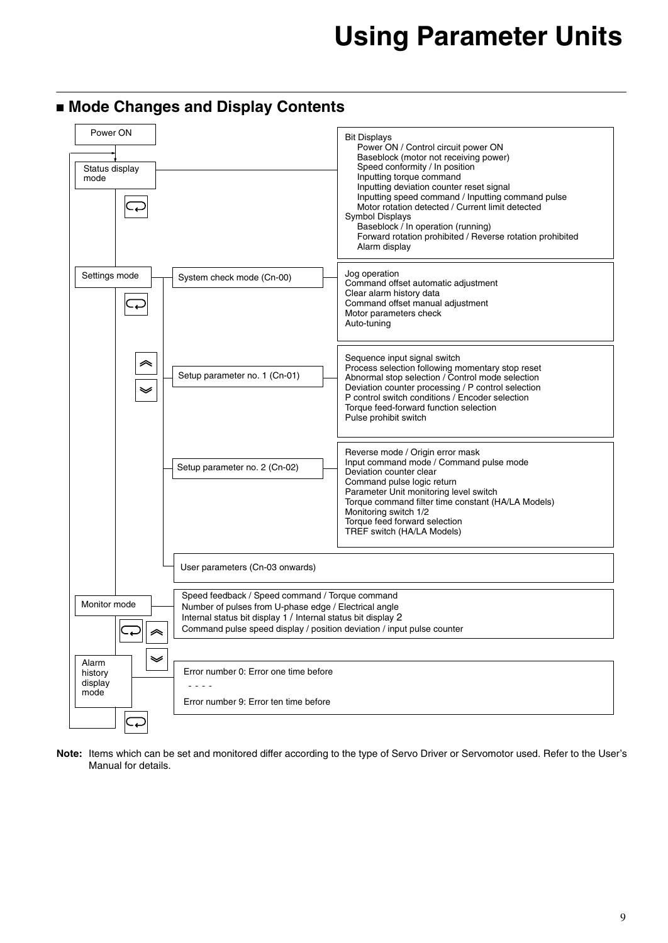### **Mode Changes and Display Contents**



**Note:** Items which can be set and monitored differ according to the type of Servo Driver or Servomotor used. Refer to the User's Manual for details.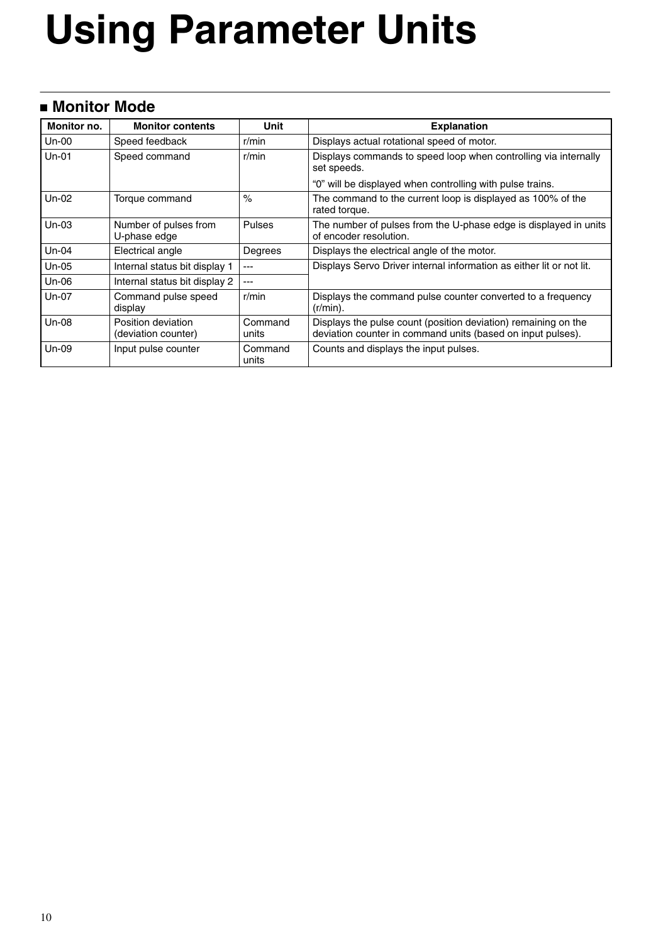# **Using Parameter Units**

### **Monitor Mode**

| Monitor no. | <b>Monitor contents</b>                   | Unit             | <b>Explanation</b>                                                                                                            |
|-------------|-------------------------------------------|------------------|-------------------------------------------------------------------------------------------------------------------------------|
| Un-00       | Speed feedback                            | r/min            | Displays actual rotational speed of motor.                                                                                    |
| $Un-01$     | Speed command                             | r/min            | Displays commands to speed loop when controlling via internally<br>set speeds.                                                |
|             |                                           |                  | "0" will be displayed when controlling with pulse trains.                                                                     |
| Un-02       | Torque command                            | $\%$             | The command to the current loop is displayed as 100% of the<br>rated torque.                                                  |
| $Un-03$     | Number of pulses from<br>U-phase edge     | Pulses           | The number of pulses from the U-phase edge is displayed in units<br>of encoder resolution.                                    |
| Un-04       | Electrical angle                          | Degrees          | Displays the electrical angle of the motor.                                                                                   |
| Un-05       | Internal status bit display 1             | ---              | Displays Servo Driver internal information as either lit or not lit.                                                          |
| Un-06       | Internal status bit display 2             | ---              |                                                                                                                               |
| Un-07       | Command pulse speed<br>display            | r/min            | Displays the command pulse counter converted to a frequency<br>$(r/min)$ .                                                    |
| Un-08       | Position deviation<br>(deviation counter) | Command<br>units | Displays the pulse count (position deviation) remaining on the<br>deviation counter in command units (based on input pulses). |
| Un-09       | Input pulse counter                       | Command<br>units | Counts and displays the input pulses.                                                                                         |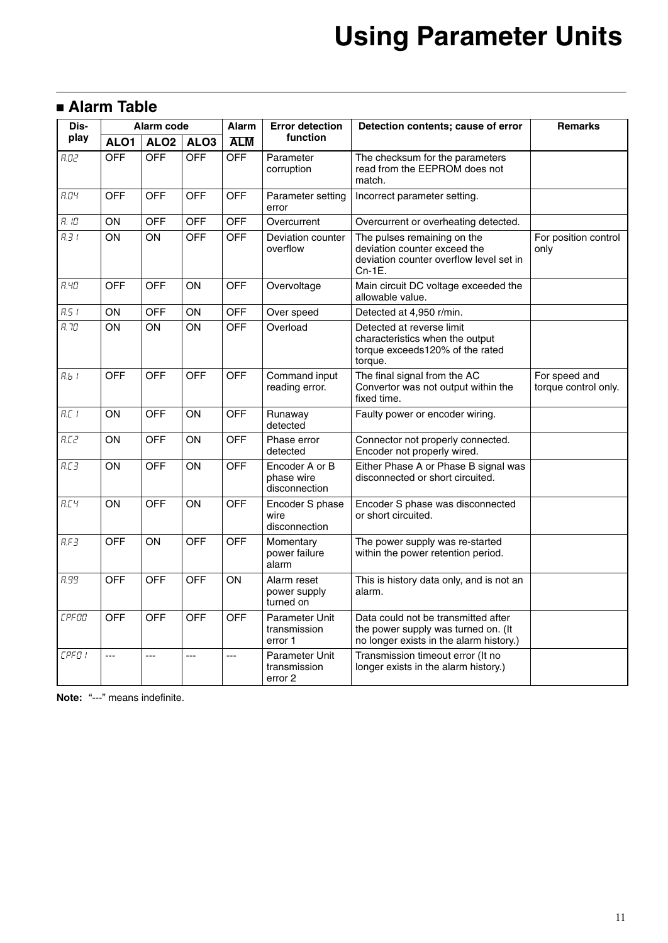# **Using Parameter Units**

### **Alarm Table**

| Dis-          | Alarm code |                  | Alarm            | <b>Error detection</b> | Detection contents; cause of error            | <b>Remarks</b>                                                                                                        |                                       |
|---------------|------------|------------------|------------------|------------------------|-----------------------------------------------|-----------------------------------------------------------------------------------------------------------------------|---------------------------------------|
| play          | ALO1       | ALO <sub>2</sub> | ALO <sub>3</sub> | <b>ALM</b>             | function                                      |                                                                                                                       |                                       |
| R.B2          | <b>OFF</b> | <b>OFF</b>       | <b>OFF</b>       | <b>OFF</b>             | Parameter<br>corruption                       | The checksum for the parameters<br>read from the EEPROM does not<br>match.                                            |                                       |
| R.DY          | <b>OFF</b> | <b>OFF</b>       | <b>OFF</b>       | <b>OFF</b>             | Parameter setting<br>error                    | Incorrect parameter setting.                                                                                          |                                       |
| $R.$ $lD$     | ON         | <b>OFF</b>       | <b>OFF</b>       | <b>OFF</b>             | Overcurrent                                   | Overcurrent or overheating detected.                                                                                  |                                       |
| $R \exists t$ | ON         | ON               | <b>OFF</b>       | <b>OFF</b>             | Deviation counter<br>overflow                 | The pulses remaining on the<br>deviation counter exceed the<br>deviation counter overflow level set in<br>$Cn-1E$ .   | For position control<br>only          |
| <b>R.YO</b>   | <b>OFF</b> | <b>OFF</b>       | ON               | <b>OFF</b>             | Overvoltage                                   | Main circuit DC voltage exceeded the<br>allowable value.                                                              |                                       |
| R.51          | ON         | <b>OFF</b>       | ON               | <b>OFF</b>             | Over speed                                    | Detected at 4,950 r/min.                                                                                              |                                       |
| R, 7D         | ON         | ON               | ON               | <b>OFF</b>             | Overload                                      | Detected at reverse limit<br>characteristics when the output<br>torque exceeds120% of the rated<br>torque.            |                                       |
| R.b.1         | <b>OFF</b> | <b>OFF</b>       | <b>OFF</b>       | <b>OFF</b>             | Command input<br>reading error.               | The final signal from the AC<br>Convertor was not output within the<br>fixed time.                                    | For speed and<br>torque control only. |
| R.E.1         | ON         | OFF              | ON               | OFF                    | Runaway<br>detected                           | Faulty power or encoder wiring.                                                                                       |                                       |
| R.C2          | ON         | <b>OFF</b>       | ON               | <b>OFF</b>             | Phase error<br>detected                       | Connector not properly connected.<br>Encoder not properly wired.                                                      |                                       |
| R.E3          | ON         | <b>OFF</b>       | ON               | <b>OFF</b>             | Encoder A or B<br>phase wire<br>disconnection | Either Phase A or Phase B signal was<br>disconnected or short circuited.                                              |                                       |
| R.E4          | ON         | <b>OFF</b>       | ON               | <b>OFF</b>             | Encoder S phase<br>wire<br>disconnection      | Encoder S phase was disconnected<br>or short circuited.                                                               |                                       |
| R.FJ          | <b>OFF</b> | ON               | <b>OFF</b>       | <b>OFF</b>             | Momentary<br>power failure<br>alarm           | The power supply was re-started<br>within the power retention period.                                                 |                                       |
| <b>R.99</b>   | <b>OFF</b> | <b>OFF</b>       | <b>OFF</b>       | ON                     | Alarm reset<br>power supply<br>turned on      | This is history data only, and is not an<br>alarm.                                                                    |                                       |
| <b>CPFOO</b>  | <b>OFF</b> | <b>OFF</b>       | <b>OFF</b>       | <b>OFF</b>             | Parameter Unit<br>transmission<br>error 1     | Data could not be transmitted after<br>the power supply was turned on. (It<br>no longer exists in the alarm history.) |                                       |
| <b>CPFOI</b>  | $---$      | ---              | ---              | ---                    | Parameter Unit<br>transmission<br>error 2     | Transmission timeout error (It no<br>longer exists in the alarm history.)                                             |                                       |

**Note:** "---" means indefinite.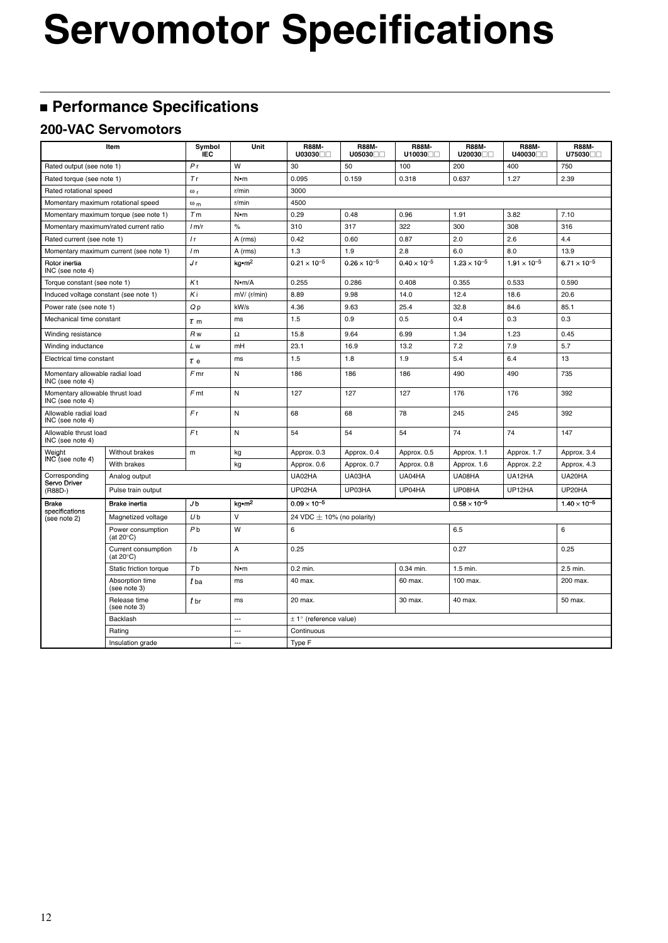# **Servomotor Specifications**

## **Performance Specifications**

### **200-VAC Servomotors**

| Item                                                |                                            | Symbol<br><b>IEC</b>  | Unit                 | <b>R88M-</b><br>U03030 <sub>0</sub> | <b>R88M-</b><br>U05030 | <b>R88M-</b><br>U10030 | <b>R88M-</b><br>U20030 | <b>R88M-</b><br>U40030□□ | <b>R88M-</b><br>U75030 |  |
|-----------------------------------------------------|--------------------------------------------|-----------------------|----------------------|-------------------------------------|------------------------|------------------------|------------------------|--------------------------|------------------------|--|
| Rated output (see note 1)                           |                                            | P <sub>r</sub>        | W                    | 30                                  | 50                     | 100                    | 200                    | 400                      | 750                    |  |
| Rated torque (see note 1)                           |                                            | Tr                    | N•m                  | 0.095                               | 0.159                  | 0.318                  | 0.637                  | 1.27                     | 2.39                   |  |
| Rated rotational speed                              |                                            | $\omega_r$            | r/min                | 3000                                |                        |                        |                        |                          |                        |  |
| Momentary maximum rotational speed                  |                                            | $\omega$ <sub>m</sub> | r/min                | 4500                                |                        |                        |                        |                          |                        |  |
|                                                     | Momentary maximum torque (see note 1)      | T <sub>m</sub>        | N•m                  | 0.29                                | 0.48                   | 0.96                   | 1.91                   | 3.82                     | 7.10                   |  |
| Momentary maximum/rated current ratio               |                                            | 1 <sub>m</sub>        | $\%$                 | 310                                 | 317                    | 322                    | 300                    | 308                      | 316                    |  |
| Rated current (see note 1)                          |                                            | l r                   | A (rms)              | 0.42                                | 0.60                   | 0.87                   | 2.0                    | 2.6                      | 4.4                    |  |
|                                                     | Momentary maximum current (see note 1)     | /m                    | A (rms)              | 1.3                                 | 1.9                    | 2.8                    | 6.0                    | 8.0                      | 13.9                   |  |
| Rotor inertia<br>INC (see note 4)                   |                                            | Jr                    | $kg$ -m <sup>2</sup> | $0.21 \times 10^{-5}$               | $0.26 \times 10^{-5}$  | $0.40 \times 10^{-5}$  | $1.23 \times 10^{-5}$  | $1.91 \times 10^{-5}$    | $6.71 \times 10^{-5}$  |  |
| Torque constant (see note 1)                        |                                            | Kt                    | N•m/A                | 0.255                               | 0.286                  | 0.408                  | 0.355                  | 0.533                    | 0.590                  |  |
| Induced voltage constant (see note 1)               |                                            | Κi                    | $mV/$ (r/min)        | 8.89                                | 9.98                   | 14.0                   | 12.4                   | 18.6                     | 20.6                   |  |
| Power rate (see note 1)                             |                                            | Qp                    | kW/s                 | 4.36                                | 9.63                   | 25.4                   | 32.8                   | 84.6                     | 85.1                   |  |
| Mechanical time constant                            |                                            | $\tau$ m              | ms                   | 1.5                                 | 0.9                    | 0.5                    | 0.4                    | 0.3                      | 0.3                    |  |
| Winding resistance                                  |                                            | R <sub>w</sub>        | $\Omega$             | 15.8                                | 9.64                   | 6.99                   | 1.34                   | 1.23                     | 0.45                   |  |
| Winding inductance                                  |                                            | L w                   | mH                   | 23.1                                | 16.9                   | 13.2                   | 7.2                    | 7.9                      | 5.7                    |  |
| Electrical time constant                            |                                            | $\tau$ e              | ms                   | 1.5                                 | 1.8                    | 1.9                    | 5.4                    | 6.4                      | 13                     |  |
| Momentary allowable radial load<br>INC (see note 4) |                                            | $F$ mr                | N                    | 186                                 | 186                    | 186                    | 490                    | 490                      | 735                    |  |
| Momentary allowable thrust load<br>INC (see note 4) |                                            | F <sub>mt</sub>       | N                    | 127                                 | 127                    | 127                    | 176                    | 176                      | 392                    |  |
| Allowable radial load<br>INC (see note 4)           |                                            | Fr                    | N                    | 68                                  | 68                     | 78                     | 245                    | 245                      | 392                    |  |
| Allowable thrust load<br>INC (see note 4)           |                                            | F <sub>t</sub>        | N                    | 54                                  | 54                     | 54                     | 74                     | 74                       | 147                    |  |
| Weight                                              | <b>Without brakes</b>                      | m                     | kg                   | Approx. 0.3                         | Approx. 0.4            | Approx. 0.5            | Approx. 1.1            | Approx. 1.7              | Approx. 3.4            |  |
| INC (see note 4)                                    | With brakes                                |                       | kg                   | Approx. 0.6                         | Approx. 0.7            | Approx. 0.8            | Approx. 1.6            | Approx. 2.2              | Approx. 4.3            |  |
| Corresponding<br>Servo Driver                       | Analog output                              |                       |                      | UA02HA                              | UA03HA                 | UA04HA                 | UA08HA                 | UA12HA                   | UA20HA                 |  |
| (R88D-)                                             | Pulse train output                         |                       |                      | UP02HA                              | UP03HA                 | UP04HA                 | UP08HA                 | UP12HA                   | UP20HA                 |  |
| <b>Brake</b><br>specifications                      | Brake inertia                              | Jb                    | kg•m <sup>2</sup>    | $0.09 \times 10^{-5}$               |                        |                        | $0.58 \times 10^{-5}$  |                          | $1.40 \times 10^{-5}$  |  |
| (see note 2)                                        | Magnetized voltage                         | U <sub>b</sub>        | $\vee$               | 24 VDC $\pm$ 10% (no polarity)      |                        |                        |                        |                          |                        |  |
|                                                     | Power consumption<br>(at $20^{\circ}$ C)   | P <sub>b</sub>        | W                    | 6                                   |                        |                        | 6.5                    |                          | 6                      |  |
|                                                     | Current consumption<br>(at $20^{\circ}$ C) | 1 <sub>b</sub>        | A                    | 0.25                                |                        |                        | 0.27                   |                          | 0.25                   |  |
|                                                     | Static friction torque                     | T <sub>b</sub>        | N•m                  | 0.2 min.                            |                        | 0.34 min.              | 1.5 min.               |                          | 2.5 min.               |  |
|                                                     | Absorption time<br>(see note 3)            | t ba                  | ms                   | 40 max.                             |                        | 60 max.                | 100 max.               |                          | 200 max.               |  |
|                                                     | Release time<br>(see note 3)               | $t_{\rm br}$          | ms                   | 20 max.                             |                        | 30 max.                | 40 max.                |                          | 50 max.                |  |
|                                                     | Backlash                                   |                       | $\overline{a}$       | $\pm$ 1° (reference value)          |                        |                        |                        |                          |                        |  |
|                                                     | Rating                                     |                       | ---                  | Continuous                          |                        |                        |                        |                          |                        |  |
| Insulation grade                                    |                                            |                       | ---                  | Type F                              |                        |                        |                        |                          |                        |  |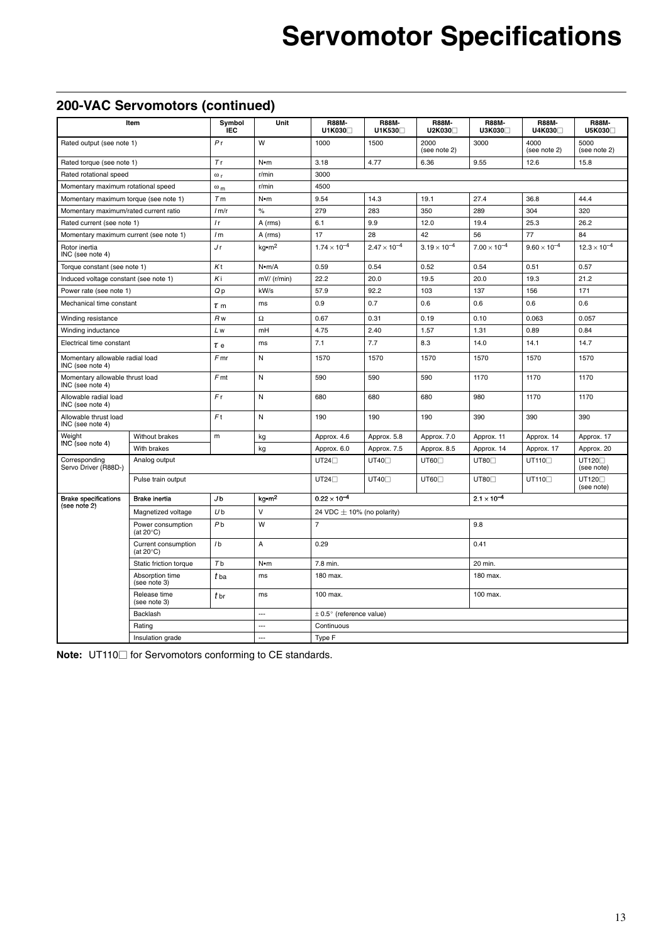# **Servomotor Specifications**

### **200-VAC Servomotors (continued)**

| Item                                                |                                            | Symbol<br><b>IEC</b> | Unit                 | <b>R88M-</b><br>U1K030 <sup>1</sup> | <b>R88M-</b><br>U1K530□ | <b>R88M-</b><br>U2K030□ | <b>R88M-</b><br>U3K030□ | <b>R88M-</b><br>U4K030□ | <b>R88M-</b><br>U5K030            |
|-----------------------------------------------------|--------------------------------------------|----------------------|----------------------|-------------------------------------|-------------------------|-------------------------|-------------------------|-------------------------|-----------------------------------|
| Rated output (see note 1)                           |                                            | P <sub>r</sub>       | W                    | 1000                                | 1500                    | 2000<br>(see note 2)    | 3000                    | 4000<br>(see note 2)    | 5000<br>(see note 2)              |
| Rated torque (see note 1)                           |                                            | Tr                   | $N \cdot m$          | 3.18                                | 4.77                    | 6.36                    | 9.55                    | 12.6                    | 15.8                              |
| Rated rotational speed                              |                                            | $\omega_r$           | r/min                | 3000                                |                         |                         |                         |                         |                                   |
| Momentary maximum rotational speed                  |                                            | $\omega_{\rm m}$     | r/min                | 4500                                |                         |                         |                         |                         |                                   |
| Momentary maximum torque (see note 1)               |                                            | Tm                   | $N \cdot m$          | 9.54                                | 14.3                    | 19.1                    | 27.4                    | 36.8                    | 44.4                              |
| Momentary maximum/rated current ratio               |                                            | 1 m/r                | $\%$                 | 279                                 | 283                     | 350                     | 289                     | 304                     | 320                               |
| Rated current (see note 1)                          |                                            | l r                  | A (rms)              | 6.1                                 | 9.9                     | 12.0                    | 19.4                    | 25.3                    | 26.2                              |
| Momentary maximum current (see note 1)              |                                            | 1 <sub>m</sub>       | A (rms)              | 17                                  | 28                      | 42                      | 56                      | 77                      | 84                                |
| Rotor inertia<br>INC (see note 4)                   |                                            | J r                  | $kq$ -m <sup>2</sup> | $1.74 \times 10^{-4}$               | $2.47 \times 10^{-4}$   | $3.19 \times 10^{-4}$   | $7.00 \times 10^{-4}$   | $9.60 \times 10^{-4}$   | $12.3 \times 10^{-4}$             |
| Torque constant (see note 1)                        |                                            | Kt                   | N•m/A                | 0.59                                | 0.54                    | 0.52                    | 0.54                    | 0.51                    | 0.57                              |
| Induced voltage constant (see note 1)               |                                            | Κi                   | $mV/$ (r/min)        | 22.2                                | 20.0                    | 19.5                    | 20.0                    | 19.3                    | 21.2                              |
| Power rate (see note 1)                             |                                            | Qp                   | kW/s                 | 57.9                                | 92.2                    | 103                     | 137                     | 156                     | 171                               |
| Mechanical time constant                            |                                            | $\tau$ m             | ms                   | 0.9                                 | 0.7                     | 0.6                     | 0.6                     | 0.6                     | 0.6                               |
| Winding resistance                                  |                                            | R <sub>w</sub>       | $\Omega$             | 0.67                                | 0.31                    | 0.19                    | 0.10                    | 0.063                   | 0.057                             |
| Winding inductance                                  |                                            | L w                  | mH                   | 4.75                                | 2.40                    | 1.57                    | 1.31                    | 0.89                    | 0.84                              |
| Electrical time constant                            |                                            | $\tau$ e             | ms                   | 7.1                                 | 7.7                     | 8.3                     | 14.0                    | 14.1                    | 14.7                              |
| Momentary allowable radial load<br>INC (see note 4) |                                            | $F$ mr               | N                    | 1570                                | 1570                    | 1570                    | 1570                    | 1570                    | 1570                              |
| Momentary allowable thrust load<br>INC (see note 4) |                                            | F <sub>mt</sub>      | ${\sf N}$            | 590                                 | 590                     | 590                     | 1170                    | 1170                    | 1170                              |
| Allowable radial load<br>INC (see note 4)           |                                            | Fr                   | N                    | 680                                 | 680                     | 680                     | 980                     | 1170                    | 1170                              |
| Allowable thrust load<br>INC (see note 4)           |                                            | F <sub>t</sub>       | N                    | 190                                 | 190                     | 190                     | 390                     | 390                     | 390                               |
| Weight                                              | Without brakes                             | m                    | kg                   | Approx. 4.6                         | Approx. 5.8             | Approx. 7.0             | Approx. 11              | Approx. 14              | Approx. 17                        |
| INC (see note 4)                                    | With brakes                                |                      | kg                   | Approx. 6.0                         | Approx. 7.5             | Approx. 8.5             | Approx. 14              | Approx. 17              | Approx. 20                        |
| Corresponding<br>Servo Driver (R88D-)               | Analog output                              |                      |                      | UT24                                | UT40 <sup>[1]</sup>     | UT60                    | UT80 <sub>[]</sub>      | UT110                   | UT120 <sub>[]</sub><br>(see note) |
|                                                     | Pulse train output                         |                      |                      | $UT24\square$                       | UT40 <sup>[]</sup>      | UT60 <sub>[1</sub>      | UT80 <sup>[]</sup>      | UT110                   | UT120 <sub>D</sub><br>(see note)  |
| <b>Brake specifications</b>                         | <b>Brake</b> inertia                       | J <sub>b</sub>       | kg•m <sup>2</sup>    | $0.22 \times 10^{-4}$               |                         |                         | $2.1 \times 10^{-4}$    |                         |                                   |
| (see note 2)                                        | Magnetized voltage                         | U <sub>b</sub>       | V                    | 24 VDC $\pm$ 10% (no polarity)      |                         |                         |                         |                         |                                   |
|                                                     | Power consumption<br>(at $20^{\circ}$ C)   | P <sub>b</sub>       | W                    | $\overline{7}$                      |                         |                         | 9.8                     |                         |                                   |
|                                                     | Current consumption<br>(at $20^{\circ}$ C) | 1 <sub>b</sub>       | A                    | 0.29                                |                         |                         | 0.41                    |                         |                                   |
|                                                     | Static friction torque                     | Tb                   | $N \cdot m$          | 7.8 min.                            |                         |                         | 20 min.                 |                         |                                   |
| Absorption time<br>(see note 3)                     |                                            | t ba                 | ms                   | 180 max.                            |                         |                         | 180 max.                |                         |                                   |
|                                                     | Release time<br>(see note 3)               |                      | ms                   | 100 max.                            |                         |                         | 100 max.                |                         |                                   |
|                                                     | Backlash                                   |                      | ---                  | $\pm$ 0.5° (reference value)        |                         |                         |                         |                         |                                   |
|                                                     | Rating                                     |                      | ---                  | Continuous                          |                         |                         |                         |                         |                                   |
|                                                     | Insulation grade                           |                      | ---                  | Type F                              |                         |                         |                         |                         |                                   |

**Note:** UT110□ for Servomotors conforming to CE standards.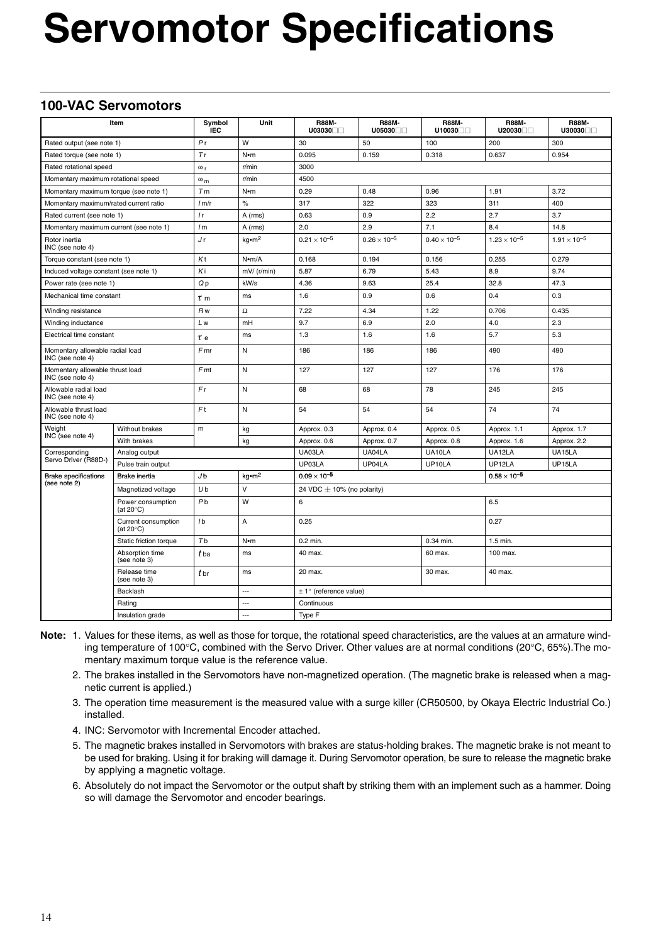# **Servomotor Specifications**

### **100-VAC Servomotors**

| Item                                                |                                            | Symbol<br><b>IEC</b> | Unit                        | <b>R88M-</b><br>U03030         | <b>R88M-</b><br>U05030           | <b>R88M-</b><br>U10030 | <b>R88M-</b><br>U20030 | <b>R88M-</b><br>U30030□□ |  |  |
|-----------------------------------------------------|--------------------------------------------|----------------------|-----------------------------|--------------------------------|----------------------------------|------------------------|------------------------|--------------------------|--|--|
| Rated output (see note 1)                           |                                            | Pr                   | W                           | 30                             | 50                               | 100                    | 200                    | 300                      |  |  |
| Rated torque (see note 1)                           |                                            | Tr                   | N•m                         | 0.095                          | 0.318<br>0.954<br>0.159<br>0.637 |                        |                        |                          |  |  |
| Rated rotational speed                              |                                            | $\omega_r$           | r/min                       | 3000                           |                                  |                        |                        |                          |  |  |
| Momentary maximum rotational speed                  |                                            | $\omega_m$           | r/min                       | 4500                           |                                  |                        |                        |                          |  |  |
| Momentary maximum torque (see note 1)               |                                            | T <sub>m</sub>       | $N \cdot m$                 | 0.29                           | 0.48                             | 0.96                   | 1.91                   | 3.72                     |  |  |
| Momentary maximum/rated current ratio               |                                            | 1 <sub>m</sub>       | $\%$                        | 317                            | 322                              | 323                    | 311                    | 400                      |  |  |
| Rated current (see note 1)                          |                                            | l <sub>r</sub>       | A (rms)                     | 0.63                           | 0.9                              | 2.2                    | 2.7                    | 3.7                      |  |  |
| Momentary maximum current (see note 1)              |                                            | 1 <sub>m</sub>       | A (rms)                     | 2.0                            | 2.9                              | 7.1                    | 8.4                    | 14.8                     |  |  |
| Rotor inertia<br>INC (see note 4)                   |                                            | Jr                   | $kq$ $\cdot$ m <sup>2</sup> | $0.21 \times 10^{-5}$          | $0.26 \times 10^{-5}$            | $0.40 \times 10^{-5}$  | $1.23 \times 10^{-5}$  | $1.91 \times 10^{-5}$    |  |  |
| Torque constant (see note 1)                        |                                            | Kt                   | $N$ •m/A                    | 0.168                          | 0.194                            | 0.156                  | 0.255                  | 0.279                    |  |  |
| Induced voltage constant (see note 1)               |                                            | Κi                   | $mV/$ (r/min)               | 5.87                           | 6.79                             | 5.43                   | 8.9                    | 9.74                     |  |  |
| Power rate (see note 1)                             |                                            | Qp                   | kW/s                        | 4.36                           | 9.63                             | 25.4                   | 32.8                   | 47.3                     |  |  |
| Mechanical time constant                            |                                            | $\tau$ m             | ms                          | 1.6                            | 0.9                              | 0.6                    | 0.4                    | 0.3                      |  |  |
| Winding resistance                                  |                                            | R <sub>w</sub>       | $\Omega$                    | 7.22                           | 4.34                             | 1.22                   | 0.706                  | 0.435                    |  |  |
| Winding inductance                                  |                                            | L w                  | mH                          | 9.7                            | 6.9                              | 2.0                    | 4.0                    | 2.3                      |  |  |
| Electrical time constant                            |                                            | $\tau$ e             | ms                          | 1.3                            | 1.6                              | 1.6                    | 5.7                    | 5.3                      |  |  |
| Momentary allowable radial load<br>INC (see note 4) |                                            | Fmr                  | Ν                           | 186                            | 186                              | 186                    | 490                    | 490                      |  |  |
| Momentary allowable thrust load<br>INC (see note 4) |                                            | Fmt                  | N                           | 127                            | 127                              | 127                    | 176                    | 176                      |  |  |
| Allowable radial load<br>INC (see note 4)           |                                            | Fr                   | N                           | 68                             | 68                               | 78                     | 245                    | 245                      |  |  |
| Allowable thrust load<br>INC (see note 4)           |                                            | F <sub>t</sub>       | N                           | 54                             | 54                               | 54                     | 74                     | 74                       |  |  |
| Weight                                              | Without brakes                             | m                    | kg                          | Approx. 0.3                    | Approx. 0.4                      | Approx. 0.5            | Approx. 1.1            | Approx. 1.7              |  |  |
| INC (see note 4)                                    | With brakes                                |                      | kg                          | Approx. 0.6                    | Approx. 0.7                      | Approx. 0.8            | Approx. 1.6            | Approx. 2.2              |  |  |
| Corresponding                                       | Analog output                              |                      |                             | UA03LA                         | UA04LA                           | UA10LA                 | UA12LA                 | UA15LA                   |  |  |
| Servo Driver (R88D-)                                | Pulse train output                         |                      |                             | UP03LA                         | UP04LA                           | UP10LA                 | UP12LA                 | UP15LA                   |  |  |
| <b>Brake specifications</b><br>(see note 2)         | Brake inertia                              | J <sub>b</sub>       | kg•m <sup>2</sup>           | $0.09 \times 10^{-5}$          |                                  |                        | $0.58 \times 10^{-5}$  |                          |  |  |
|                                                     | Magnetized voltage                         | U <sub>b</sub>       | $\vee$                      | 24 VDC $\pm$ 10% (no polarity) |                                  |                        |                        |                          |  |  |
|                                                     | Power consumption<br>(at $20^{\circ}$ C)   | P <sub>b</sub>       | W                           | 6                              |                                  |                        | 6.5                    |                          |  |  |
|                                                     | Current consumption<br>(at $20^{\circ}$ C) | 1 <sub>b</sub>       | А                           | 0.25                           |                                  |                        | 0.27                   |                          |  |  |
|                                                     | Static friction torque                     | T <sub>b</sub>       | N•m                         | $0.2$ min.                     |                                  | 0.34 min.              | 1.5 min.               |                          |  |  |
|                                                     | Absorption time<br>(see note 3)            | t ba                 | ms                          | 40 max.                        |                                  | 60 max.                | 100 max.               |                          |  |  |
|                                                     | Release time<br>(see note 3)               | t br                 | ms                          | 20 max.                        |                                  | 30 max.                | 40 max.                |                          |  |  |
|                                                     | Backlash                                   |                      | $\overline{\phantom{a}}$    | $\pm$ 1° (reference value)     |                                  |                        |                        |                          |  |  |
|                                                     | Rating                                     |                      | $\overline{\phantom{a}}$    | Continuous                     |                                  |                        |                        |                          |  |  |
| Insulation grade                                    |                                            |                      | $\overline{a}$              | Type F                         |                                  |                        |                        |                          |  |  |

- **Note:** 1. Values for these items, as well as those for torque, the rotational speed characteristics, are the values at an armature winding temperature of 100°C, combined with the Servo Driver. Other values are at normal conditions (20°C, 65%).The momentary maximum torque value is the reference value.
	- 2. The brakes installed in the Servomotors have non-magnetized operation. (The magnetic brake is released when a magnetic current is applied.)
	- 3. The operation time measurement is the measured value with a surge killer (CR50500, by Okaya Electric Industrial Co.) installed.
	- 4. INC: Servomotor with Incremental Encoder attached.
	- 5. The magnetic brakes installed in Servomotors with brakes are status-holding brakes. The magnetic brake is not meant to be used for braking. Using it for braking will damage it. During Servomotor operation, be sure to release the magnetic brake by applying a magnetic voltage.
	- 6. Absolutely do not impact the Servomotor or the output shaft by striking them with an implement such as a hammer. Doing so will damage the Servomotor and encoder bearings.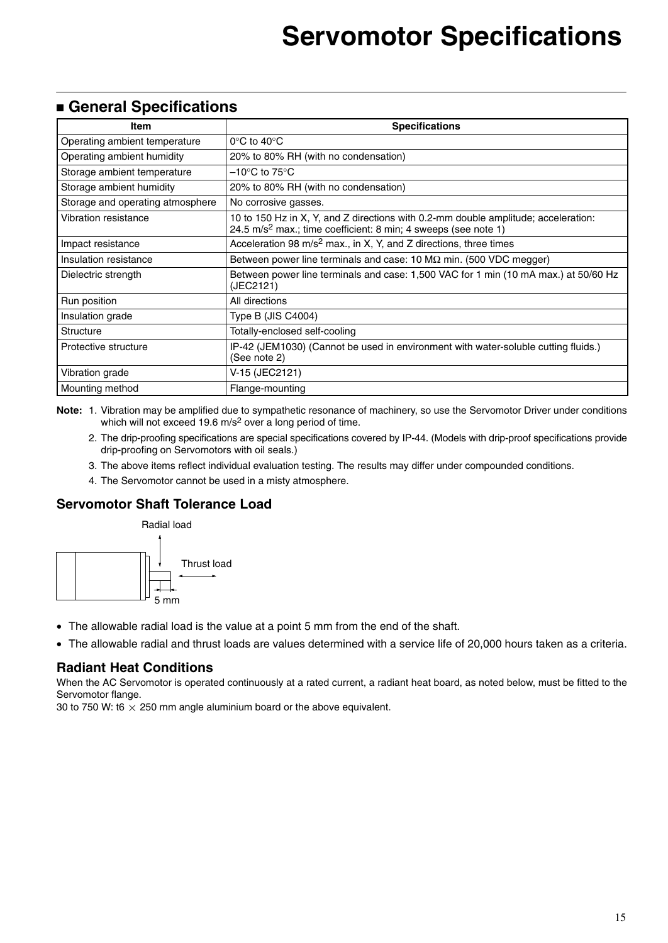### **General Specifications**

| Item                             | <b>Specifications</b>                                                                                                                                            |
|----------------------------------|------------------------------------------------------------------------------------------------------------------------------------------------------------------|
| Operating ambient temperature    | $0^{\circ}$ C to 40 $^{\circ}$ C                                                                                                                                 |
| Operating ambient humidity       | 20% to 80% RH (with no condensation)                                                                                                                             |
| Storage ambient temperature      | –10°C to 75°C.                                                                                                                                                   |
| Storage ambient humidity         | 20% to 80% RH (with no condensation)                                                                                                                             |
| Storage and operating atmosphere | No corrosive gasses.                                                                                                                                             |
| Vibration resistance             | 10 to 150 Hz in X, Y, and Z directions with 0.2-mm double amplitude; acceleration:<br>24.5 m/s <sup>2</sup> max.; time coefficient: 8 min; 4 sweeps (see note 1) |
| Impact resistance                | Acceleration 98 $m/s^2$ max., in X, Y, and Z directions, three times                                                                                             |
| Insulation resistance            | Between power line terminals and case: 10 $M\Omega$ min. (500 VDC megger)                                                                                        |
| Dielectric strength              | Between power line terminals and case: 1,500 VAC for 1 min (10 mA max.) at 50/60 Hz<br>(JEC2121)                                                                 |
| Run position                     | All directions                                                                                                                                                   |
| Insulation grade                 | Type B (JIS C4004)                                                                                                                                               |
| <b>Structure</b>                 | Totally-enclosed self-cooling                                                                                                                                    |
| Protective structure             | IP-42 (JEM1030) (Cannot be used in environment with water-soluble cutting fluids.)<br>(See note 2)                                                               |
| Vibration grade                  | V-15 (JEC2121)                                                                                                                                                   |
| Mounting method                  | Flange-mounting                                                                                                                                                  |

**Note:** 1. Vibration may be amplified due to sympathetic resonance of machinery, so use the Servomotor Driver under conditions which will not exceed 19.6 m/s<sup>2</sup> over a long period of time.

- 2. The drip-proofing specifications are special specifications covered by IP-44. (Models with drip-proof specifications provide drip-proofing on Servomotors with oil seals.)
- 3. The above items reflect individual evaluation testing. The results may differ under compounded conditions.
- 4. The Servomotor cannot be used in a misty atmosphere.

### **Servomotor Shaft Tolerance Load**



- The allowable radial load is the value at a point 5 mm from the end of the shaft.
- The allowable radial and thrust loads are values determined with a service life of 20,000 hours taken as a criteria.

#### **Radiant Heat Conditions**

When the AC Servomotor is operated continuously at a rated current, a radiant heat board, as noted below, must be fitted to the Servomotor flange.

30 to 750 W: t6  $\times$  250 mm angle aluminium board or the above equivalent.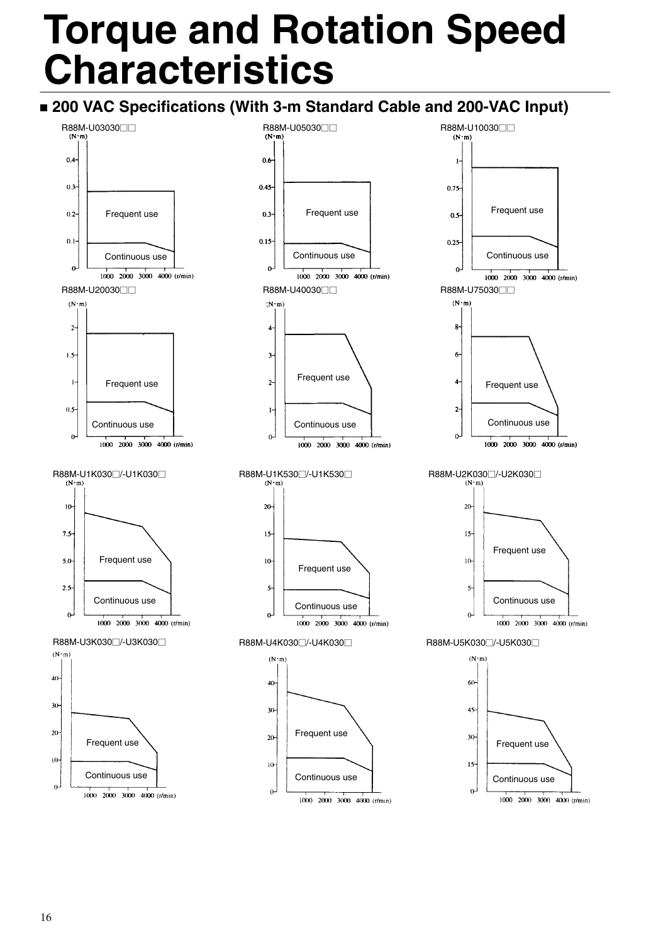# **Torque and Rotation Speed Characteristics**

### **200 VAC Specifications (With 3-m Standard Cable and 200-VAC Input)**

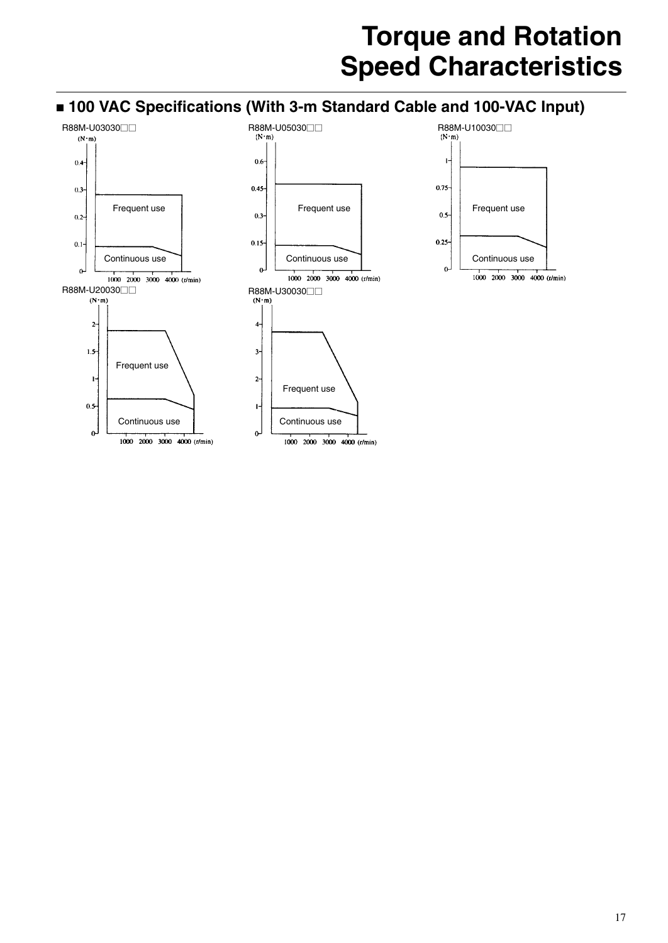# **Torque and Rotation Speed Characteristics**



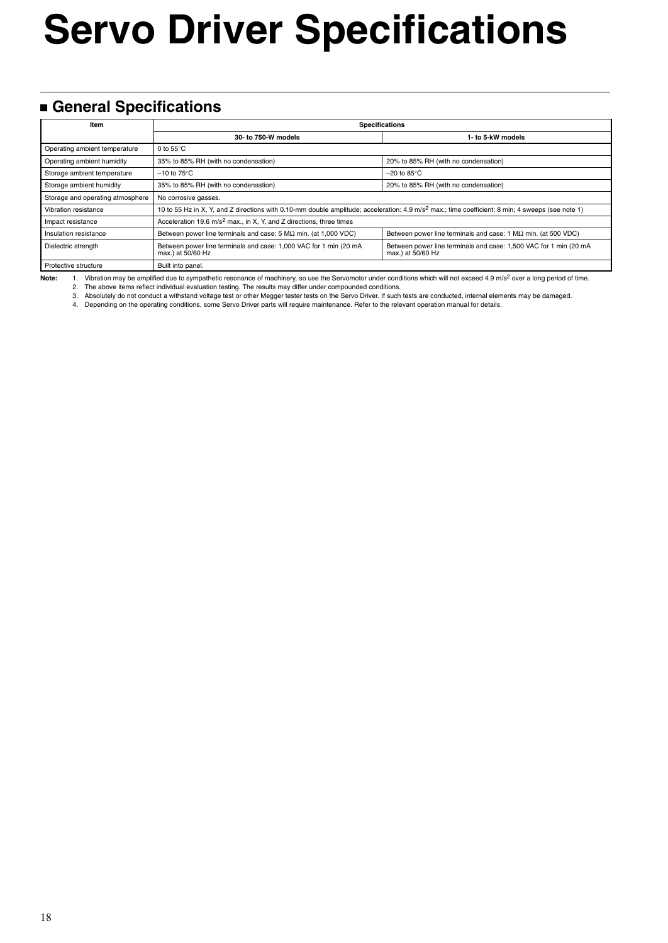# **Servo Driver Specifications**

### **General Specifications**

| Item                             | <b>Specifications</b>                                                                                                                                        |                                                                                        |  |  |  |
|----------------------------------|--------------------------------------------------------------------------------------------------------------------------------------------------------------|----------------------------------------------------------------------------------------|--|--|--|
|                                  | 30- to 750-W models                                                                                                                                          | 1- to 5-kW models                                                                      |  |  |  |
| Operating ambient temperature    | 0 to $55^{\circ}$ C                                                                                                                                          |                                                                                        |  |  |  |
| Operating ambient humidity       | 35% to 85% RH (with no condensation)                                                                                                                         | 20% to 85% RH (with no condensation)                                                   |  |  |  |
| Storage ambient temperature      | $-10$ to 75 $\mathrm{^{\circ}C}$                                                                                                                             | $-20$ to 85 $\degree$ C                                                                |  |  |  |
| Storage ambient humidity         | 35% to 85% RH (with no condensation)                                                                                                                         | 20% to 85% RH (with no condensation)                                                   |  |  |  |
| Storage and operating atmosphere | No corrosive gasses.                                                                                                                                         |                                                                                        |  |  |  |
| Vibration resistance             | 10 to 55 Hz in X, Y, and Z directions with 0.10-mm double amplitude; acceleration: 4.9 m/s <sup>2</sup> max.; time coefficient: 8 min; 4 sweeps (see note 1) |                                                                                        |  |  |  |
| Impact resistance                | Acceleration 19.6 m/s <sup>2</sup> max., in X, Y, and Z directions, three times                                                                              |                                                                                        |  |  |  |
| Insulation resistance            | Between power line terminals and case: $5 M\Omega$ min. (at 1,000 VDC)                                                                                       | Between power line terminals and case: 1 $M\Omega$ min. (at 500 VDC)                   |  |  |  |
| Dielectric strength              | Between power line terminals and case: 1,000 VAC for 1 min (20 mA<br>max.) at 50/60 Hz                                                                       | Between power line terminals and case: 1,500 VAC for 1 min (20 mA<br>max.) at 50/60 Hz |  |  |  |
| Protective structure             | Built into panel.                                                                                                                                            |                                                                                        |  |  |  |

Note: 1. Vibration may be amplified due to sympathetic resonance of machinery, so use the Servomotor under conditions which will not exceed 4.9 m/s<sup>2</sup> over a long period of time.

2. The above items reflect individual evaluation testing. The results may differ under compounded conditions.<br>3. Absolutely do not conduct a withstand voltage test or other Megger tester tests on the Servo Driver. If such

4. Depending on the operating conditions, some Servo Driver parts will require maintenance. Refer to the relevant operation manual for details.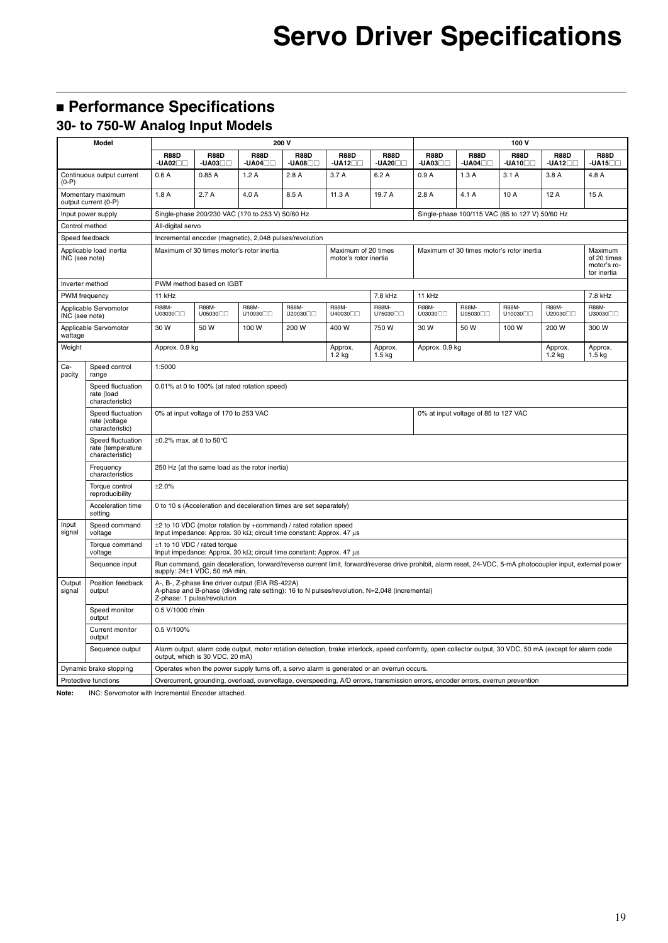## **Performance Specifications**

### **30- to 750-W Analog Input Models**

| Model            |                                                           | 200 V<br>100 V                                                                                                                                                                   |                                                                                           |                        |                                                                                                                                          |                                                                                                                                                             |                              |                                           |                                                 |                              |                                                      |                              |
|------------------|-----------------------------------------------------------|----------------------------------------------------------------------------------------------------------------------------------------------------------------------------------|-------------------------------------------------------------------------------------------|------------------------|------------------------------------------------------------------------------------------------------------------------------------------|-------------------------------------------------------------------------------------------------------------------------------------------------------------|------------------------------|-------------------------------------------|-------------------------------------------------|------------------------------|------------------------------------------------------|------------------------------|
|                  |                                                           | <b>R88D</b><br>$-UA02$                                                                                                                                                           | <b>R88D</b><br>$-UA03$                                                                    | <b>R88D</b><br>$-UAO4$ | <b>R88D</b><br>$-UA08$                                                                                                                   | <b>R88D</b><br>$-UA12$                                                                                                                                      | <b>R88D</b><br>$-UA20$       | <b>R88D</b><br>-UA03□□                    | <b>R88D</b><br>$-UAO4$                          | <b>R88D</b><br>-UA10⊟⊟       | <b>R88D</b><br>$-UA12$                               | <b>R88D</b><br>$-UA15$       |
| $(0-P)$          | Continuous output current                                 | 0.6A                                                                                                                                                                             | 0.85A                                                                                     | 1.2A                   | 2.8A                                                                                                                                     | 3.7 A                                                                                                                                                       | 6.2A                         | 0.9A                                      | 1.3A                                            | 3.1A                         | 3.8A                                                 | 4.8 A                        |
|                  | Momentary maximum<br>output current (0-P)                 | 1.8A                                                                                                                                                                             | 2.7A                                                                                      | 4.0 A                  | 8.5 A                                                                                                                                    | 11.3 A                                                                                                                                                      | 19.7 A                       | 2.8A                                      | 4.1 A                                           | 10 A                         | 12 A                                                 | 15 A                         |
|                  | Input power supply                                        |                                                                                                                                                                                  | Single-phase 200/230 VAC (170 to 253 V) 50/60 Hz                                          |                        |                                                                                                                                          |                                                                                                                                                             |                              |                                           | Single-phase 100/115 VAC (85 to 127 V) 50/60 Hz |                              |                                                      |                              |
| Control method   |                                                           | All-digital servo                                                                                                                                                                |                                                                                           |                        |                                                                                                                                          |                                                                                                                                                             |                              |                                           |                                                 |                              |                                                      |                              |
|                  | Speed feedback                                            |                                                                                                                                                                                  | Incremental encoder (magnetic), 2,048 pulses/revolution                                   |                        |                                                                                                                                          |                                                                                                                                                             |                              |                                           |                                                 |                              |                                                      |                              |
| INC (see note)   | Applicable load inertia                                   |                                                                                                                                                                                  | Maximum of 30 times motor's rotor inertia<br>Maximum of 20 times<br>motor's rotor inertia |                        |                                                                                                                                          |                                                                                                                                                             |                              | Maximum of 30 times motor's rotor inertia |                                                 |                              | Maximum<br>of 20 times<br>motor's ro-<br>tor inertia |                              |
| Inverter method  |                                                           |                                                                                                                                                                                  | PWM method based on IGBT                                                                  |                        |                                                                                                                                          |                                                                                                                                                             |                              |                                           |                                                 |                              |                                                      |                              |
| PWM frequency    |                                                           | 11 kHz                                                                                                                                                                           |                                                                                           |                        |                                                                                                                                          |                                                                                                                                                             | 7.8 kHz                      | 11 kHz                                    |                                                 |                              |                                                      | 7.8 kHz                      |
| INC (see note)   | Applicable Servomotor                                     | R88M-<br>U03030 <sub>0</sub>                                                                                                                                                     | R88M-<br>U05030                                                                           | <b>R88M-</b><br>U10030 | R88M-<br>U20030 <sub>0</sub>                                                                                                             | R88M-<br>U40030 <sub>0</sub>                                                                                                                                | R88M-<br>U75030 <sub>0</sub> | R88M-<br>U03030 <sub>0</sub>              | <b>R88M-</b><br>U05030                          | R88M-<br>U10030 <sub>0</sub> | R88M-<br>U20030 <sub>[1]</sub>                       | R88M-<br>U30030 <sub>0</sub> |
| wattage          | Applicable Servomotor                                     | 30 W                                                                                                                                                                             | 50 W                                                                                      | 100 W                  | 200 W                                                                                                                                    | 400 W                                                                                                                                                       | 750 W                        | 30 W                                      | 50 W                                            | 100 W                        | 200 W                                                | 300 W                        |
| Weight           |                                                           | Approx. 0.9 kg                                                                                                                                                                   |                                                                                           |                        |                                                                                                                                          | Approx.<br>1.2 kg                                                                                                                                           | Approx.<br>$1.5$ kg          | Approx. 0.9 kg                            |                                                 |                              | Approx.<br>$1.2$ kg                                  | Approx.<br>$1.5$ kg          |
| Ca-<br>pacity    | Speed control<br>range                                    | 1:5000                                                                                                                                                                           |                                                                                           |                        |                                                                                                                                          |                                                                                                                                                             |                              |                                           |                                                 |                              |                                                      |                              |
|                  | Speed fluctuation<br>rate (load<br>characteristic)        |                                                                                                                                                                                  | 0.01% at 0 to 100% (at rated rotation speed)                                              |                        |                                                                                                                                          |                                                                                                                                                             |                              |                                           |                                                 |                              |                                                      |                              |
|                  | Speed fluctuation<br>rate (voltage<br>characteristic)     |                                                                                                                                                                                  | 0% at input voltage of 170 to 253 VAC                                                     |                        |                                                                                                                                          |                                                                                                                                                             |                              |                                           | 0% at input voltage of 85 to 127 VAC            |                              |                                                      |                              |
|                  | Speed fluctuation<br>rate (temperature<br>characteristic) | $\pm 0.2\%$ max. at 0 to 50°C                                                                                                                                                    |                                                                                           |                        |                                                                                                                                          |                                                                                                                                                             |                              |                                           |                                                 |                              |                                                      |                              |
|                  | Frequency<br>characteristics                              |                                                                                                                                                                                  | 250 Hz (at the same load as the rotor inertia)                                            |                        |                                                                                                                                          |                                                                                                                                                             |                              |                                           |                                                 |                              |                                                      |                              |
|                  | Torque control<br>reproducibility                         | ±2.0%                                                                                                                                                                            |                                                                                           |                        |                                                                                                                                          |                                                                                                                                                             |                              |                                           |                                                 |                              |                                                      |                              |
|                  | Acceleration time<br>setting                              |                                                                                                                                                                                  |                                                                                           |                        | 0 to 10 s (Acceleration and deceleration times are set separately)                                                                       |                                                                                                                                                             |                              |                                           |                                                 |                              |                                                      |                              |
| Input<br>signal  | Speed command<br>voltage                                  |                                                                                                                                                                                  |                                                                                           |                        | ±2 to 10 VDC (motor rotation by +command) / rated rotation speed<br>Input impedance: Approx. 30 kΩ; circuit time constant: Approx. 47 μs |                                                                                                                                                             |                              |                                           |                                                 |                              |                                                      |                              |
|                  | Torque command<br>voltage                                 |                                                                                                                                                                                  | $±1$ to 10 VDC / rated torque                                                             |                        | Input impedance: Approx. 30 k $\Omega$ ; circuit time constant: Approx. 47 $\mu$ s                                                       |                                                                                                                                                             |                              |                                           |                                                 |                              |                                                      |                              |
|                  | Sequence input                                            |                                                                                                                                                                                  | supply: 24±1 VDC, 50 mA min.                                                              |                        |                                                                                                                                          | Run command, gain deceleration, forward/reverse current limit, forward/reverse drive prohibit, alarm reset, 24-VDC, 5-mA photocoupler input, external power |                              |                                           |                                                 |                              |                                                      |                              |
| Output<br>signal | Position feedback<br>output                               | A-, B-, Z-phase line driver output (EIA RS-422A)<br>A-phase and B-phase (dividing rate setting): 16 to N pulses/revolution, N=2,048 (incremental)<br>Z-phase: 1 pulse/revolution |                                                                                           |                        |                                                                                                                                          |                                                                                                                                                             |                              |                                           |                                                 |                              |                                                      |                              |
|                  | Speed monitor<br>output                                   | 0.5 V/1000 r/min                                                                                                                                                                 |                                                                                           |                        |                                                                                                                                          |                                                                                                                                                             |                              |                                           |                                                 |                              |                                                      |                              |
|                  | Current monitor<br>output                                 | 0.5 V/100%                                                                                                                                                                       |                                                                                           |                        |                                                                                                                                          |                                                                                                                                                             |                              |                                           |                                                 |                              |                                                      |                              |
|                  | Sequence output                                           |                                                                                                                                                                                  | output, which is 30 VDC, 20 mA)                                                           |                        |                                                                                                                                          | Alarm output, alarm code output, motor rotation detection, brake interlock, speed conformity, open collector output, 30 VDC, 50 mA (except for alarm code   |                              |                                           |                                                 |                              |                                                      |                              |
|                  | Dynamic brake stopping                                    |                                                                                                                                                                                  |                                                                                           |                        |                                                                                                                                          | Operates when the power supply turns off, a servo alarm is generated or an overrun occurs.                                                                  |                              |                                           |                                                 |                              |                                                      |                              |
|                  | Protective functions                                      |                                                                                                                                                                                  |                                                                                           |                        |                                                                                                                                          | Overcurrent, grounding, overload, overvoltage, overspeeding, A/D errors, transmission errors, encoder errors, overrun prevention                            |                              |                                           |                                                 |                              |                                                      |                              |

**Note:** INC: Servomotor with Incremental Encoder attached.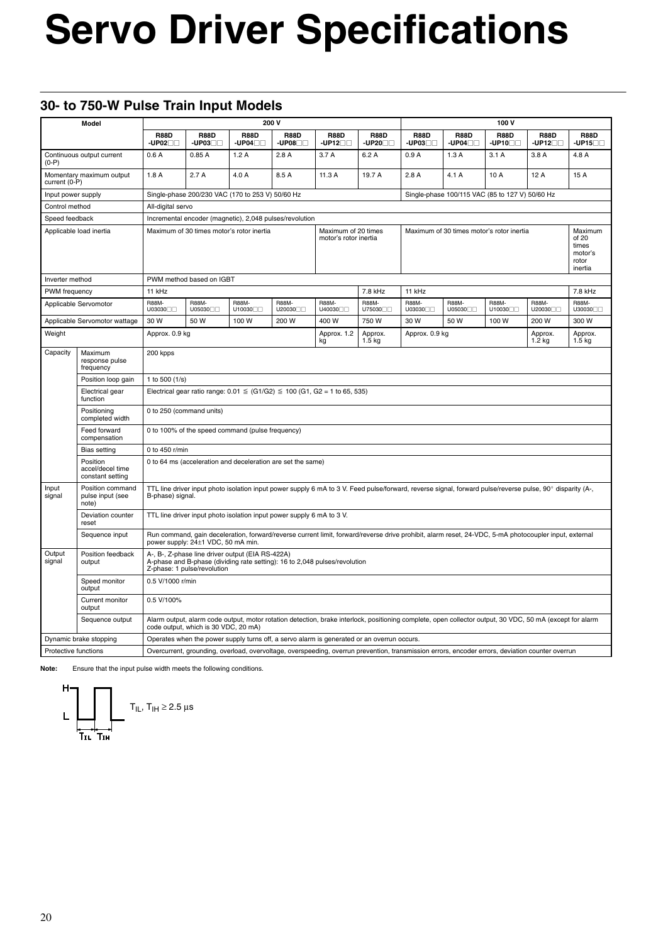# **Servo Driver Specifications**

### **30- to 750-W Pulse Train Input Models**

|                         | Model                                                                                                                                                                   | 200 V                                                                                                                                                                                       |                                      |                                                                       | 100V                     |                                                                                                                                                           |                          |                        |                                                 |                                                          |                                       |                                |
|-------------------------|-------------------------------------------------------------------------------------------------------------------------------------------------------------------------|---------------------------------------------------------------------------------------------------------------------------------------------------------------------------------------------|--------------------------------------|-----------------------------------------------------------------------|--------------------------|-----------------------------------------------------------------------------------------------------------------------------------------------------------|--------------------------|------------------------|-------------------------------------------------|----------------------------------------------------------|---------------------------------------|--------------------------------|
|                         |                                                                                                                                                                         | <b>R88D</b><br>$-UP02$                                                                                                                                                                      | <b>R88D</b><br>$-UP03$               | <b>R88D</b><br>$-UP04$                                                | <b>R88D</b><br>$-UP08$   | <b>R88D</b><br>$-UP12$                                                                                                                                    | <b>R88D</b><br>$-UP20$   | <b>R88D</b><br>$-UP03$ | <b>R88D</b><br>$-UP04$                          | <b>R88D</b><br>$-UP10$                                   | <b>R88D</b><br>$-UP12$                | <b>R88D</b><br>$-UP15$         |
| $(0-P)$                 | Continuous output current                                                                                                                                               | 0.6A                                                                                                                                                                                        | 0.85A                                | 1.2A                                                                  | 2.8A                     | 3.7A                                                                                                                                                      | 6.2A                     | 0.9A                   | 1.3A                                            | 3.1A                                                     | 3.8A                                  | 4.8A                           |
| current (0-P)           | Momentary maximum output                                                                                                                                                | 1.8A                                                                                                                                                                                        | 2.7A                                 | 4.0 A                                                                 | 8.5 A                    | 11.3 A                                                                                                                                                    | 19.7 A                   | 2.8A                   | 4.1A                                            | 10 A                                                     | 12A                                   | 15 A                           |
| Input power supply      |                                                                                                                                                                         |                                                                                                                                                                                             |                                      | Single-phase 200/230 VAC (170 to 253 V) 50/60 Hz                      |                          |                                                                                                                                                           |                          |                        | Single-phase 100/115 VAC (85 to 127 V) 50/60 Hz |                                                          |                                       |                                |
| Control method          |                                                                                                                                                                         | All-digital servo                                                                                                                                                                           |                                      |                                                                       |                          |                                                                                                                                                           |                          |                        |                                                 |                                                          |                                       |                                |
| Speed feedback          |                                                                                                                                                                         |                                                                                                                                                                                             |                                      | Incremental encoder (magnetic), 2,048 pulses/revolution               |                          |                                                                                                                                                           |                          |                        |                                                 |                                                          |                                       |                                |
| Applicable load inertia |                                                                                                                                                                         | Maximum of 30 times motor's rotor inertia<br>Maximum of 20 times<br>motor's rotor inertia                                                                                                   |                                      |                                                                       |                          | Maximum of 30 times motor's rotor inertia                                                                                                                 |                          |                        |                                                 | Maximum<br>of 20<br>times<br>motor's<br>rotor<br>inertia |                                       |                                |
| Inverter method         |                                                                                                                                                                         |                                                                                                                                                                                             | PWM method based on IGBT             |                                                                       |                          |                                                                                                                                                           |                          |                        |                                                 |                                                          |                                       |                                |
| <b>PWM</b> frequency    |                                                                                                                                                                         | 11 kHz                                                                                                                                                                                      |                                      |                                                                       |                          |                                                                                                                                                           | 7.8 kHz                  | 11 kHz                 |                                                 |                                                          |                                       | 7.8 kHz                        |
|                         | Applicable Servomotor                                                                                                                                                   | <b>R88M-</b><br>U03030□□                                                                                                                                                                    | R88M-<br>U05030□□                    | <b>R88M-</b><br>U10030□□                                              | <b>R88M-</b><br>U20030□□ | <b>R88M-</b><br>U40030 <sub>[1]</sub>                                                                                                                     | <b>R88M-</b><br>U75030□□ | R88M-<br>U03030□□      | R88M-<br>U05030□□                               | <b>R88M-</b><br>U10030□□                                 | <b>R88M-</b><br>U20030 <sub>[1]</sub> | R88M-<br>U30030 <sub>[1]</sub> |
|                         | Applicable Servomotor wattage                                                                                                                                           | 30 W                                                                                                                                                                                        | 50 W                                 | 100 W                                                                 | 200 W                    | 400 W                                                                                                                                                     | 750W                     | 30 W                   | 50 W                                            | 100 W                                                    | 200 W                                 | 300 W                          |
| Weight                  |                                                                                                                                                                         | Approx. 0.9 kg                                                                                                                                                                              |                                      |                                                                       |                          | Approx. 1.2<br>kg                                                                                                                                         | Approx.<br>$1.5$ kg      | Approx. 0.9 kg         |                                                 |                                                          | Approx.<br>$1.2$ kg                   | Approx.<br>$1.5$ kg            |
| Capacity                | Maximum<br>response pulse<br>frequency                                                                                                                                  | 200 kpps                                                                                                                                                                                    |                                      |                                                                       |                          |                                                                                                                                                           |                          |                        |                                                 |                                                          |                                       |                                |
|                         | Position loop gain                                                                                                                                                      | 1 to 500 (1/s)                                                                                                                                                                              |                                      |                                                                       |                          |                                                                                                                                                           |                          |                        |                                                 |                                                          |                                       |                                |
|                         | Electrical gear<br>function                                                                                                                                             |                                                                                                                                                                                             |                                      |                                                                       |                          | Electrical gear ratio range: $0.01 \leq (G1/G2) \leq 100 (G1, G2 = 1 to 65, 535)$                                                                         |                          |                        |                                                 |                                                          |                                       |                                |
|                         | Positioning<br>completed width                                                                                                                                          | 0 to 250 (command units)                                                                                                                                                                    |                                      |                                                                       |                          |                                                                                                                                                           |                          |                        |                                                 |                                                          |                                       |                                |
|                         | Feed forward<br>compensation                                                                                                                                            |                                                                                                                                                                                             |                                      | 0 to 100% of the speed command (pulse frequency)                      |                          |                                                                                                                                                           |                          |                        |                                                 |                                                          |                                       |                                |
|                         | <b>Bias setting</b>                                                                                                                                                     | 0 to 450 r/min                                                                                                                                                                              |                                      |                                                                       |                          |                                                                                                                                                           |                          |                        |                                                 |                                                          |                                       |                                |
|                         | Position<br>accel/decel time<br>constant setting                                                                                                                        |                                                                                                                                                                                             |                                      | 0 to 64 ms (acceleration and deceleration are set the same)           |                          |                                                                                                                                                           |                          |                        |                                                 |                                                          |                                       |                                |
| Input<br>signal         | Position command<br>pulse input (see<br>note)                                                                                                                           | B-phase) signal.                                                                                                                                                                            |                                      |                                                                       |                          | TTL line driver input photo isolation input power supply 6 mA to 3 V. Feed pulse/forward, reverse signal, forward pulse/reverse pulse, 90° disparity (A-, |                          |                        |                                                 |                                                          |                                       |                                |
|                         | Deviation counter<br>reset                                                                                                                                              |                                                                                                                                                                                             |                                      | TTL line driver input photo isolation input power supply 6 mA to 3 V. |                          |                                                                                                                                                           |                          |                        |                                                 |                                                          |                                       |                                |
|                         | Sequence input                                                                                                                                                          | Run command, gain deceleration, forward/reverse current limit, forward/reverse drive prohibit, alarm reset, 24-VDC, 5-mA photocoupler input, external<br>power supply: 24±1 VDC, 50 mA min. |                                      |                                                                       |                          |                                                                                                                                                           |                          |                        |                                                 |                                                          |                                       |                                |
| Output<br>signal        | Position feedback<br>output                                                                                                                                             | A-, B-, Z-phase line driver output (EIA RS-422A)<br>A-phase and B-phase (dividing rate setting): 16 to 2,048 pulses/revolution<br>Z-phase: 1 pulse/revolution                               |                                      |                                                                       |                          |                                                                                                                                                           |                          |                        |                                                 |                                                          |                                       |                                |
|                         | Speed monitor<br>output                                                                                                                                                 |                                                                                                                                                                                             | 0.5 V/1000 r/min                     |                                                                       |                          |                                                                                                                                                           |                          |                        |                                                 |                                                          |                                       |                                |
|                         | Current monitor<br>output                                                                                                                                               | 0.5 V/100%                                                                                                                                                                                  |                                      |                                                                       |                          |                                                                                                                                                           |                          |                        |                                                 |                                                          |                                       |                                |
|                         | Sequence output                                                                                                                                                         |                                                                                                                                                                                             | code output, which is 30 VDC, 20 mA) |                                                                       |                          | Alarm output, alarm code output, motor rotation detection, brake interlock, positioning complete, open collector output, 30 VDC, 50 mA (except for alarm  |                          |                        |                                                 |                                                          |                                       |                                |
|                         | Dynamic brake stopping                                                                                                                                                  |                                                                                                                                                                                             |                                      |                                                                       |                          | Operates when the power supply turns off, a servo alarm is generated or an overrun occurs.                                                                |                          |                        |                                                 |                                                          |                                       |                                |
|                         | Protective functions<br>Overcurrent, grounding, overload, overvoltage, overspeeding, overrun prevention, transmission errors, encoder errors, deviation counter overrun |                                                                                                                                                                                             |                                      |                                                                       |                          |                                                                                                                                                           |                          |                        |                                                 |                                                          |                                       |                                |

**Note:** Ensure that the input pulse width meets the following conditions.

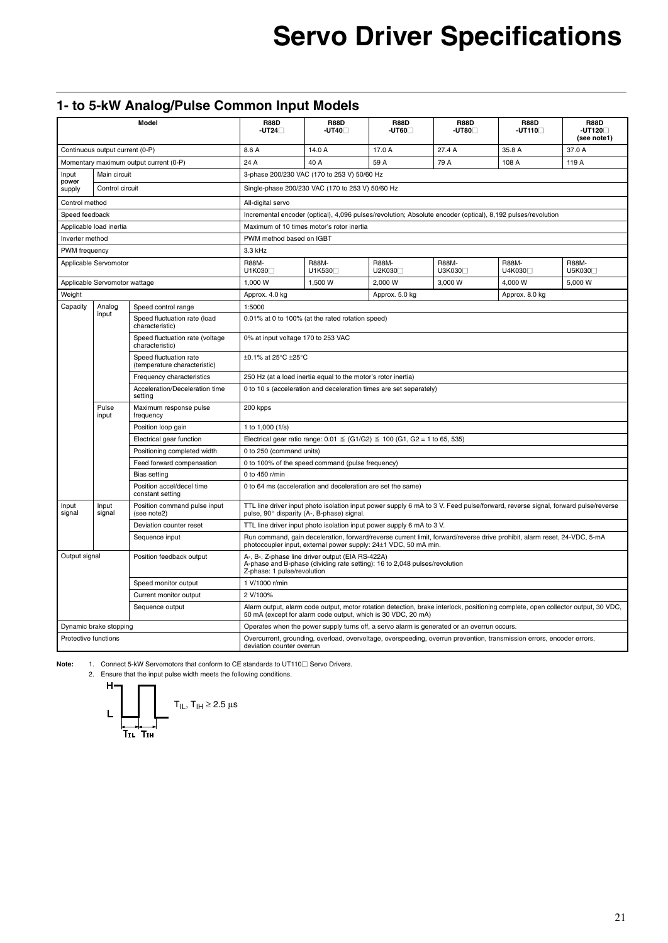# **Servo Driver Specifications**

### **1- to 5-kW Analog/Pulse Common Input Models**

| Model                                     |                               | <b>R88D</b><br>$-UT24$                                 | <b>R88D</b><br>-UT40⊟                                                                                                                              | <b>R88D</b><br>-UT60⊟                                                      | <b>R88D</b><br>-UT80⊟                                                             | <b>R88D</b><br>$-UT110 \Box$                                                               | <b>R88D</b><br>$-UT120 \Box$<br>(see note1)                                                                                      |                                       |  |  |
|-------------------------------------------|-------------------------------|--------------------------------------------------------|----------------------------------------------------------------------------------------------------------------------------------------------------|----------------------------------------------------------------------------|-----------------------------------------------------------------------------------|--------------------------------------------------------------------------------------------|----------------------------------------------------------------------------------------------------------------------------------|---------------------------------------|--|--|
| Continuous output current (0-P)           |                               | 8.6 A                                                  | 14.0 A                                                                                                                                             | 17.0 A                                                                     | 27.4 A                                                                            | 35.8 A                                                                                     | 37.0 A                                                                                                                           |                                       |  |  |
|                                           |                               | Momentary maximum output current (0-P)                 | 24 A                                                                                                                                               | 40 A<br>59 A<br>79 A<br>108 A<br>119 A                                     |                                                                                   |                                                                                            |                                                                                                                                  |                                       |  |  |
| Input<br>power                            | Main circuit                  |                                                        |                                                                                                                                                    | 3-phase 200/230 VAC (170 to 253 V) 50/60 Hz                                |                                                                                   |                                                                                            |                                                                                                                                  |                                       |  |  |
| supply                                    | Control circuit               |                                                        |                                                                                                                                                    | Single-phase 200/230 VAC (170 to 253 V) 50/60 Hz                           |                                                                                   |                                                                                            |                                                                                                                                  |                                       |  |  |
| Control method                            |                               |                                                        | All-digital servo                                                                                                                                  |                                                                            |                                                                                   |                                                                                            |                                                                                                                                  |                                       |  |  |
| Speed feedback                            |                               |                                                        |                                                                                                                                                    |                                                                            |                                                                                   |                                                                                            | Incremental encoder (optical), 4,096 pulses/revolution; Absolute encoder (optical), 8,192 pulses/revolution                      |                                       |  |  |
|                                           | Applicable load inertia       |                                                        |                                                                                                                                                    | Maximum of 10 times motor's rotor inertia                                  |                                                                                   |                                                                                            |                                                                                                                                  |                                       |  |  |
| Inverter method                           |                               |                                                        | PWM method based on IGBT                                                                                                                           |                                                                            |                                                                                   |                                                                                            |                                                                                                                                  |                                       |  |  |
| PWM frequency                             |                               |                                                        | 3.3 kHz                                                                                                                                            |                                                                            |                                                                                   |                                                                                            |                                                                                                                                  |                                       |  |  |
|                                           | Applicable Servomotor         |                                                        | <b>R88M-</b><br>U1K030                                                                                                                             | <b>R88M-</b><br>U1K530                                                     | <b>R88M-</b><br>U2K030                                                            | <b>R88M-</b><br>U3K030                                                                     | <b>R88M-</b><br>U4K030                                                                                                           | <b>R88M-</b><br>U5K030 <sup>[1]</sup> |  |  |
|                                           | Applicable Servomotor wattage |                                                        | 1.000 W                                                                                                                                            | 1,500 W                                                                    | 2.000 W                                                                           | 3.000 W                                                                                    | 4.000 W                                                                                                                          | 5.000 W                               |  |  |
| Weight                                    |                               |                                                        | Approx. 4.0 kg                                                                                                                                     |                                                                            | Approx. 5.0 kg                                                                    |                                                                                            | Approx. 8.0 kg                                                                                                                   |                                       |  |  |
| Capacity                                  | Analog                        | Speed control range                                    | 1:5000                                                                                                                                             |                                                                            |                                                                                   |                                                                                            |                                                                                                                                  |                                       |  |  |
|                                           | input                         | Speed fluctuation rate (load<br>characteristic)        |                                                                                                                                                    | 0.01% at 0 to 100% (at the rated rotation speed)                           |                                                                                   |                                                                                            |                                                                                                                                  |                                       |  |  |
|                                           |                               | Speed fluctuation rate (voltage<br>characteristic)     | 0% at input voltage 170 to 253 VAC                                                                                                                 |                                                                            |                                                                                   |                                                                                            |                                                                                                                                  |                                       |  |  |
|                                           |                               | Speed fluctuation rate<br>(temperature characteristic) | ±0.1% at 25°C ±25°C                                                                                                                                |                                                                            |                                                                                   |                                                                                            |                                                                                                                                  |                                       |  |  |
|                                           |                               | Frequency characteristics                              |                                                                                                                                                    | 250 Hz (at a load inertia equal to the motor's rotor inertia)              |                                                                                   |                                                                                            |                                                                                                                                  |                                       |  |  |
|                                           |                               | Acceleration/Deceleration time<br>setting              |                                                                                                                                                    |                                                                            | 0 to 10 s (acceleration and deceleration times are set separately)                |                                                                                            |                                                                                                                                  |                                       |  |  |
|                                           | Pulse<br>input                | Maximum response pulse<br>frequency                    | 200 kpps                                                                                                                                           |                                                                            |                                                                                   |                                                                                            |                                                                                                                                  |                                       |  |  |
|                                           |                               | Position loop gain                                     | 1 to 1,000 $(1/s)$                                                                                                                                 |                                                                            |                                                                                   |                                                                                            |                                                                                                                                  |                                       |  |  |
|                                           |                               | Electrical gear function                               |                                                                                                                                                    |                                                                            | Electrical gear ratio range: $0.01 \leq (G1/G2) \leq 100 (G1, G2 = 1 to 65, 535)$ |                                                                                            |                                                                                                                                  |                                       |  |  |
|                                           |                               | Positioning completed width                            | 0 to 250 (command units)                                                                                                                           |                                                                            |                                                                                   |                                                                                            |                                                                                                                                  |                                       |  |  |
|                                           |                               | Feed forward compensation                              |                                                                                                                                                    | 0 to 100% of the speed command (pulse frequency)                           |                                                                                   |                                                                                            |                                                                                                                                  |                                       |  |  |
|                                           |                               | <b>Bias setting</b>                                    | 0 to 450 r/min                                                                                                                                     |                                                                            |                                                                                   |                                                                                            |                                                                                                                                  |                                       |  |  |
|                                           |                               | Position accel/decel time<br>constant setting          |                                                                                                                                                    | 0 to 64 ms (acceleration and deceleration are set the same)                |                                                                                   |                                                                                            |                                                                                                                                  |                                       |  |  |
| Input<br>signal                           | Input<br>signal               | Position command pulse input<br>(see note2)            |                                                                                                                                                    | pulse, 90° disparity (A-, B-phase) signal.                                 |                                                                                   |                                                                                            | TTL line driver input photo isolation input power supply 6 mA to 3 V. Feed pulse/forward, reverse signal, forward pulse/reverse  |                                       |  |  |
|                                           |                               | Deviation counter reset                                |                                                                                                                                                    |                                                                            | TTL line driver input photo isolation input power supply 6 mA to 3 V.             |                                                                                            |                                                                                                                                  |                                       |  |  |
|                                           |                               | Sequence input                                         |                                                                                                                                                    |                                                                            | photocoupler input, external power supply: 24±1 VDC, 50 mA min.                   |                                                                                            | Run command, gain deceleration, forward/reverse current limit, forward/reverse drive prohibit, alarm reset, 24-VDC, 5-mA         |                                       |  |  |
| Output signal<br>Position feedback output |                               | Z-phase: 1 pulse/revolution                            | A-, B-, Z-phase line driver output (EIA RS-422A)                                                                                                   | A-phase and B-phase (dividing rate setting): 16 to 2,048 pulses/revolution |                                                                                   |                                                                                            |                                                                                                                                  |                                       |  |  |
|                                           |                               | Speed monitor output                                   | 1 V/1000 r/min                                                                                                                                     |                                                                            |                                                                                   |                                                                                            |                                                                                                                                  |                                       |  |  |
|                                           |                               | Current monitor output                                 | 2 V/100%                                                                                                                                           |                                                                            |                                                                                   |                                                                                            |                                                                                                                                  |                                       |  |  |
|                                           |                               | Sequence output                                        |                                                                                                                                                    |                                                                            | 50 mA (except for alarm code output, which is 30 VDC, 20 mA)                      |                                                                                            | Alarm output, alarm code output, motor rotation detection, brake interlock, positioning complete, open collector output, 30 VDC, |                                       |  |  |
|                                           | Dynamic brake stopping        |                                                        |                                                                                                                                                    |                                                                            |                                                                                   | Operates when the power supply turns off, a servo alarm is generated or an overrun occurs. |                                                                                                                                  |                                       |  |  |
| Protective functions                      |                               |                                                        | Overcurrent, grounding, overload, overvoltage, overspeeding, overrun prevention, transmission errors, encoder errors,<br>deviation counter overrun |                                                                            |                                                                                   |                                                                                            |                                                                                                                                  |                                       |  |  |

Note: 1. Connect 5-kW Servomotors that conform to CE standards to UT110<sup></sup> Servo Drivers.

2. Ensure that the input pulse width meets the following conditions.

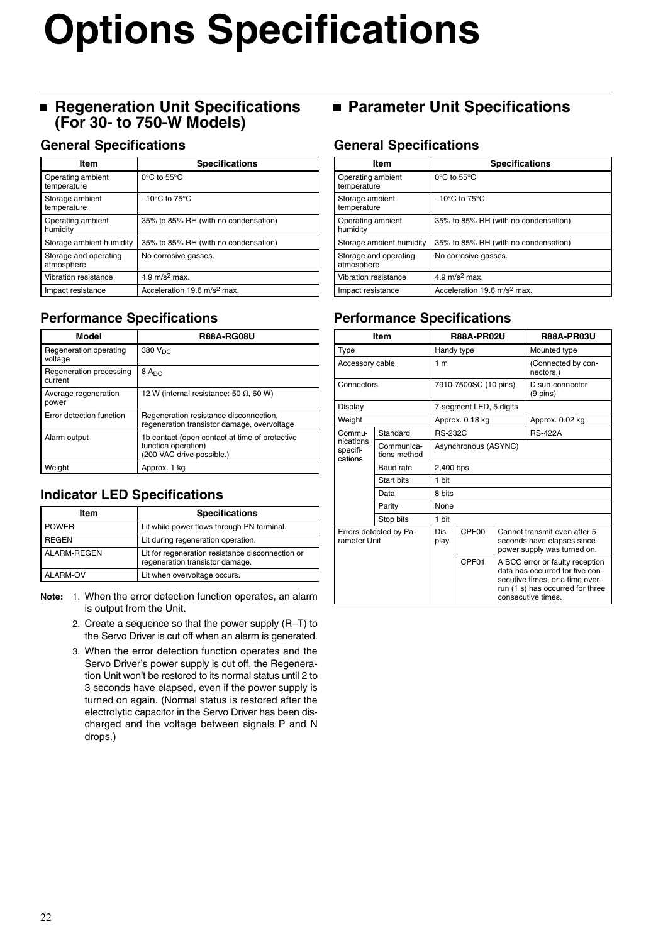# **Options Specifications**

### **Regeneration Unit Specifications (For 30- to 750-W Models)**

### **General Specifications**

| ltem                                | <b>Specifications</b>                   |
|-------------------------------------|-----------------------------------------|
| Operating ambient<br>temperature    | $0^{\circ}$ C to 55 $^{\circ}$ C        |
| Storage ambient<br>temperature      | $-10^{\circ}$ C to 75 $^{\circ}$ C      |
| Operating ambient<br>humidity       | 35% to 85% RH (with no condensation)    |
| Storage ambient humidity            | 35% to 85% RH (with no condensation)    |
| Storage and operating<br>atmosphere | No corrosive gasses.                    |
| Vibration resistance                | 4.9 m/s <sup>2</sup> max.               |
| Impact resistance                   | Acceleration 19.6 m/s <sup>2</sup> max. |

### **Performance Specifications**

| <b>Model</b>                       | <b>R88A-RG08U</b>                                                                                  |
|------------------------------------|----------------------------------------------------------------------------------------------------|
| Regeneration operating<br>voltage  | 380 V <sub>DC</sub>                                                                                |
| Regeneration processing<br>current | 8A <sub>DC</sub>                                                                                   |
| Average regeneration<br>power      | 12 W (internal resistance: 50 $\Omega$ , 60 W)                                                     |
| Error detection function           | Regeneration resistance disconnection,<br>regeneration transistor damage, overvoltage              |
| Alarm output                       | 1b contact (open contact at time of protective<br>function operation)<br>(200 VAC drive possible.) |
| Weight                             | Approx. 1 kg                                                                                       |

### **Indicator LED Specifications**

| Item         | <b>Specifications</b>                                                               |
|--------------|-------------------------------------------------------------------------------------|
| <b>POWER</b> | Lit while power flows through PN terminal.                                          |
| <b>REGEN</b> | Lit during regeneration operation.                                                  |
| ALARM-REGEN  | Lit for regeneration resistance disconnection or<br>regeneration transistor damage. |
| ALARM-OV     | Lit when overvoltage occurs.                                                        |

- **Note:** 1. When the error detection function operates, an alarm is output from the Unit.
	- 2. Create a sequence so that the power supply (R–T) to the Servo Driver is cut off when an alarm is generated.
	- 3. When the error detection function operates and the Servo Driver's power supply is cut off, the Regeneration Unit won't be restored to its normal status until 2 to 3 seconds have elapsed, even if the power supply is turned on again. (Normal status is restored after the electrolytic capacitor in the Servo Driver has been discharged and the voltage between signals P and N drops.)

### **Parameter Unit Specifications**

### **General Specifications**

| Item                                | <b>Specifications</b>                   |
|-------------------------------------|-----------------------------------------|
| Operating ambient<br>temperature    | $0^{\circ}$ C to 55 $^{\circ}$ C        |
| Storage ambient<br>temperature      | $-10^{\circ}$ C to 75 $^{\circ}$ C      |
| Operating ambient<br>humidity       | 35% to 85% RH (with no condensation)    |
| Storage ambient humidity            | 35% to 85% RH (with no condensation)    |
| Storage and operating<br>atmosphere | No corrosive gasses.                    |
| Vibration resistance                | 4.9 $m/s^2$ max.                        |
| Impact resistance                   | Acceleration 19.6 m/s <sup>2</sup> max. |

### **Performance Specifications**

| Item                                   |                            |                       | <b>R88A-PR02U</b>       |                                                                                                                                                                 | <b>R88A-PR03U</b>                     |
|----------------------------------------|----------------------------|-----------------------|-------------------------|-----------------------------------------------------------------------------------------------------------------------------------------------------------------|---------------------------------------|
| Type                                   |                            |                       | Handy type              |                                                                                                                                                                 | Mounted type                          |
| Accessory cable                        |                            | 1 <sub>m</sub>        |                         |                                                                                                                                                                 | (Connected by con-<br>nectors.)       |
| Connectors                             |                            | 7910-7500SC (10 pins) |                         |                                                                                                                                                                 | D sub-connector<br>$(9 \text{ pins})$ |
| Display                                |                            |                       | 7-segment LED, 5 digits |                                                                                                                                                                 |                                       |
| Weight                                 |                            |                       | Approx. 0.18 kg         |                                                                                                                                                                 | Approx. 0.02 kg                       |
| Commu-                                 | Standard                   | <b>BS-232C</b>        |                         |                                                                                                                                                                 | <b>RS-422A</b>                        |
| nications<br>specifi-<br>cations       | Communica-<br>tions method |                       | Asynchronous (ASYNC)    |                                                                                                                                                                 |                                       |
|                                        | Baud rate                  | 2,400 bps             |                         |                                                                                                                                                                 |                                       |
|                                        | Start bits                 | 1 bit                 |                         |                                                                                                                                                                 |                                       |
|                                        | Data                       | 8 bits                |                         |                                                                                                                                                                 |                                       |
|                                        | Parity                     | <b>None</b>           |                         |                                                                                                                                                                 |                                       |
|                                        | Stop bits                  | 1 bit                 |                         |                                                                                                                                                                 |                                       |
| Errors detected by Pa-<br>rameter Unit |                            | Dis-<br>play          | CPF <sub>00</sub>       | Cannot transmit even after 5<br>seconds have elapses since<br>power supply was turned on.                                                                       |                                       |
|                                        |                            |                       | CPF01                   | A BCC error or faulty reception<br>data has occurred for five con-<br>secutive times, or a time over-<br>run (1 s) has occurred for three<br>consecutive times. |                                       |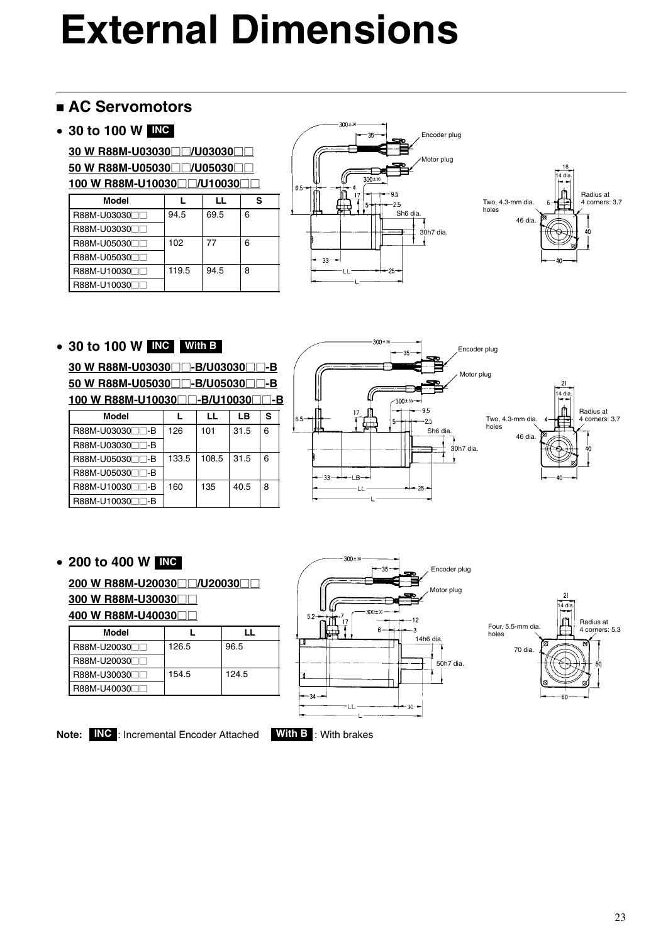### **AC Servomotors**

### • **30 to 100 W INC**

**30 W R88M-U03030□□/U03030□□ 50 W R88M-U05030□□/U05030□□** 

| 100 W R88M-U10030□□/U10030□ |       |      |   |  |  |  |
|-----------------------------|-------|------|---|--|--|--|
| Model                       |       | LL   | s |  |  |  |
| R88M-U0303000               | 94.5  | 69.5 | 6 |  |  |  |
| R88M-U03030                 |       |      |   |  |  |  |
| R88M-U05030                 | 102   | 77   | 6 |  |  |  |
| R88M-U05030                 |       |      |   |  |  |  |
| R88M-U10030                 | 119.5 | 94.5 | 8 |  |  |  |
| R88M-U10030                 |       |      |   |  |  |  |





### • **30 to 100 W INC With B**

**30 W R88M-U03030□□-B/U03030□□-B**  $\overline{50}$  W R88M-U05030 $\Box$ -B/U05030 $\Box$ -B **100 W R88M-U10030□□-B/U10030□□-B** 

| Model           |       | LL    | LВ   | s |
|-----------------|-------|-------|------|---|
| R88M-U03030□□-B | 126   | 101   | 31.5 | 6 |
| R88M-U03030□□-B |       |       |      |   |
| R88M-U05030□□-B | 133.5 | 108.5 | 31.5 | 6 |
| R88M-U05030□□-B |       |       |      |   |
| R88M-U10030□□-B | 160   | 135   | 40.5 | 8 |
| R88M-U10030□□-B |       |       |      |   |



### • **200 to 400 W INC**

200 W R88M-U20030□□/U20030□□ **300 W R88M-U30030**-- **400 W R88M-U40030**--

| Model         |       | . .   |
|---------------|-------|-------|
| R88M-U20030FT | 126.5 | 96.5  |
| R88M-U20030   |       |       |
| R88M-U30030FT | 154.5 | 124.5 |
| R88M-U40030   |       |       |



 $-300 + x$ 



**Note: INC** : Incremental Encoder Attached **With B** : With brakes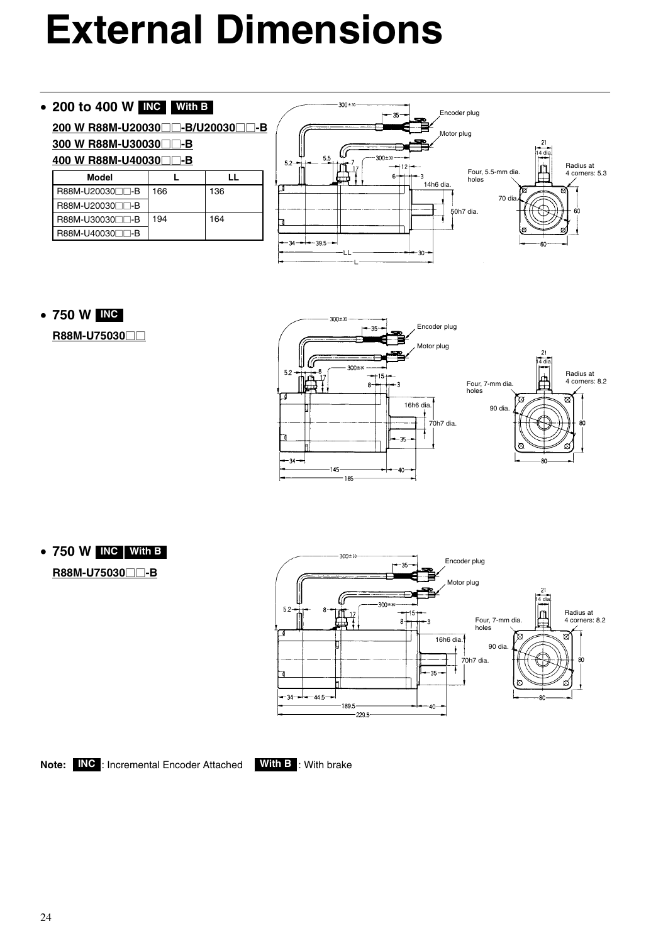### • **200 to 400 W INC With B**

<u>200 W R88M-U20030□□-B/U20030□□-B</u>

#### **300 W R88M-U30030**--**-B** <u>400 W R88M-U40030□□-B</u>

| Model             |     | ''  |
|-------------------|-----|-----|
| I R88M-U20030⊟⊟-B | 166 | 136 |
| I R88M-U20030⊟⊟-B |     |     |
| I R88M-U30030⊟⊟-B | 194 | 164 |
| R88M-U40030⊟⊟-B   |     |     |



### • **750 W INC**

**R88M-U75030**--



### • **750 W INC With B**

**R88M-U75030**<sub>-B</sub>

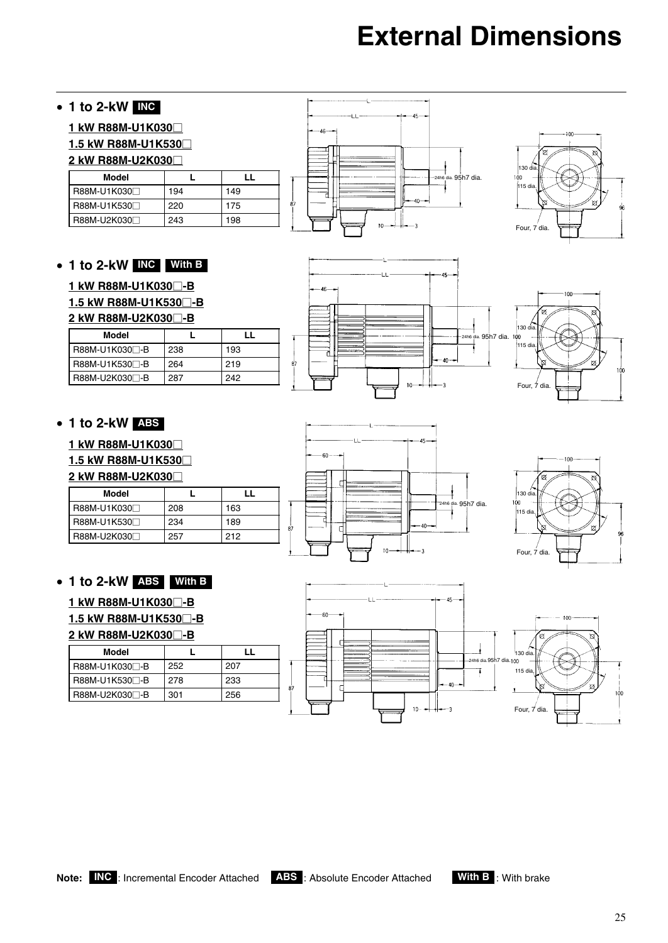

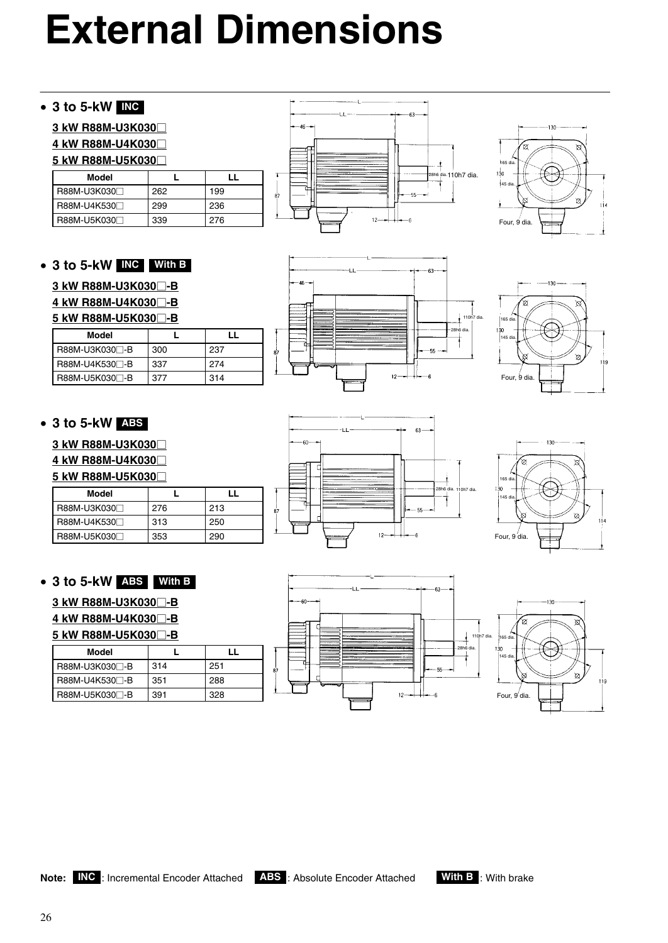### • **3 to 5-kW INC**

### **3 kW R88M-U3K030**-

#### **4 kW R88M-U4K030**-

### **5 kW R88M-U5K030**-

| Model       |     |     |
|-------------|-----|-----|
| R88M-U3K030 | 262 | 199 |
| R88M-U4K530 | 299 | 236 |
| R88M-U5K030 | 339 | 276 |

### • **3 to 5-kW INC With B**

### **3 kW R88M-U3K030**-**-B**

### **4 kW R88M-U4K030**-**-B**

#### **5 kW R88M-U5K030**-**-B**

| Model            |     | LL  |
|------------------|-----|-----|
| l R88M-U3K030⊟-B | 300 | 237 |
| B88M-U4K530⊟-B   | 337 | 274 |
| R88M-U5K030⊟-B   | 377 | 314 |

### • **3 to 5-kW ABS**

**3 kW R88M-U3K030**-

**4 kW R88M-U4K030**-

**5 kW R88M-U5K030**-

| Model       |     |     |
|-------------|-----|-----|
| R88M-U3K030 | 276 | 213 |
| R88M-U4K530 | 313 | 250 |
| R88M-U5K030 | 353 | 290 |

### • **3 to 5-kW ABS With B**

### **3 kW R88M-U3K030**-**-B**

**4 kW R88M-U4K030**-**-B**

### **5 kW R88M-U5K030**-**-B**

| Model                     |     |     |
|---------------------------|-----|-----|
| R88M-U3K030 <sup>-B</sup> | 314 | 251 |
| R88M-U4K530 <sup>-B</sup> | 351 | 288 |
| R88M-U5K030 <sup>-B</sup> | 391 | 328 |















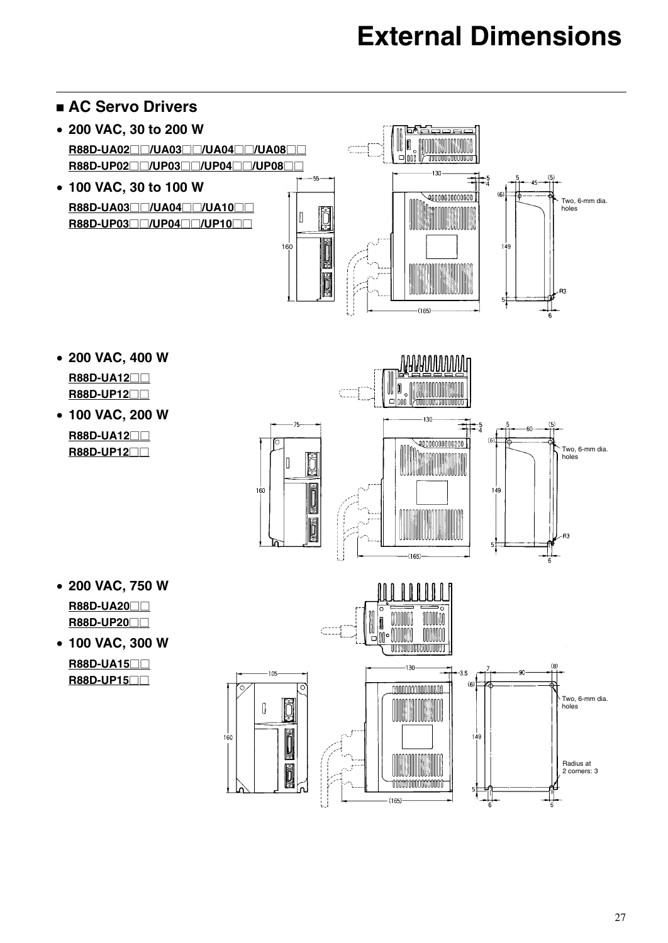#### **AC Servo Drivers** • **200 VAC, 30 to 200 W R88D-UA02** $\Box$ **/UA03** $\Box$  $\Box$ **/UA04** $\Box$  $\Box$ **/UA08** $\Box$  $\Box$ **R88D-UP02□□/UP03□□/UP04□□/UP08□□** i ar  $\frac{1}{4}$ • **100 VAC, 30 to 100 W**  $(6)$  $\overline{\mathcal{Q}00000000000}$ Two, 6-mm dia. holes **R88D-UA03**--**/UA04**--**/UA10**--  $\sqrt{2}$ **R88D-UP03□□/UP04□□/UP10□□ MEDIG NEDIG** 160 149 RЗ  $5\frac{1}{4}$  $-165$ • **200 VAC, 400 W NANANNININI**T **R88D-UA12**--

- **R88D-UP12**--
- **100 VAC, 200 W R88D-UA12**-- **R88D-UP12**--



• **200 VAC, 750 W**

**R88D-UA20**-- **R88D-UP20**--

• **100 VAC, 300 W R88D-UA15**--

**R88D-UP15**--

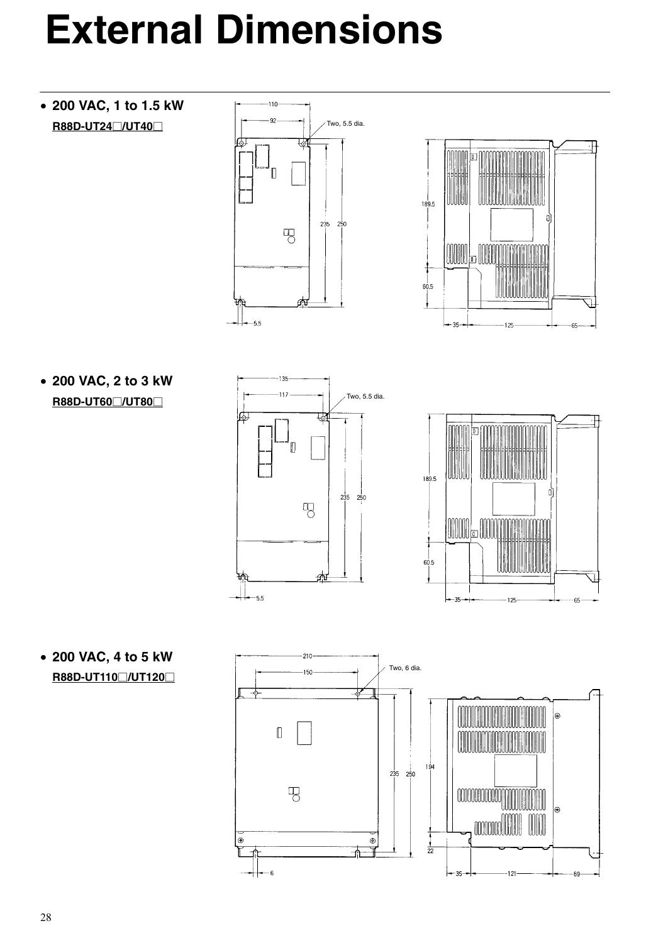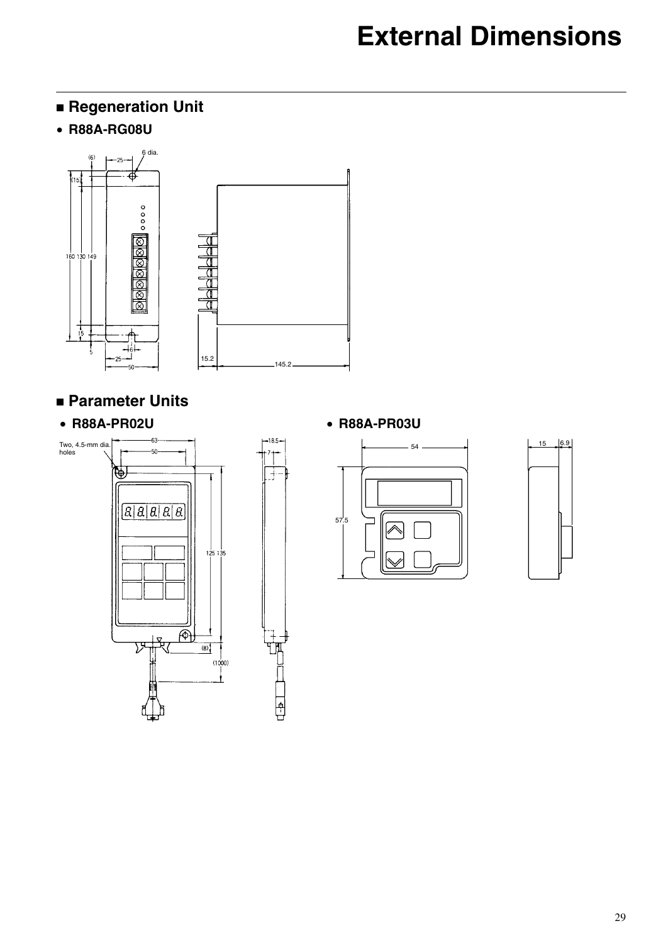## **Regeneration Unit**

• **R88A-RG08U**



 $-18.5$ 

 $\frac{1}{2}$ 

**TEED** 

### **Parameter Units**

### • **R88A-PR02U** • **R88A-PR03U**







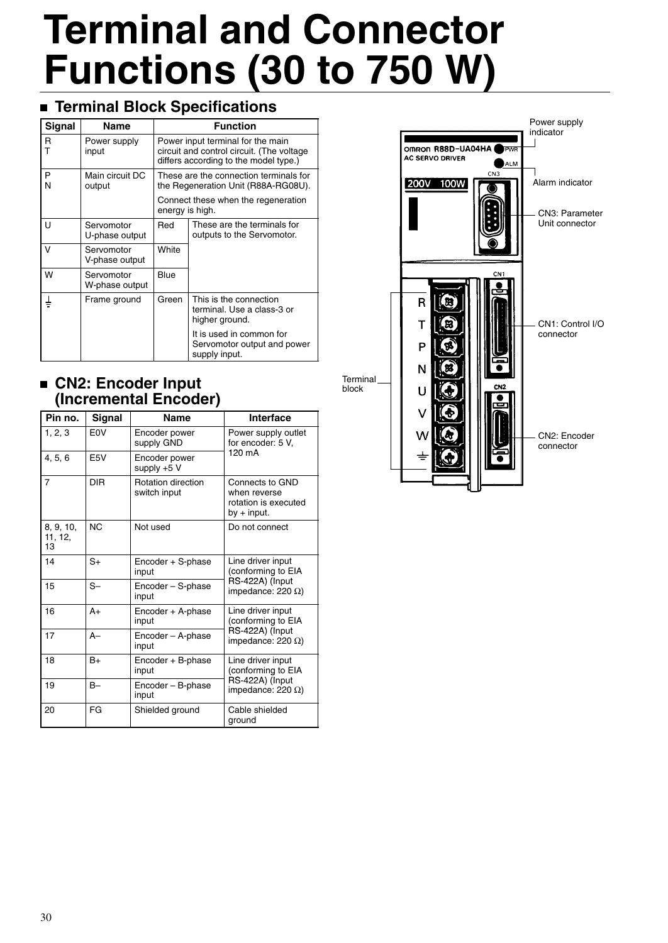## **Terminal Block Specifications**

| <b>Signal</b> | Name                         | <b>Function</b>                                                                                                         |                                                                          |  |
|---------------|------------------------------|-------------------------------------------------------------------------------------------------------------------------|--------------------------------------------------------------------------|--|
| R<br>т        | Power supply<br>input        | Power input terminal for the main<br>circuit and control circuit. (The voltage<br>differs according to the model type.) |                                                                          |  |
| P<br>N        | Main circuit DC<br>output    | These are the connection terminals for<br>the Regeneration Unit (R88A-RG08U).                                           |                                                                          |  |
|               |                              | Connect these when the regeneration<br>energy is high.                                                                  |                                                                          |  |
| U             | Servomotor<br>U-phase output | Red                                                                                                                     | These are the terminals for<br>outputs to the Servomotor.                |  |
| V             | Servomotor<br>V-phase output | White                                                                                                                   |                                                                          |  |
| W             | Servomotor<br>W-phase output | Blue                                                                                                                    |                                                                          |  |
| ₹             | Frame ground                 | Green                                                                                                                   | This is the connection<br>terminal. Use a class-3 or<br>higher ground.   |  |
|               |                              |                                                                                                                         | It is used in common for<br>Servomotor output and power<br>supply input. |  |

### **CN2: Encoder Input (Incremental Encoder)**

| Pin no.                    | Signal           | <b>Name</b>                               | Interface                                                                |
|----------------------------|------------------|-------------------------------------------|--------------------------------------------------------------------------|
| 1, 2, 3                    | F <sub>0</sub> V | Encoder power<br>supply GND               | Power supply outlet<br>for encoder: 5 V,                                 |
| 4, 5, 6                    | E <sub>5</sub> V | Encoder power<br>supply $+5$ V            | $120 \text{ mA}$                                                         |
| $\overline{7}$             | <b>DIR</b>       | <b>Rotation direction</b><br>switch input | Connects to GND<br>when reverse<br>rotation is executed<br>by $+$ input. |
| 8, 9, 10,<br>11, 12,<br>13 | N <sub>C</sub>   | Not used                                  | Do not connect                                                           |
| 14                         | $S+$             | Encoder + S-phase<br>input                | Line driver input<br>(conforming to EIA                                  |
| 15                         | $S-$             | Encoder - S-phase<br>input                | RS-422A) (Input<br>impedance: 220 $\Omega$ )                             |
| 16                         | $A+$             | Encoder + A-phase<br>input                | Line driver input<br>(conforming to EIA                                  |
| 17                         | $A -$            | Encoder - A-phase<br>input                | RS-422A) (Input<br>impedance: 220 $\Omega$ )                             |
| 18                         | $B+$             | Encoder + B-phase<br>input                | Line driver input<br>(conforming to EIA                                  |
| 19                         | $B -$            | Encoder - B-phase<br>input                | RS-422A) (Input<br>impedance: 220 $\Omega$ )                             |
| 20                         | FG               | Shielded ground                           | Cable shielded<br>ground                                                 |

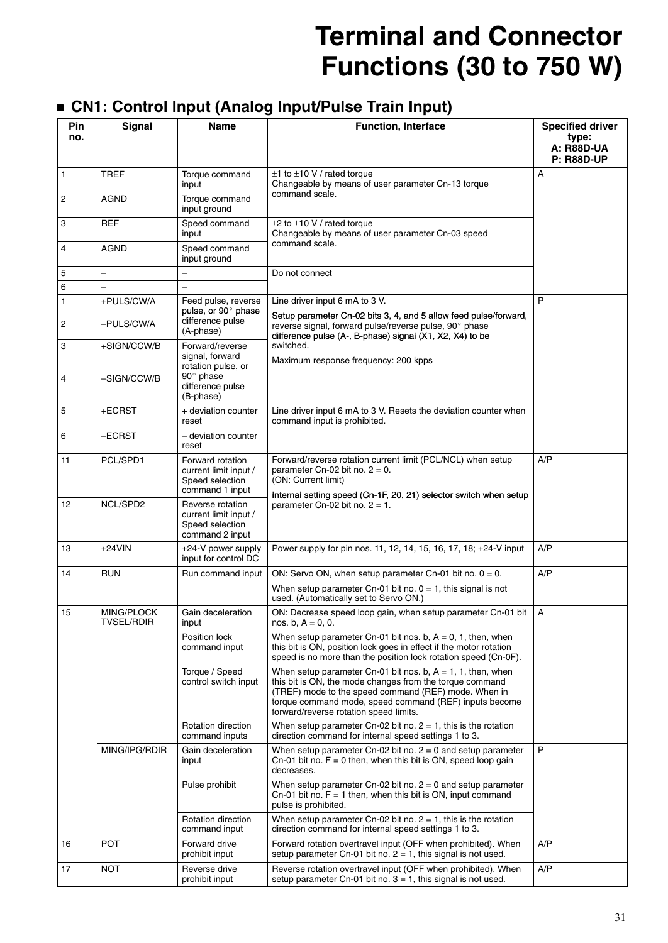## **CN1: Control Input (Analog Input/Pulse Train Input)**

| Pin<br>no.        | <b>Signal</b>            | Name                                                                            | <b>Function, Interface</b>                                                                                                                                                                                                                                                             | <b>Specified driver</b><br>type:<br><b>A: R88D-UA</b><br><b>P: R88D-UP</b> |
|-------------------|--------------------------|---------------------------------------------------------------------------------|----------------------------------------------------------------------------------------------------------------------------------------------------------------------------------------------------------------------------------------------------------------------------------------|----------------------------------------------------------------------------|
| 1                 | <b>TREF</b>              | Torque command<br>input                                                         | $\pm$ 1 to $\pm$ 10 V / rated torque<br>Changeable by means of user parameter Cn-13 torque                                                                                                                                                                                             | Α                                                                          |
| 2                 | AGND                     | Torque command<br>input ground                                                  | command scale.                                                                                                                                                                                                                                                                         |                                                                            |
| 3                 | <b>REF</b>               | Speed command<br>input                                                          | $\pm 2$ to $\pm 10$ V / rated torque<br>Changeable by means of user parameter Cn-03 speed                                                                                                                                                                                              |                                                                            |
| 4                 | <b>AGND</b>              | Speed command<br>input ground                                                   | command scale.                                                                                                                                                                                                                                                                         |                                                                            |
| 5                 | $\overline{\phantom{0}}$ |                                                                                 | Do not connect                                                                                                                                                                                                                                                                         |                                                                            |
| 6                 |                          |                                                                                 |                                                                                                                                                                                                                                                                                        |                                                                            |
| 1                 | +PULS/CW/A               | Feed pulse, reverse<br>pulse, or 90° phase                                      | Line driver input 6 mA to 3 V.<br>Setup parameter Cn-02 bits 3, 4, and 5 allow feed pulse/forward,                                                                                                                                                                                     | P                                                                          |
| 2                 | -PULS/CW/A               | difference pulse<br>(A-phase)                                                   | reverse signal, forward pulse/reverse pulse, 90° phase<br>difference pulse (A-, B-phase) signal (X1, X2, X4) to be                                                                                                                                                                     |                                                                            |
| 3                 | +SIGN/CCW/B              | Forward/reverse<br>signal, forward<br>rotation pulse, or                        | switched.<br>Maximum response frequency: 200 kpps                                                                                                                                                                                                                                      |                                                                            |
| 4                 | -SIGN/CCW/B              | $90^\circ$ phase<br>difference pulse<br>(B-phase)                               |                                                                                                                                                                                                                                                                                        |                                                                            |
| 5                 | +ECRST                   | + deviation counter<br>reset                                                    | Line driver input 6 mA to 3 V. Resets the deviation counter when<br>command input is prohibited.                                                                                                                                                                                       |                                                                            |
| 6                 | $-ECRST$                 | – deviation counter<br>reset                                                    |                                                                                                                                                                                                                                                                                        |                                                                            |
| 11                | PCL/SPD1                 | Forward rotation<br>current limit input /<br>Speed selection<br>command 1 input | Forward/reverse rotation current limit (PCL/NCL) when setup<br>parameter $Cn-02$ bit no. $2 = 0$ .<br>(ON: Current limit)                                                                                                                                                              | A/P                                                                        |
| $12 \overline{ }$ | NCL/SPD2                 | Reverse rotation<br>current limit input /<br>Speed selection<br>command 2 input | Internal setting speed (Cn-1F, 20, 21) selector switch when setup<br>parameter $Cn-02$ bit no. $2 = 1$ .                                                                                                                                                                               |                                                                            |
| 13                | $+24$ VIN                | +24-V power supply<br>input for control DC                                      | Power supply for pin nos. 11, 12, 14, 15, 16, 17, 18; +24-V input                                                                                                                                                                                                                      | A/P                                                                        |
| 14                | <b>RUN</b>               | Run command input                                                               | ON: Servo ON, when setup parameter Cn-01 bit no. $0 = 0$ .                                                                                                                                                                                                                             | A/P                                                                        |
|                   |                          |                                                                                 | When setup parameter Cn-01 bit no. $0 = 1$ , this signal is not<br>used. (Automatically set to Servo ON.)                                                                                                                                                                              |                                                                            |
| 15                | MING/PLOCK<br>TVSEL/RDIR | Gain deceleration<br>input                                                      | ON: Decrease speed loop gain, when setup parameter Cn-01 bit<br>nos. b, $A = 0, 0$ .                                                                                                                                                                                                   | A                                                                          |
|                   |                          | Position lock<br>command input                                                  | When setup parameter Cn-01 bit nos. b, $A = 0$ , 1, then, when<br>this bit is ON, position lock goes in effect if the motor rotation<br>speed is no more than the position lock rotation speed (Cn-0F).                                                                                |                                                                            |
|                   |                          | Torque / Speed<br>control switch input                                          | When setup parameter Cn-01 bit nos. b, $A = 1$ , 1, then, when<br>this bit is ON, the mode changes from the torque command<br>(TREF) mode to the speed command (REF) mode. When in<br>torque command mode, speed command (REF) inputs become<br>forward/reverse rotation speed limits. |                                                                            |
|                   |                          | Rotation direction<br>command inputs                                            | When setup parameter Cn-02 bit no. $2 = 1$ , this is the rotation<br>direction command for internal speed settings 1 to 3.                                                                                                                                                             |                                                                            |
|                   | MING/IPG/RDIR            | Gain deceleration<br>input                                                      | When setup parameter $Cn-02$ bit no. $2 = 0$ and setup parameter<br>Cn-01 bit no. $F = 0$ then, when this bit is ON, speed loop gain<br>decreases.                                                                                                                                     | P                                                                          |
|                   |                          | Pulse prohibit                                                                  | When setup parameter Cn-02 bit no. $2 = 0$ and setup parameter<br>Cn-01 bit no. $F = 1$ then, when this bit is ON, input command<br>pulse is prohibited.                                                                                                                               |                                                                            |
|                   |                          | Rotation direction<br>command input                                             | When setup parameter Cn-02 bit no. $2 = 1$ , this is the rotation<br>direction command for internal speed settings 1 to 3.                                                                                                                                                             |                                                                            |
| 16                | POT                      | Forward drive<br>prohibit input                                                 | Forward rotation overtravel input (OFF when prohibited). When<br>setup parameter Cn-01 bit no. $2 = 1$ , this signal is not used.                                                                                                                                                      | A/P                                                                        |
| 17                | <b>NOT</b>               | Reverse drive<br>prohibit input                                                 | Reverse rotation overtravel input (OFF when prohibited). When<br>setup parameter Cn-01 bit no. $3 = 1$ , this signal is not used.                                                                                                                                                      | A/P                                                                        |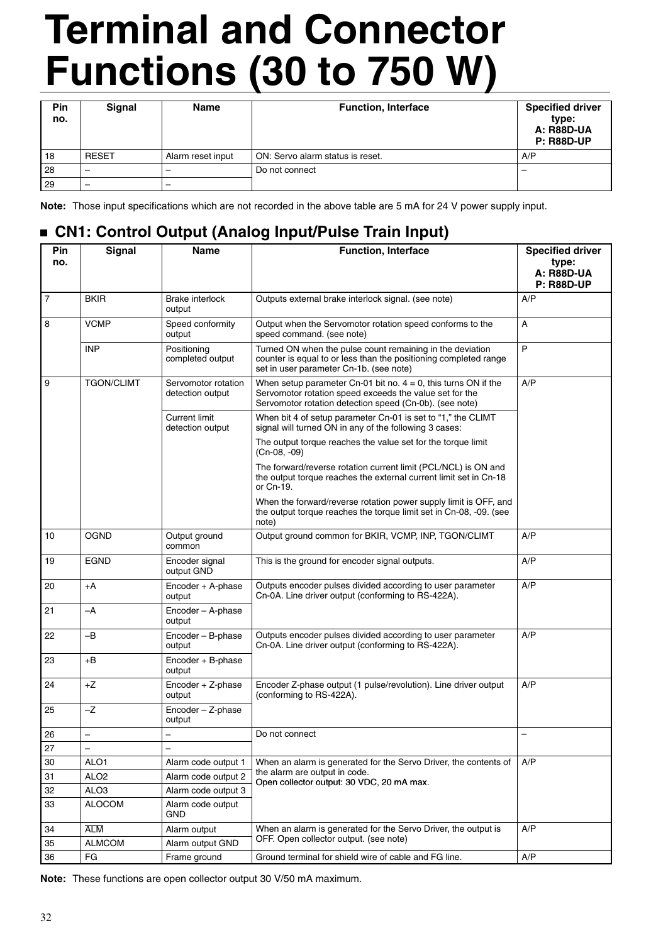| Pin<br>no. | Signal                   | <b>Name</b>              | <b>Function, Interface</b>       | <b>Specified driver</b><br>type:<br><b>A: R88D-UA</b><br><b>P: R88D-UP</b> |
|------------|--------------------------|--------------------------|----------------------------------|----------------------------------------------------------------------------|
| 18         | <b>RESET</b>             | Alarm reset input        | ON: Servo alarm status is reset. | A/P                                                                        |
| 28         | $\overline{\phantom{a}}$ | $\sim$                   | Do not connect                   |                                                                            |
| 29         | -                        | $\overline{\phantom{0}}$ |                                  |                                                                            |

**Note:** Those input specifications which are not recorded in the above table are 5 mA for 24 V power supply input.

### **CN1: Control Output (Analog Input/Pulse Train Input)**

| Pin<br>no. | <b>Signal</b>     | <b>Name</b>                              | <b>Function, Interface</b>                                                                                                                                                              | <b>Specified driver</b><br>type:       |
|------------|-------------------|------------------------------------------|-----------------------------------------------------------------------------------------------------------------------------------------------------------------------------------------|----------------------------------------|
|            |                   |                                          |                                                                                                                                                                                         | <b>A: R88D-UA</b><br><b>P: R88D-UP</b> |
| 7          | <b>BKIR</b>       | Brake interlock<br>output                | Outputs external brake interlock signal. (see note)                                                                                                                                     | A/P                                    |
| 8          | <b>VCMP</b>       | Speed conformity<br>output               | Output when the Servomotor rotation speed conforms to the<br>speed command. (see note)                                                                                                  | A                                      |
|            | <b>INP</b>        | Positioning<br>completed output          | Turned ON when the pulse count remaining in the deviation<br>counter is equal to or less than the positioning completed range<br>set in user parameter Cn-1b. (see note)                | P                                      |
| 9          | <b>TGON/CLIMT</b> | Servomotor rotation<br>detection output  | When setup parameter Cn-01 bit no. $4 = 0$ , this turns ON if the<br>Servomotor rotation speed exceeds the value set for the<br>Servomotor rotation detection speed (Cn-0b). (see note) | A/P                                    |
|            |                   | <b>Current limit</b><br>detection output | When bit 4 of setup parameter Cn-01 is set to "1," the CLIMT<br>signal will turned ON in any of the following 3 cases:                                                                  |                                        |
|            |                   |                                          | The output torque reaches the value set for the torque limit<br>(Cn-08, -09)                                                                                                            |                                        |
|            |                   |                                          | The forward/reverse rotation current limit (PCL/NCL) is ON and<br>the output torque reaches the external current limit set in Cn-18<br>or Cn-19.                                        |                                        |
|            |                   |                                          | When the forward/reverse rotation power supply limit is OFF, and<br>the output torque reaches the torque limit set in Cn-08, -09. (see<br>note)                                         |                                        |
| 10         | <b>OGND</b>       | Output ground<br>common                  | Output ground common for BKIR, VCMP, INP, TGON/CLIMT                                                                                                                                    | A/P                                    |
| 19         | <b>EGND</b>       | Encoder signal<br>output GND             | This is the ground for encoder signal outputs.                                                                                                                                          | A/P                                    |
| 20         | +A                | Encoder + A-phase<br>output              | Outputs encoder pulses divided according to user parameter<br>Cn-0A. Line driver output (conforming to RS-422A).                                                                        | A/P                                    |
| 21         | $-A$              | Encoder - A-phase<br>output              |                                                                                                                                                                                         |                                        |
| 22         | $-B$              | Encoder - B-phase<br>output              | Outputs encoder pulses divided according to user parameter<br>Cn-0A. Line driver output (conforming to RS-422A).                                                                        | A/P                                    |
| 23         | +B                | Encoder + B-phase<br>output              |                                                                                                                                                                                         |                                        |
| 24         | +Z                | Encoder + Z-phase<br>output              | Encoder Z-phase output (1 pulse/revolution). Line driver output<br>(conforming to RS-422A).                                                                                             | A/P                                    |
| 25         | $-Z$              | $Encoder - Z-phase$<br>output            |                                                                                                                                                                                         |                                        |
| 26         | —                 | $\overline{\phantom{0}}$                 | Do not connect                                                                                                                                                                          | -                                      |
| 27         | -                 |                                          |                                                                                                                                                                                         |                                        |
| 30         | ALO1              | Alarm code output 1                      | When an alarm is generated for the Servo Driver, the contents of                                                                                                                        | A/P                                    |
| 31         | ALO <sub>2</sub>  | Alarm code output 2                      | the alarm are output in code.<br>Open collector output: 30 VDC, 20 mA max.                                                                                                              |                                        |
| 32         | ALO <sub>3</sub>  | Alarm code output 3                      |                                                                                                                                                                                         |                                        |
| 33         | <b>ALOCOM</b>     | Alarm code output<br>GND                 |                                                                                                                                                                                         |                                        |
| 34         | <b>ALM</b>        | Alarm output                             | When an alarm is generated for the Servo Driver, the output is                                                                                                                          | A/P                                    |
| 35         | <b>ALMCOM</b>     | Alarm output GND                         | OFF. Open collector output. (see note)                                                                                                                                                  |                                        |
| 36         | FG                | Frame ground                             | Ground terminal for shield wire of cable and FG line.                                                                                                                                   | A/P                                    |

**Note:** These functions are open collector output 30 V/50 mA maximum.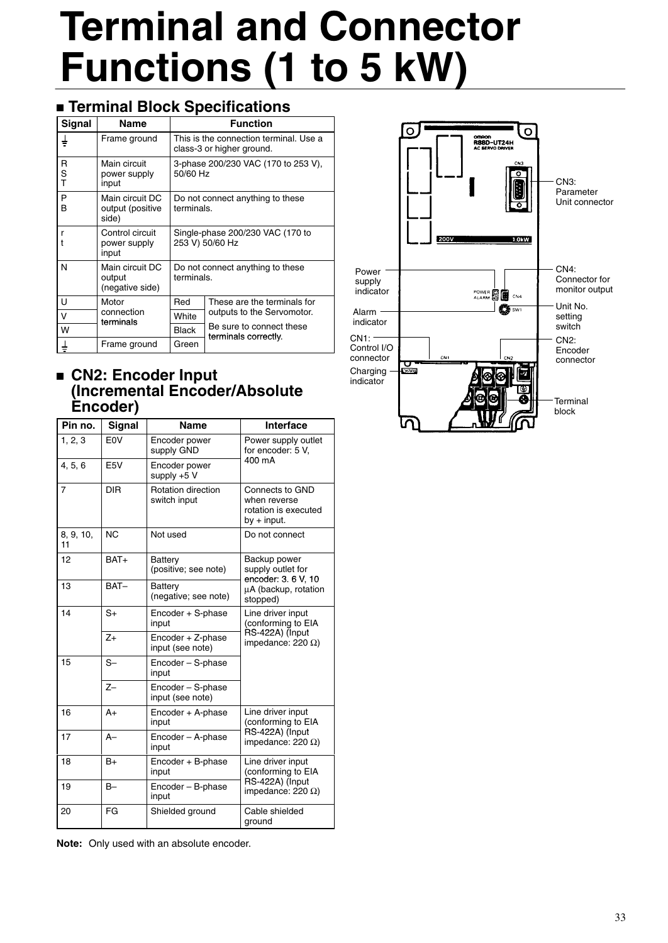## **Terminal Block Specifications**

| <b>Signal</b> | <b>Name</b>                                  |                                                                     | <b>Function</b>                                  |
|---------------|----------------------------------------------|---------------------------------------------------------------------|--------------------------------------------------|
| ∔             | Frame ground                                 | This is the connection terminal. Use a<br>class-3 or higher ground. |                                                  |
| R<br>S<br>T   | Main circuit<br>power supply<br>input        | 3-phase 200/230 VAC (170 to 253 V),<br>50/60 Hz                     |                                                  |
| P<br>B        | Main circuit DC<br>output (positive<br>side) | Do not connect anything to these<br>terminals.                      |                                                  |
| r             | Control circuit<br>power supply<br>input     | Single-phase 200/230 VAC (170 to<br>253 V) 50/60 Hz                 |                                                  |
| N             | Main circuit DC<br>output<br>(negative side) | Do not connect anything to these<br>terminals.                      |                                                  |
| U             | Motor                                        | Red                                                                 | These are the terminals for                      |
| $\vee$        | connection<br>terminals                      | White                                                               | outputs to the Servomotor.                       |
| W             |                                              | <b>Black</b>                                                        | Be sure to connect these<br>terminals correctly. |
|               | Frame ground                                 | Green                                                               |                                                  |

### **CN2: Encoder Input (Incremental Encoder/Absolute Encoder)**

| Pin no.         | Signal           | <b>Name</b>                           | <b>Interface</b>                                                         |  |
|-----------------|------------------|---------------------------------------|--------------------------------------------------------------------------|--|
| 1, 2, 3         | E <sub>0</sub> V | Encoder power<br>supply GND           | Power supply outlet<br>for encoder: 5 V,                                 |  |
| 4, 5, 6         | E5V              | Encoder power<br>supply $+5$ V        | 400 mA                                                                   |  |
| $\overline{7}$  | <b>DIR</b>       | Rotation direction<br>switch input    | Connects to GND<br>when reverse<br>rotation is executed<br>$by + input.$ |  |
| 8, 9, 10,<br>11 | <b>NC</b>        | Not used                              | Do not connect                                                           |  |
| 12              | BAT+             | Battery<br>(positive; see note)       | Backup power<br>supply outlet for<br>encoder: 3.6 V, 10                  |  |
| 13              | BAT-             | Battery<br>(negative; see note)       | µA (backup, rotation<br>stopped)                                         |  |
| 14              | $S+$             | Encoder + S-phase<br>input            | Line driver input<br>(conforming to EIA                                  |  |
|                 | $Z+$             | Encoder + Z-phase<br>input (see note) | RS-422A) (Input<br>impedance: 220 $\Omega$ )                             |  |
| 15              | $S-$             | Encoder - S-phase<br>input            |                                                                          |  |
|                 | $Z-$             | Encoder - S-phase<br>input (see note) |                                                                          |  |
| 16              | $A+$             | Encoder + A-phase<br>input            | Line driver input<br>(conforming to EIA                                  |  |
| 17              | $A-$             | Encoder - A-phase<br>input            | RS-422A) (Input<br>impedance: 220 $\Omega$ )                             |  |
| 18              | $B+$             | Encoder + B-phase<br>input            | Line driver input<br>(conforming to EIA                                  |  |
| 19              | $B -$            | Encoder - B-phase<br>input            | RS-422A) (Input<br>impedance: $220 \Omega$ )                             |  |
| 20              | FG               | Shielded ground                       | Cable shielded<br>ground                                                 |  |

**Note:** Only used with an absolute encoder.

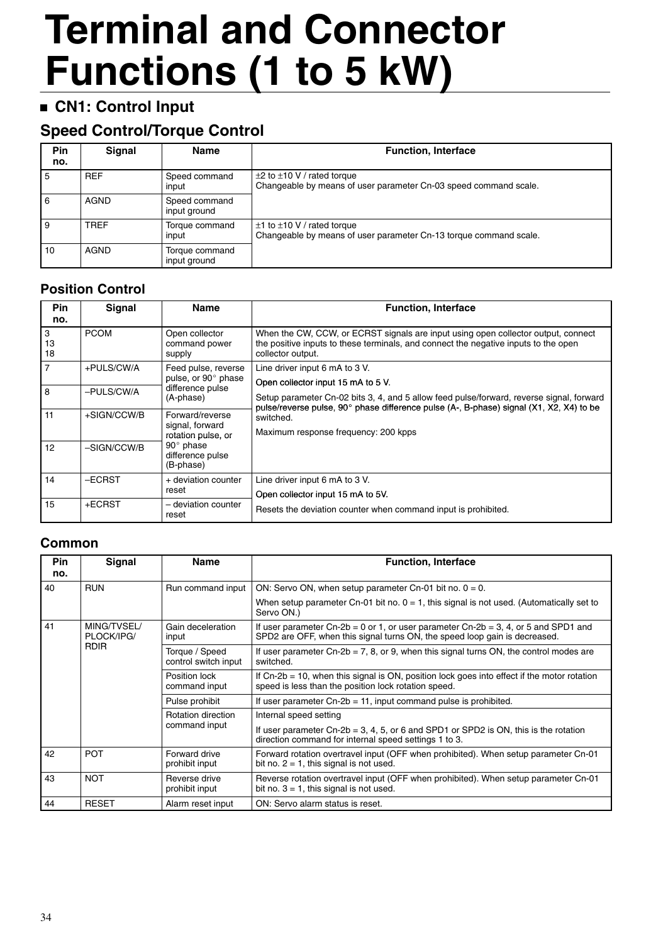## **CN1: Control Input**

## **Speed Control/Torque Control**

| Pin<br>no. | <b>Signal</b> | <b>Name</b>                    | <b>Function, Interface</b>                                                                                |
|------------|---------------|--------------------------------|-----------------------------------------------------------------------------------------------------------|
| 5          | <b>REF</b>    | Speed command<br>input         | $\pm 2$ to $\pm 10$ V / rated torque<br>Changeable by means of user parameter Cn-03 speed command scale.  |
| 6          | <b>AGND</b>   | Speed command<br>input ground  |                                                                                                           |
| 9          | <b>TREF</b>   | Torque command<br>input        | $\pm$ 1 to $\pm$ 10 V / rated torque<br>Changeable by means of user parameter Cn-13 torque command scale. |
| 10         | <b>AGND</b>   | Torque command<br>input ground |                                                                                                           |

### **Position Control**

| <b>Pin</b><br>no. | Signal      | <b>Name</b>                                                             | <b>Function, Interface</b>                                                                                                                                                                                                |
|-------------------|-------------|-------------------------------------------------------------------------|---------------------------------------------------------------------------------------------------------------------------------------------------------------------------------------------------------------------------|
| 3<br>13<br>18     | <b>PCOM</b> | Open collector<br>command power<br>supply                               | When the CW, CCW, or ECRST signals are input using open collector output, connect<br>the positive inputs to these terminals, and connect the negative inputs to the open<br>collector output.                             |
| $\overline{7}$    | +PULS/CW/A  | Feed pulse, reverse<br>pulse, or 90° phase                              | Line driver input 6 mA to 3 V.                                                                                                                                                                                            |
| 8                 | -PULS/CW/A  | difference pulse<br>(A-phase)                                           | Open collector input 15 mA to 5 V.<br>Setup parameter Cn-02 bits 3, 4, and 5 allow feed pulse/forward, reverse signal, forward<br>pulse/reverse pulse, 90° phase difference pulse (A-, B-phase) signal (X1, X2, X4) to be |
| 11                | +SIGN/CCW/B | Forward/reverse<br>signal, forward                                      | switched.<br>Maximum response frequency: 200 kpps                                                                                                                                                                         |
| 12                | -SIGN/CCW/B | rotation pulse, or<br>$90^\circ$ phase<br>difference pulse<br>(B-phase) |                                                                                                                                                                                                                           |
| 14                | -ECRST      | + deviation counter<br>reset                                            | Line driver input 6 mA to 3 V.                                                                                                                                                                                            |
| 15                | +ECRST      | - deviation counter<br>reset                                            | Open collector input 15 mA to 5V.<br>Resets the deviation counter when command input is prohibited.                                                                                                                       |

### **Common**

| <b>Pin</b>                      | Signal       | <b>Name</b>                            | <b>Function, Interface</b>                                                                                                                                        |  |  |
|---------------------------------|--------------|----------------------------------------|-------------------------------------------------------------------------------------------------------------------------------------------------------------------|--|--|
| no.                             |              |                                        |                                                                                                                                                                   |  |  |
| 40                              | <b>RUN</b>   | Run command input                      | ON: Servo ON, when setup parameter Cn-01 bit no. $0 = 0$ .                                                                                                        |  |  |
|                                 |              |                                        | When setup parameter Cn-01 bit no. $0 = 1$ , this signal is not used. (Automatically set to<br>Servo ON.)                                                         |  |  |
| 41<br>MING/TVSEL/<br>PLOCK/IPG/ |              | Gain deceleration<br>input             | If user parameter Cn-2b = 0 or 1, or user parameter Cn-2b = 3, 4, or 5 and SPD1 and<br>SPD2 are OFF, when this signal turns ON, the speed loop gain is decreased. |  |  |
|                                 | <b>RDIR</b>  | Torque / Speed<br>control switch input | If user parameter Cn-2b = $7$ , 8, or 9, when this signal turns ON, the control modes are<br>switched.                                                            |  |  |
|                                 |              | Position lock<br>command input         | If $Cn-2b = 10$ , when this signal is $ON$ , position lock goes into effect if the motor rotation<br>speed is less than the position lock rotation speed.         |  |  |
|                                 |              | Pulse prohibit                         | If user parameter $Cn-2b = 11$ , input command pulse is prohibited.                                                                                               |  |  |
|                                 |              | Rotation direction                     | Internal speed setting                                                                                                                                            |  |  |
|                                 |              | command input                          | If user parameter Cn-2b = 3, 4, 5, or 6 and SPD1 or SPD2 is ON, this is the rotation<br>direction command for internal speed settings 1 to 3.                     |  |  |
| 42                              | <b>POT</b>   | Forward drive<br>prohibit input        | Forward rotation overtravel input (OFF when prohibited). When setup parameter Cn-01<br>bit no. $2 = 1$ , this signal is not used.                                 |  |  |
| 43                              | <b>NOT</b>   | Reverse drive<br>prohibit input        | Reverse rotation overtravel input (OFF when prohibited). When setup parameter Cn-01<br>bit no. $3 = 1$ , this signal is not used.                                 |  |  |
| 44                              | <b>RESET</b> | Alarm reset input                      | ON: Servo alarm status is reset.                                                                                                                                  |  |  |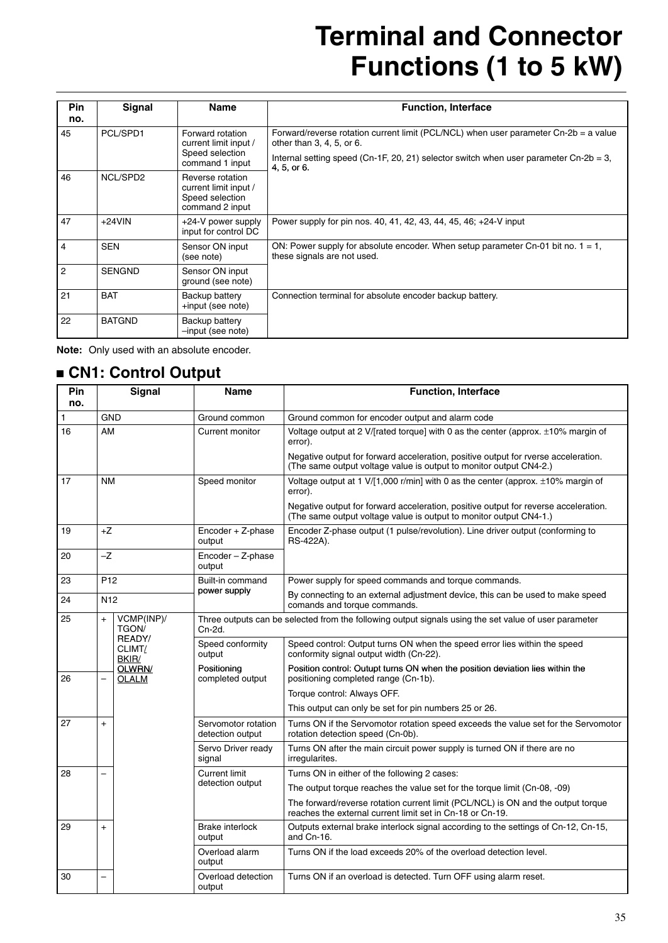| Pin<br>no.     | Signal                                                | <b>Name</b>                                                                     | <b>Function, Interface</b>                                                                                          |
|----------------|-------------------------------------------------------|---------------------------------------------------------------------------------|---------------------------------------------------------------------------------------------------------------------|
| 45             | PCL/SPD1<br>Forward rotation<br>current limit input / |                                                                                 | Forward/reverse rotation current limit (PCL/NCL) when user parameter $Cn-2b = a$ value<br>other than 3, 4, 5, or 6. |
|                |                                                       | Speed selection<br>command 1 input                                              | Internal setting speed (Cn-1F, 20, 21) selector switch when user parameter Cn-2b = 3,<br>4, 5, or 6.                |
| 46             | NCL/SPD2                                              | Reverse rotation<br>current limit input /<br>Speed selection<br>command 2 input |                                                                                                                     |
| 47             | $+24$ VIN                                             | +24-V power supply<br>input for control DC                                      | Power supply for pin nos. 40, 41, 42, 43, 44, 45, 46; +24-V input                                                   |
| $\overline{4}$ | <b>SEN</b>                                            | Sensor ON input<br>(see note)                                                   | ON: Power supply for absolute encoder. When setup parameter Cn-01 bit no. $1 = 1$ ,<br>these signals are not used.  |
| $\overline{2}$ | <b>SENGND</b>                                         | Sensor ON input<br>ground (see note)                                            |                                                                                                                     |
| 21             | <b>BAT</b>                                            | Backup battery<br>+input (see note)                                             | Connection terminal for absolute encoder backup battery.                                                            |
| 22             | <b>BATGND</b>                                         | Backup battery<br>-input (see note)                                             |                                                                                                                     |

**Note:** Only used with an absolute encoder.

### **CN1: Control Output**

| Pin<br>no. |                          | Signal                    | <b>Name</b>                             | <b>Function, Interface</b>                                                                                                                                |  |  |
|------------|--------------------------|---------------------------|-----------------------------------------|-----------------------------------------------------------------------------------------------------------------------------------------------------------|--|--|
| 1          | <b>GND</b>               |                           | Ground common                           | Ground common for encoder output and alarm code                                                                                                           |  |  |
| 16         | AM                       |                           | Current monitor                         | Voltage output at 2 V/[rated torque] with 0 as the center (approx. ±10% margin of<br>error).                                                              |  |  |
|            |                          |                           |                                         | Negative output for forward acceleration, positive output for rverse acceleration.<br>(The same output voltage value is output to monitor output CN4-2.)  |  |  |
| 17         | <b>NM</b>                |                           | Speed monitor                           | Voltage output at 1 V/[1,000 r/min] with 0 as the center (approx. ±10% margin of<br>error).                                                               |  |  |
|            |                          |                           |                                         | Negative output for forward acceleration, positive output for reverse acceleration.<br>(The same output voltage value is output to monitor output CN4-1.) |  |  |
| 19         | $+Z$                     |                           | Encoder + Z-phase<br>output             | Encoder Z-phase output (1 pulse/revolution). Line driver output (conforming to<br>RS-422A).                                                               |  |  |
| 20         | $-Z$                     |                           | Encoder - Z-phase<br>output             |                                                                                                                                                           |  |  |
| 23         | P <sub>12</sub>          |                           | Built-in command                        | Power supply for speed commands and torque commands.                                                                                                      |  |  |
| 24         | N <sub>12</sub>          |                           | power supply                            | By connecting to an external adjustment device, this can be used to make speed<br>comands and torque commands.                                            |  |  |
| 25         | $+$                      | VCMP(INP)/<br>TGON/       | Cn-2d.                                  | Three outputs can be selected from the following output signals using the set value of user parameter                                                     |  |  |
|            |                          | READY/<br>CLIMT/<br>BKIR/ | Speed conformity<br>output              | Speed control: Output turns ON when the speed error lies within the speed<br>conformity signal output width (Cn-22).                                      |  |  |
| 26         | $\overline{\phantom{0}}$ | OLWRN/<br><b>OLALM</b>    | Positioning<br>completed output         | Position control: Outupt turns ON when the position deviation lies within the<br>positioning completed range (Cn-1b).                                     |  |  |
|            |                          |                           |                                         | Torque control: Always OFF.                                                                                                                               |  |  |
|            |                          |                           |                                         | This output can only be set for pin numbers 25 or 26.                                                                                                     |  |  |
| 27         | $+$                      |                           | Servomotor rotation<br>detection output | Turns ON if the Servomotor rotation speed exceeds the value set for the Servomotor<br>rotation detection speed (Cn-0b).                                   |  |  |
|            |                          |                           | Servo Driver ready<br>signal            | Turns ON after the main circuit power supply is turned ON if there are no<br>irregularites.                                                               |  |  |
| 28         | $\overline{\phantom{0}}$ |                           | <b>Current limit</b>                    | Turns ON in either of the following 2 cases:                                                                                                              |  |  |
|            |                          |                           | detection output                        | The output torque reaches the value set for the torque limit (Cn-08, -09)                                                                                 |  |  |
|            |                          |                           |                                         | The forward/reverse rotation current limit (PCL/NCL) is ON and the output torque<br>reaches the external current limit set in Cn-18 or Cn-19.             |  |  |
| 29         | $\ddot{}$                |                           | Brake interlock<br>output               | Outputs external brake interlock signal according to the settings of Cn-12, Cn-15,<br>and Cn-16.                                                          |  |  |
|            | $\overline{a}$           |                           | Overload alarm<br>output                | Turns ON if the load exceeds 20% of the overload detection level.                                                                                         |  |  |
| 30         |                          |                           | Overload detection<br>output            | Turns ON if an overload is detected. Turn OFF using alarm reset.                                                                                          |  |  |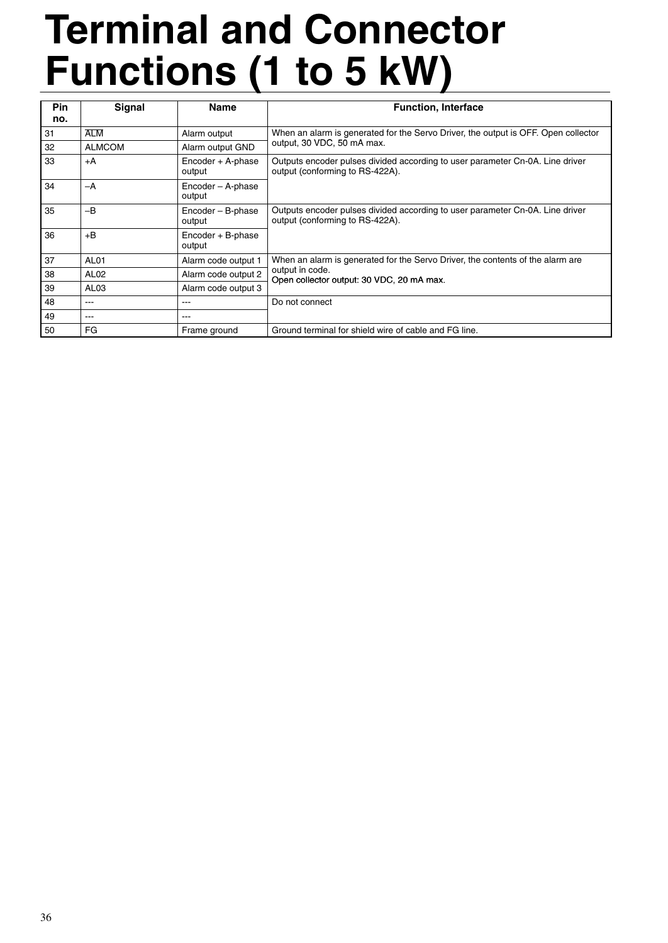| <b>Pin</b><br>no. | Signal           | <b>Name</b>                 | <b>Function, Interface</b>                                                                                       |
|-------------------|------------------|-----------------------------|------------------------------------------------------------------------------------------------------------------|
| 31                | <b>ALM</b>       | Alarm output                | When an alarm is generated for the Servo Driver, the output is OFF. Open collector                               |
| 32                | <b>ALMCOM</b>    | Alarm output GND            | output, 30 VDC, 50 mA max.                                                                                       |
| 33                | +A               | Encoder + A-phase<br>output | Outputs encoder pulses divided according to user parameter Cn-0A. Line driver<br>output (conforming to RS-422A). |
| 34                | $-A$             | Encoder - A-phase<br>output |                                                                                                                  |
| 35                | $-R$             | Encoder - B-phase<br>output | Outputs encoder pulses divided according to user parameter Cn-0A. Line driver<br>output (conforming to RS-422A). |
| 36                | $+B$             | Encoder + B-phase<br>output |                                                                                                                  |
| 37                | AL <sub>01</sub> | Alarm code output 1         | When an alarm is generated for the Servo Driver, the contents of the alarm are                                   |
| 38                | AL <sub>02</sub> | Alarm code output 2         | output in code.<br>Open collector output: 30 VDC, 20 mA max.                                                     |
| 39                | AL <sub>03</sub> | Alarm code output 3         |                                                                                                                  |
| 48                | ---              | $- - -$                     | Do not connect                                                                                                   |
| 49                | ---              | ---                         |                                                                                                                  |
| 50                | FG               | Frame ground                | Ground terminal for shield wire of cable and FG line.                                                            |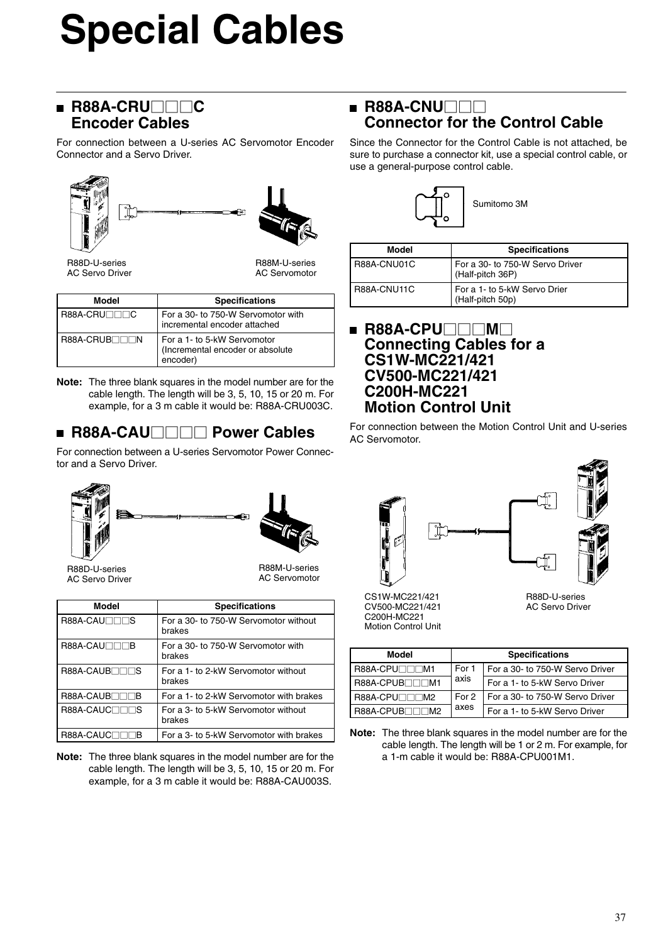# **Special Cables**

### **R88A-CRU**□□C **Encoder Cables**

For connection between a U-series AC Servomotor Encoder Connector and a Servo Driver.



R88D-U-series AC Servo Driver

R88M-U-series AC Servomotor

| <b>Model</b>        | <b>Specifications</b>                                                       |  |  |
|---------------------|-----------------------------------------------------------------------------|--|--|
|                     |                                                                             |  |  |
| <b>R88A-CRU⊟⊟⊟C</b> | For a 30- to 750-W Servomotor with<br>incremental encoder attached          |  |  |
| R88A-CRUB⊟⊟⊟N       | For a 1- to 5-kW Servomotor<br>(Incremental encoder or absolute<br>encoder) |  |  |

**Note:** The three blank squares in the model number are for the cable length. The length will be 3, 5, 10, 15 or 20 m. For example, for a 3 m cable it would be: R88A-CRU003C.

# **R88A-CAU□□□□ Power Cables**

For connection between a U-series Servomotor Power Connector and a Servo Driver.





R88D-U-series AC Servo Driver

R88M-U-series AC Servomotor

| Model                       | <b>Specifications</b>                           |  |  |
|-----------------------------|-------------------------------------------------|--|--|
| R88A-CAU <sub>IIIIS</sub>   | For a 30- to 750-W Servomotor without<br>brakes |  |  |
| <b>R88A-CAU</b> □□□B        | For a 30- to 750-W Servomotor with<br>brakes    |  |  |
| R88A-CAUB <sub>UI</sub>     | For a 1- to 2-kW Servomotor without<br>brakes   |  |  |
| R88A-CAUB <sub>III</sub> IB | For a 1- to 2-kW Servomotor with brakes         |  |  |
| R88A-CAUC <sub>UU</sub> NS  | For a 3- to 5-kW Servomotor without<br>brakes   |  |  |
| R88A-CAUC                   | For a 3- to 5-kW Servomotor with brakes         |  |  |

**Note:** The three blank squares in the model number are for the cable length. The length will be 3, 5, 10, 15 or 20 m. For example, for a 3 m cable it would be: R88A-CAU003S.

### **R88A-CNU**□□□ **Connector for the Control Cable**

Since the Connector for the Control Cable is not attached, be sure to purchase a connector kit, use a special control cable, or use a general-purpose control cable.



| Model       | <b>Specifications</b>                               |  |
|-------------|-----------------------------------------------------|--|
| R88A-CNU01C | For a 30- to 750-W Servo Driver<br>(Half-pitch 36P) |  |
| R88A-CNU11C | For a 1- to 5-kW Servo Drier<br>(Half-pitch 50p)    |  |

### **R88A-CPU**□□M□ **Connecting Cables for a CS1W-MC221/421 CV500-MC221/421 C200H-MC221 Motion Control Unit**

For connection between the Motion Control Unit and U-series AC Servomotor.





AC Servo Driver

CS1W-MC221/421 CV500-MC221/421 C200H-MC221 Motion Control Unit

| Model                  | <b>Specifications</b> |                                 |  |
|------------------------|-----------------------|---------------------------------|--|
| R88A-CPU⊟⊟⊟M1          | For 1                 | For a 30- to 750-W Servo Driver |  |
| <b>R88A-CPUB</b> □□□M1 | axis                  | For a 1- to 5-kW Servo Driver   |  |
| For 2<br>R88A-CPU⊟⊟⊟M2 |                       | For a 30- to 750-W Servo Driver |  |
| R88A-CPUB⊟⊟⊟M2         | axes                  | For a 1- to 5-kW Servo Driver   |  |

**Note:** The three blank squares in the model number are for the cable length. The length will be 1 or 2 m. For example, for a 1-m cable it would be: R88A-CPU001M1.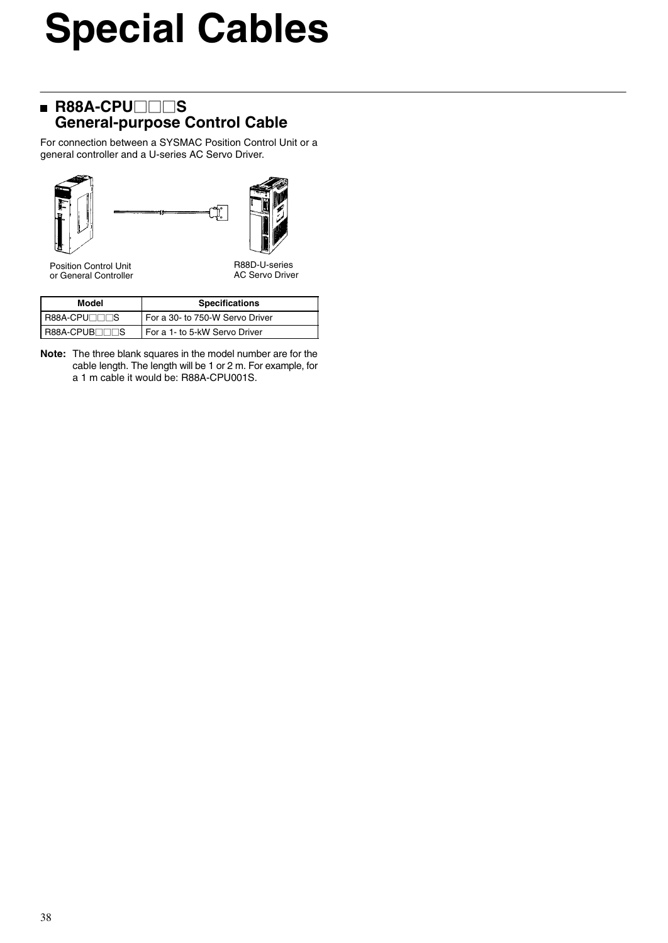# **Special Cables**

### **R88A-CPU**□□S **General-purpose Control Cable**

For connection between a SYSMAC Position Control Unit or a general controller and a U-series AC Servo Driver.





Position Control Unit or General Controller

R88D-U-series AC Servo Driver

| Model                 | <b>Specifications</b>           |
|-----------------------|---------------------------------|
| <b>I R88A-CPU</b> ⊟⊟S | For a 30- to 750-W Servo Driver |
| R88A-CPUB⊟⊟S          | For a 1- to 5-kW Servo Driver   |

**Note:** The three blank squares in the model number are for the cable length. The length will be 1 or 2 m. For example, for a 1 m cable it would be: R88A-CPU001S.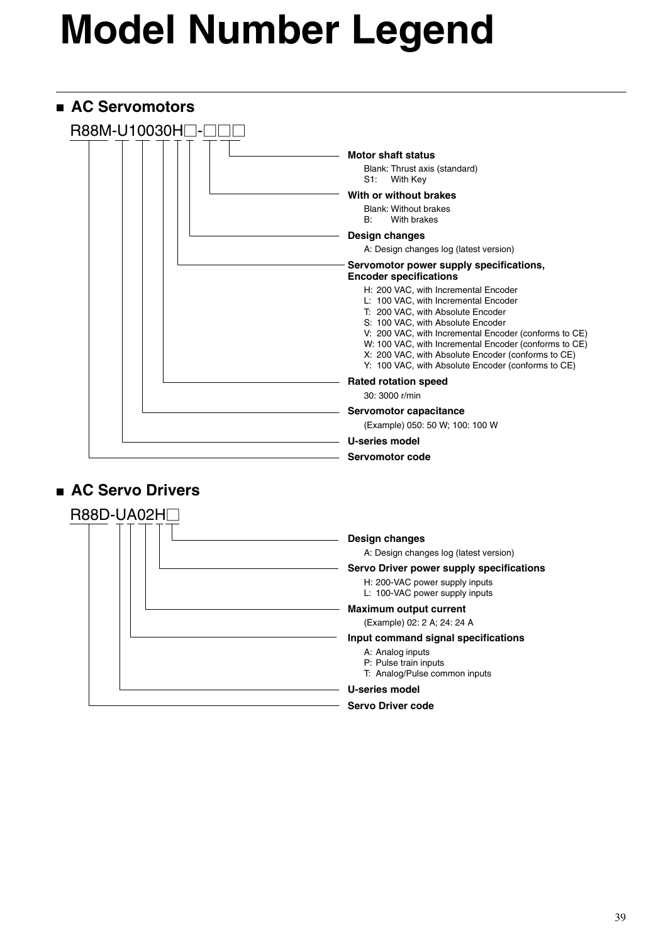# **Model Number Legend**



### **AC Servo Drivers**

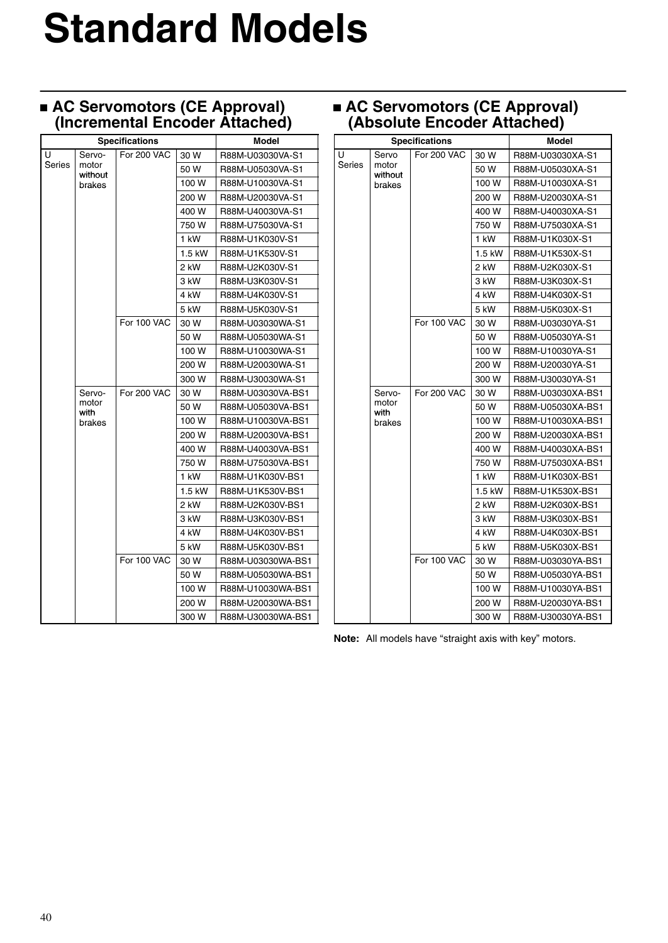# **Standard Models**

### **AC Servomotors (CE Approval) (Incremental Encoder Attached)**

|        |                  | <b>Specifications</b> |          | <b>Model</b>      |
|--------|------------------|-----------------------|----------|-------------------|
| U      | Servo-           | For 200 VAC           | 30 W     | R88M-U03030VA-S1  |
| Series | motor<br>without |                       | 50 W     | R88M-U05030VA-S1  |
|        | brakes           |                       | 100 W    | R88M-U10030VA-S1  |
|        |                  |                       | 200 W    | R88M-U20030VA-S1  |
|        |                  |                       | 400 W    | R88M-U40030VA-S1  |
|        |                  |                       | 750 W    | R88M-U75030VA-S1  |
|        |                  |                       | 1 kW     | R88M-U1K030V-S1   |
|        |                  |                       | $1.5$ kW | R88M-U1K530V-S1   |
|        |                  |                       | 2 kW     | R88M-U2K030V-S1   |
|        |                  |                       | 3 kW     | R88M-U3K030V-S1   |
|        |                  |                       | 4 kW     | R88M-U4K030V-S1   |
|        |                  |                       | 5 kW     | R88M-U5K030V-S1   |
|        |                  | For 100 VAC           | 30 W     | R88M-U03030WA-S1  |
|        |                  |                       | 50 W     | R88M-U05030WA-S1  |
|        |                  |                       | 100 W    | R88M-U10030WA-S1  |
|        |                  |                       | 200 W    | R88M-U20030WA-S1  |
|        |                  |                       | 300 W    | R88M-U30030WA-S1  |
|        | Servo-           | For 200 VAC           | 30 W     | R88M-U03030VA-BS1 |
|        | motor<br>with    |                       | 50 W     | R88M-U05030VA-BS1 |
|        | brakes           |                       | 100 W    | R88M-U10030VA-BS1 |
|        |                  |                       | 200 W    | R88M-U20030VA-BS1 |
|        |                  |                       | 400 W    | R88M-U40030VA-BS1 |
|        |                  |                       | 750 W    | R88M-U75030VA-BS1 |
|        |                  |                       | 1 kW     | R88M-U1K030V-BS1  |
|        |                  |                       | $1.5$ kW | R88M-U1K530V-BS1  |
|        |                  |                       | 2 kW     | R88M-U2K030V-BS1  |
|        |                  |                       | 3 kW     | R88M-U3K030V-BS1  |
|        |                  |                       | 4 kW     | R88M-U4K030V-BS1  |
|        |                  |                       | 5 kW     | R88M-U5K030V-BS1  |
|        |                  | For 100 VAC           | 30 W     | R88M-U03030WA-BS1 |
|        |                  |                       | 50 W     | R88M-U05030WA-BS1 |
|        |                  |                       | 100 W    | R88M-U10030WA-BS1 |
|        |                  |                       | 200 W    | R88M-U20030WA-BS1 |
|        |                  |                       | 300 W    | R88M-U30030WA-BS1 |

### **AC Servomotors (CE Approval) (Absolute Encoder Attached)**

| `      |                  |                       |          |                   |
|--------|------------------|-----------------------|----------|-------------------|
|        |                  | <b>Specifications</b> | Model    |                   |
| Ū      | Servo            | <b>For 200 VAC</b>    | 30 W     | R88M-U03030XA-S1  |
| Series | motor<br>without |                       | 50 W     | R88M-U05030XA-S1  |
|        | brakes           |                       | 100 W    | R88M-U10030XA-S1  |
|        |                  |                       | 200 W    | R88M-U20030XA-S1  |
|        |                  |                       | 400 W    | R88M-U40030XA-S1  |
|        |                  |                       | 750 W    | R88M-U75030XA-S1  |
|        |                  |                       | 1 kW     | R88M-U1K030X-S1   |
|        |                  |                       | 1.5 kW   | R88M-U1K530X-S1   |
|        |                  |                       | 2 kW     | R88M-U2K030X-S1   |
|        |                  |                       | 3 kW     | R88M-U3K030X-S1   |
|        |                  |                       | 4 kW     | R88M-U4K030X-S1   |
|        |                  |                       | 5 kW     | R88M-U5K030X-S1   |
|        |                  | For 100 VAC           | 30 W     | R88M-U03030YA-S1  |
|        |                  |                       | 50 W     | R88M-U05030YA-S1  |
|        |                  |                       | 100 W    | R88M-U10030YA-S1  |
|        |                  |                       | 200 W    | R88M-U20030YA-S1  |
|        |                  |                       | 300 W    | R88M-U30030YA-S1  |
|        | Servo-           | <b>For 200 VAC</b>    | 30 W     | R88M-U03030XA-BS1 |
|        | motor<br>with    |                       | 50 W     | R88M-U05030XA-BS1 |
|        | brakes           |                       | 100 W    | R88M-U10030XA-BS1 |
|        |                  |                       | 200 W    | R88M-U20030XA-BS1 |
|        |                  |                       | 400 W    | R88M-U40030XA-BS1 |
|        |                  |                       | 750 W    | R88M-U75030XA-BS1 |
|        |                  |                       | 1 kW     | R88M-U1K030X-BS1  |
|        |                  |                       | $1.5$ kW | R88M-U1K530X-BS1  |
|        |                  |                       | 2 kW     | R88M-U2K030X-BS1  |
|        |                  |                       | 3 kW     | R88M-U3K030X-BS1  |
|        |                  |                       | 4 kW     | R88M-U4K030X-BS1  |
|        |                  |                       | 5 kW     | R88M-U5K030X-BS1  |
|        |                  | For 100 VAC           | 30 W     | R88M-U03030YA-BS1 |
|        |                  |                       | 50 W     | R88M-U05030YA-BS1 |
|        |                  |                       | 100 W    | R88M-U10030YA-BS1 |
|        |                  |                       | 200 W    | R88M-U20030YA-BS1 |
|        |                  |                       | 300 W    | R88M-U30030YA-BS1 |

**Note:** All models have "straight axis with key" motors.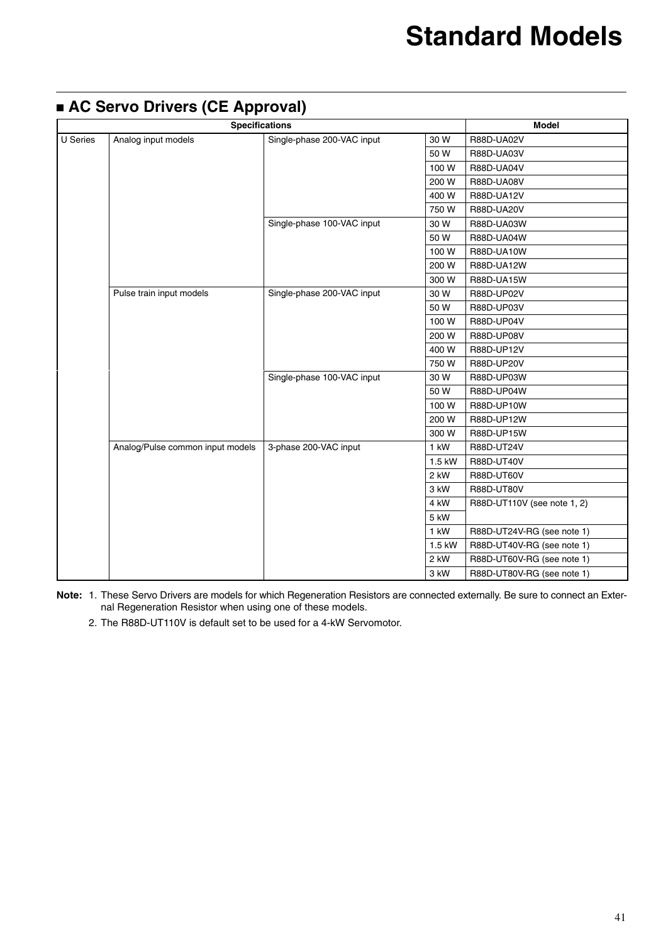|                 | . .<br><b>Specifications</b>                      | <b>Model</b>               |        |                             |
|-----------------|---------------------------------------------------|----------------------------|--------|-----------------------------|
| <b>U</b> Series | Analog input models<br>Single-phase 200-VAC input |                            |        | R88D-UA02V                  |
|                 |                                                   |                            | 50 W   | R88D-UA03V                  |
|                 |                                                   |                            | 100W   | R88D-UA04V                  |
|                 |                                                   |                            | 200 W  | R88D-UA08V                  |
|                 |                                                   |                            | 400 W  | R88D-UA12V                  |
|                 |                                                   |                            | 750W   | R88D-UA20V                  |
|                 |                                                   | Single-phase 100-VAC input | 30 W   | R88D-UA03W                  |
|                 |                                                   |                            | 50 W   | R88D-UA04W                  |
|                 |                                                   |                            | 100W   | R88D-UA10W                  |
|                 |                                                   |                            | 200 W  | R88D-UA12W                  |
|                 |                                                   |                            | 300 W  | R88D-UA15W                  |
|                 | Pulse train input models                          | Single-phase 200-VAC input | 30 W   | R88D-UP02V                  |
|                 |                                                   |                            | 50 W   | R88D-UP03V                  |
|                 |                                                   |                            | 100W   | R88D-UP04V                  |
|                 |                                                   |                            | 200 W  | R88D-UP08V                  |
|                 |                                                   |                            | 400 W  | R88D-UP12V                  |
|                 |                                                   |                            | 750W   | R88D-UP20V                  |
|                 |                                                   | Single-phase 100-VAC input | 30 W   | R88D-UP03W                  |
|                 |                                                   |                            | 50 W   | R88D-UP04W                  |
|                 |                                                   |                            | 100W   | R88D-UP10W                  |
|                 |                                                   |                            | 200 W  | R88D-UP12W                  |
|                 |                                                   |                            | 300 W  | R88D-UP15W                  |
|                 | Analog/Pulse common input models                  | 3-phase 200-VAC input      | 1 kW   | R88D-UT24V                  |
|                 |                                                   |                            | 1.5 kW | R88D-UT40V                  |
|                 |                                                   |                            | 2 kW   | R88D-UT60V                  |
|                 |                                                   |                            | 3 kW   | R88D-UT80V                  |
|                 |                                                   |                            | 4 kW   | R88D-UT110V (see note 1, 2) |
|                 |                                                   |                            | 5 kW   |                             |
|                 |                                                   |                            | $1$ kW | R88D-UT24V-RG (see note 1)  |
|                 |                                                   |                            | 1.5 kW | R88D-UT40V-RG (see note 1)  |
|                 |                                                   |                            | 2 kW   | R88D-UT60V-RG (see note 1)  |
|                 |                                                   |                            | 3 kW   | R88D-UT80V-RG (see note 1)  |

### **AC Servo Drivers (CE Approval)**

**Note:** 1. These Servo Drivers are models for which Regeneration Resistors are connected externally. Be sure to connect an External Regeneration Resistor when using one of these models.

2. The R88D-UT110V is default set to be used for a 4-kW Servomotor.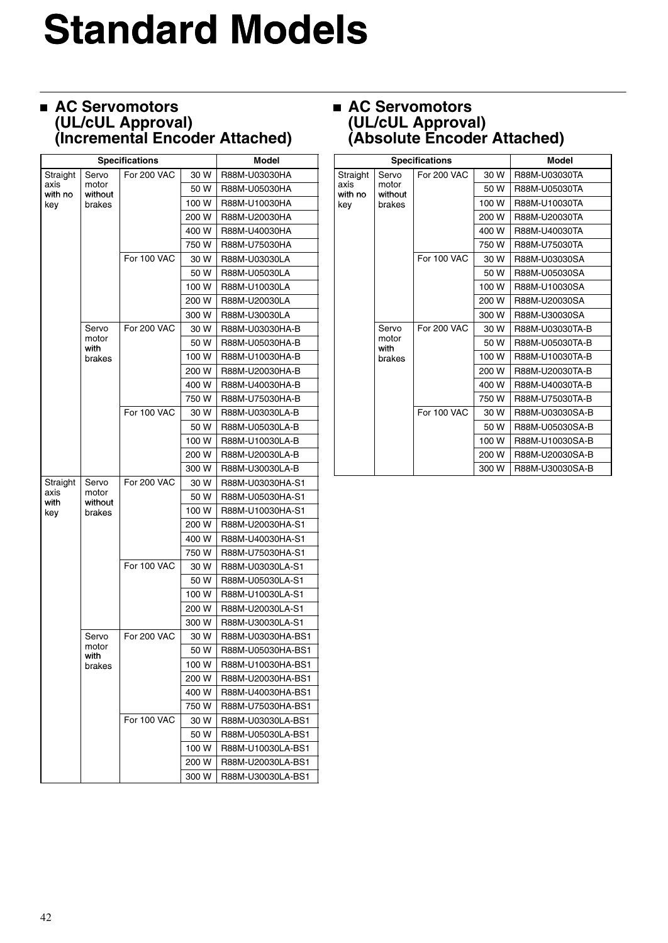# **Standard Models**

### **AC Servomotors (UL/cUL Approval) (Incremental Encoder Attached)**

| <b>Specifications</b> |                  |                    |       | Model             |
|-----------------------|------------------|--------------------|-------|-------------------|
| Straight              | Servo            | For 200 VAC        | 30 W  | R88M-U03030HA     |
| axis<br>with no       | motor<br>without |                    | 50 W  | R88M-U05030HA     |
| key                   | brakes           |                    | 100 W | R88M-U10030HA     |
|                       |                  |                    | 200 W | R88M-U20030HA     |
|                       |                  |                    | 400 W | R88M-U40030HA     |
|                       |                  |                    | 750 W | R88M-U75030HA     |
|                       |                  | For 100 VAC        | 30 W  | R88M-U03030LA     |
|                       |                  |                    | 50 W  | R88M-U05030LA     |
|                       |                  |                    | 100 W | R88M-U10030LA     |
|                       |                  |                    | 200 W | R88M-U20030LA     |
|                       |                  |                    | 300 W | R88M-U30030LA     |
|                       | Servo            | <b>For 200 VAC</b> | 30 W  | R88M-U03030HA-B   |
|                       | motor<br>with    |                    | 50 W  | R88M-U05030HA-B   |
|                       | brakes           |                    | 100 W | R88M-U10030HA-B   |
|                       |                  |                    | 200 W | R88M-U20030HA-B   |
|                       |                  |                    | 400 W | R88M-U40030HA-B   |
|                       |                  |                    | 750 W | R88M-U75030HA-B   |
|                       |                  | For 100 VAC        | 30 W  | R88M-U03030LA-B   |
|                       |                  |                    | 50 W  | R88M-U05030LA-B   |
|                       |                  |                    | 100 W | R88M-U10030LA-B   |
|                       |                  |                    | 200 W | R88M-U20030LA-B   |
|                       |                  |                    | 300 W | R88M-U30030LA-B   |
| Straight              | Servo            | For 200 VAC        | 30 W  | R88M-U03030HA-S1  |
| axis<br>with          | motor<br>without |                    | 50 W  | R88M-U05030HA-S1  |
| key                   | brakes           |                    | 100 W | R88M-U10030HA-S1  |
|                       |                  |                    | 200 W | R88M-U20030HA-S1  |
|                       |                  |                    | 400 W | R88M-U40030HA-S1  |
|                       |                  |                    | 750 W | R88M-U75030HA-S1  |
|                       |                  | For 100 VAC        | 30 W  | R88M-U03030LA-S1  |
|                       |                  |                    | 50 W  | R88M-U05030LA-S1  |
|                       |                  |                    | 100 W | R88M-U10030LA-S1  |
|                       |                  |                    | 200 W | R88M-U20030LA-S1  |
|                       |                  |                    | 300 W | R88M-U30030LA-S1  |
|                       | Servo            | For 200 VAC        | 30 W  | R88M-U03030HA-BS1 |
|                       | motor<br>with    |                    | 50 W  | R88M-U05030HA-BS1 |
|                       | brakes           |                    | 100 W | R88M-U10030HA-BS1 |
|                       |                  |                    | 200 W | R88M-U20030HA-BS1 |
|                       |                  |                    | 400 W | R88M-U40030HA-BS1 |
|                       |                  |                    | 750 W | R88M-U75030HA-BS1 |
|                       |                  | For 100 VAC        | 30 W  | R88M-U03030LA-BS1 |
|                       |                  |                    | 50 W  | R88M-U05030LA-BS1 |
|                       |                  |                    | 100 W | R88M-U10030LA-BS1 |
|                       |                  |                    | 200 W | R88M-U20030LA-BS1 |
|                       |                  |                    | 300 W | R88M-U30030LA-BS1 |

### **AC Servomotors (UL/cUL Approval) (Absolute Encoder Attached)**

|                 |                  | <b>Specifications</b> |       | <b>Model</b>    |
|-----------------|------------------|-----------------------|-------|-----------------|
| Straight        | Servo            | <b>For 200 VAC</b>    | 30 W  | R88M-U03030TA   |
| axis<br>with no | motor<br>without |                       | 50 W  | R88M-U05030TA   |
| key             | brakes           |                       | 100 W | R88M-U10030TA   |
|                 |                  |                       | 200 W | R88M-U20030TA   |
|                 |                  |                       | 400 W | R88M-U40030TA   |
|                 |                  |                       | 750 W | R88M-U75030TA   |
|                 |                  | For 100 VAC           | 30 W  | R88M-U03030SA   |
|                 |                  |                       | 50 W  | R88M-U05030SA   |
|                 |                  |                       | 100 W | R88M-U10030SA   |
|                 |                  |                       | 200 W | R88M-U20030SA   |
|                 |                  |                       | 300 W | R88M-U30030SA   |
|                 | Servo            | <b>For 200 VAC</b>    | 30 W  | R88M-U03030TA-B |
|                 | motor<br>with    |                       | 50 W  | R88M-U05030TA-B |
|                 | brakes           |                       | 100 W | R88M-U10030TA-B |
|                 |                  |                       | 200 W | R88M-U20030TA-B |
|                 |                  |                       | 400 W | R88M-U40030TA-B |
|                 |                  |                       | 750 W | R88M-U75030TA-B |
|                 |                  | For 100 VAC           | 30 W  | R88M-U03030SA-B |
|                 |                  |                       | 50 W  | R88M-U05030SA-B |
|                 |                  |                       | 100W  | R88M-U10030SA-B |
|                 |                  |                       | 200 W | R88M-U20030SA-B |
|                 |                  |                       | 300 W | R88M-U30030SA-B |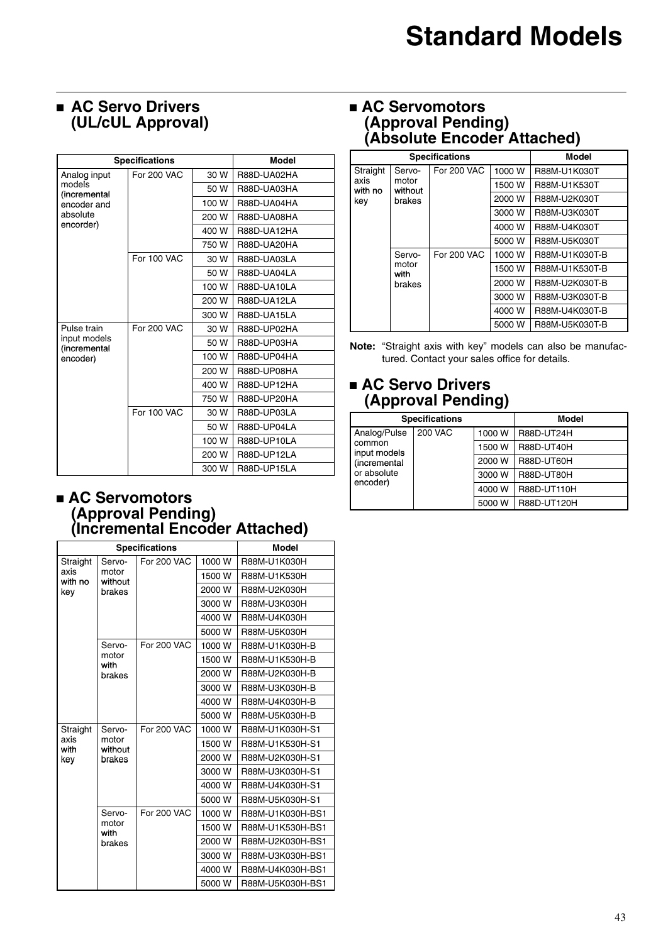### **AC Servo Drivers (UL/cUL Approval)**

|                              | <b>Specifications</b> |       | <b>Model</b>       |
|------------------------------|-----------------------|-------|--------------------|
| Analog input                 | For 200 VAC           | 30 W  | R88D-UA02HA        |
| models<br>(incremental       |                       | 50 W  | R88D-UA03HA        |
| encoder and                  |                       | 100 W | R88D-UA04HA        |
| absolute                     |                       | 200 W | R88D-UA08HA        |
| encorder)                    |                       | 400 W | R88D-UA12HA        |
|                              |                       | 750 W | R88D-UA20HA        |
|                              | For 100 VAC           | 30 W  | R88D-UA03LA        |
|                              |                       | 50 W  | R88D-UA04LA        |
|                              |                       | 100 W | R88D-UA10LA        |
|                              |                       | 200 W | R88D-UA12LA        |
|                              |                       | 300 W | R88D-UA15LA        |
| Pulse train                  | <b>For 200 VAC</b>    | 30 W  | R88D-UP02HA        |
| input models<br>(incremental |                       | 50 W  | R88D-UP03HA        |
| encoder)                     |                       | 100 W | R88D-UP04HA        |
|                              |                       | 200 W | R88D-UP08HA        |
|                              |                       | 400 W | R88D-UP12HA        |
|                              |                       | 750W  | R88D-UP20HA        |
|                              | <b>For 100 VAC</b>    | 30 W  | R88D-UP03LA        |
|                              |                       | 50 W  | R88D-UP04LA        |
|                              |                       | 100 W | R88D-UP10LA        |
|                              |                       | 200 W | R88D-UP12LA        |
|                              |                       | 300 W | <b>R88D-UP15LA</b> |

### **AC Servomotors (Approval Pending) (Incremental Encoder Attached)**

|                 | <b>Specifications</b> | <b>Model</b>       |        |                  |
|-----------------|-----------------------|--------------------|--------|------------------|
| Straight        | Servo-                | <b>For 200 VAC</b> | 1000 W | R88M-U1K030H     |
| axis<br>with no | motor<br>without      |                    | 1500 W | R88M-U1K530H     |
| key             | brakes                |                    | 2000 W | R88M-U2K030H     |
|                 |                       |                    | 3000 W | R88M-U3K030H     |
|                 |                       |                    | 4000 W | R88M-U4K030H     |
|                 |                       |                    | 5000 W | R88M-U5K030H     |
|                 | Servo-                | <b>For 200 VAC</b> | 1000 W | R88M-U1K030H-B   |
|                 | motor<br>with         |                    | 1500 W | R88M-U1K530H-B   |
|                 | brakes                |                    | 2000 W | R88M-U2K030H-B   |
|                 |                       |                    | 3000 W | R88M-U3K030H-B   |
|                 |                       |                    | 4000 W | R88M-U4K030H-B   |
|                 |                       |                    | 5000 W | R88M-U5K030H-B   |
| Straight        | Servo-                | <b>For 200 VAC</b> | 1000 W | R88M-U1K030H-S1  |
| axis<br>with    | motor<br>without      |                    | 1500 W | R88M-U1K530H-S1  |
| key             | brakes                |                    | 2000 W | R88M-U2K030H-S1  |
|                 |                       |                    | 3000 W | R88M-U3K030H-S1  |
|                 |                       |                    | 4000 W | R88M-U4K030H-S1  |
|                 |                       |                    | 5000 W | R88M-U5K030H-S1  |
|                 | Servo-                | <b>For 200 VAC</b> | 1000 W | R88M-U1K030H-BS1 |
|                 | motor<br>with         |                    | 1500 W | R88M-U1K530H-BS1 |
|                 | brakes                |                    | 2000 W | R88M-U2K030H-BS1 |
|                 |                       |                    | 3000 W | R88M-U3K030H-BS1 |
|                 |                       |                    | 4000 W | R88M-U4K030H-BS1 |
|                 |                       |                    | 5000 W | R88M-U5K030H-BS1 |

### **AC Servomotors (Approval Pending) (Absolute Encoder Attached)**

|                 | <b>Specifications</b>             | Model              |        |                |
|-----------------|-----------------------------------|--------------------|--------|----------------|
| Straight        | Servo-                            | For 200 VAC        | 1000 W | R88M-U1K030T   |
| axis<br>with no | motor<br>without                  |                    | 1500 W | R88M-U1K530T   |
| key             | brakes                            |                    | 2000 W | R88M-U2K030T   |
|                 |                                   |                    | 3000 W | R88M-U3K030T   |
|                 |                                   |                    | 4000 W | R88M-U4K030T   |
|                 |                                   |                    | 5000 W | R88M-U5K030T   |
|                 | Servo-<br>motor<br>with<br>brakes | <b>For 200 VAC</b> | 1000 W | R88M-U1K030T-B |
|                 |                                   |                    | 1500 W | R88M-U1K530T-B |
|                 |                                   |                    | 2000 W | R88M-U2K030T-B |
|                 |                                   |                    | 3000 W | R88M-U3K030T-B |
|                 |                                   |                    | 4000 W | R88M-U4K030T-B |
|                 |                                   |                    | 5000 W | R88M-U5K030T-B |

**Note:** "Straight axis with key" models can also be manufactured. Contact your sales office for details.

### **AC Servo Drivers (Approval Pending)**

| <b>Specifications</b>  |                |        | Model             |
|------------------------|----------------|--------|-------------------|
| Analog/Pulse           | <b>200 VAC</b> | 1000 W | R88D-UT24H        |
| common<br>input models |                | 1500 W | <b>R88D-UT40H</b> |
| (incremental           |                | 2000 W | R88D-UT60H        |
| or absolute            |                | 3000 W | <b>R88D-UT80H</b> |
| encoder)               |                | 4000 W | R88D-UT110H       |
|                        |                | 5000 W | R88D-UT120H       |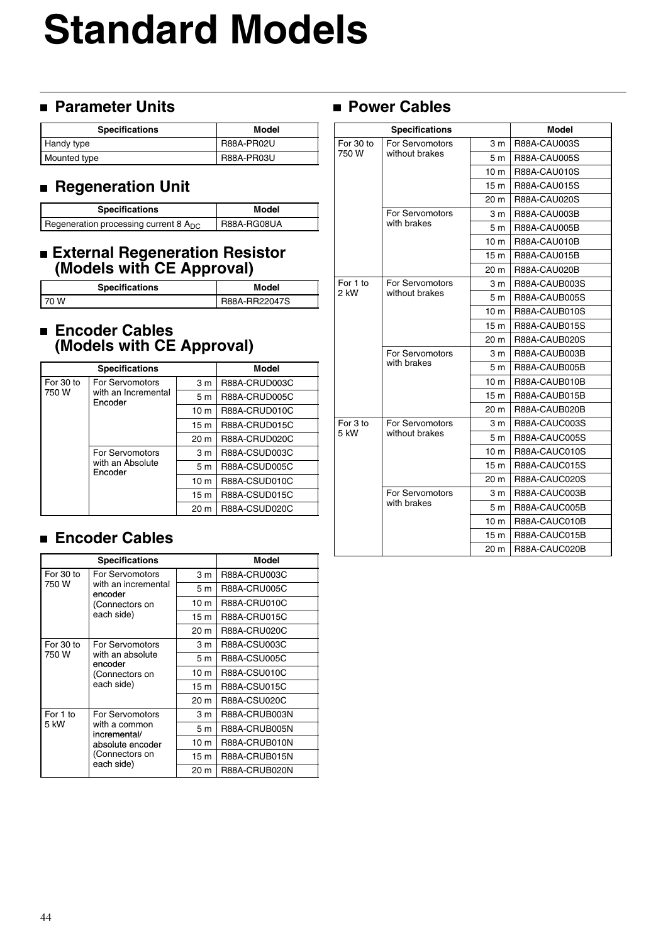# **Standard Models**

### **Parameter Units**

| <b>Specifications</b> | Model      |
|-----------------------|------------|
| Handy type            | R88A-PR02U |
| Mounted type          | R88A-PR03U |

### **Regeneration Unit**

| <b>Specifications</b>                      | Model       |
|--------------------------------------------|-------------|
| Regeneration processing current 8 $A_{DC}$ | R88A-RG08UA |

### **External Regeneration Resistor (Models with CE Approval)**

| <b>Specifications</b> | Model         |
|-----------------------|---------------|
| I 70 W                | R88A-RR22047S |

### **Encoder Cables (Models with CE Approval)**

|           | <b>Specifications</b>                             | <b>Model</b>    |               |
|-----------|---------------------------------------------------|-----------------|---------------|
| For 30 to | For Servomotors<br>with an Incremental<br>Encoder | 3 <sub>m</sub>  | R88A-CRUD003C |
| 750 W     |                                                   | 5 <sub>m</sub>  | R88A-CRUD005C |
|           |                                                   | 10 <sub>m</sub> | R88A-CRUD010C |
|           |                                                   | 15 <sub>m</sub> | R88A-CRUD015C |
|           |                                                   | 20 <sub>m</sub> | R88A-CRUD020C |
|           | For Servomotors                                   | 3 <sub>m</sub>  | R88A-CSUD003C |
|           | with an Absolute<br>Encoder                       | 5 <sub>m</sub>  | R88A-CSUD005C |
|           |                                                   | 10 <sub>m</sub> | R88A-CSUD010C |
|           |                                                   | 15 <sub>m</sub> | R88A-CSUD015C |
|           |                                                   | 20 m            | R88A-CSUD020C |

### **Encoder Cables**

| <b>Specifications</b> |                                                                                                      |                 | Model         |
|-----------------------|------------------------------------------------------------------------------------------------------|-----------------|---------------|
| For 30 to             | For Servomotors<br>with an incremental<br>encoder                                                    | 3 <sub>m</sub>  | R88A-CRU003C  |
| 750 W                 |                                                                                                      | 5 <sub>m</sub>  | R88A-CRU005C  |
|                       | (Connectors on                                                                                       | 10 <sub>m</sub> | R88A-CRU010C  |
|                       | each side)                                                                                           | 15 <sub>m</sub> | R88A-CRU015C  |
|                       |                                                                                                      | 20 m            | R88A-CRU020C  |
| For 30 to<br>750 W    | For Servomotors<br>with an absolute<br>encoder<br>(Connectors on                                     | 3 m             | R88A-CSU003C  |
|                       |                                                                                                      | 5 m             | R88A-CSU005C  |
|                       |                                                                                                      | 10 <sub>m</sub> | R88A-CSU010C  |
|                       | each side)                                                                                           | 15 <sub>m</sub> | R88A-CSU015C  |
|                       |                                                                                                      | 20 m            | R88A-CSU020C  |
| For 1 to<br>5 kW      | For Servomotors<br>with a common<br>incremental/<br>absolute encoder<br>(Connectors on<br>each side) | 3 <sub>m</sub>  | R88A-CRUB003N |
|                       |                                                                                                      | 5m              | R88A-CRUB005N |
|                       |                                                                                                      | 10 <sub>m</sub> | R88A-CRUB010N |
|                       |                                                                                                      | 15 m            | R88A-CRUB015N |
|                       |                                                                                                      | 20 m            | R88A-CRUB020N |

## **Power Cables**

| <b>Specifications</b> |                                   |                 | <b>Model</b>         |
|-----------------------|-----------------------------------|-----------------|----------------------|
| For 30 to             | For Servomotors                   | 3 <sub>m</sub>  | R88A-CAU003S         |
| 750 W                 | without brakes                    | 5 m             | <b>R88A-CAU005S</b>  |
|                       |                                   | 10 <sub>m</sub> | R88A-CAU010S         |
|                       |                                   | 15 <sub>m</sub> | <b>R88A-CAU015S</b>  |
|                       |                                   | 20 m            | <b>R88A-CAU020S</b>  |
|                       | For Servomotors<br>with brakes    | 3 m             | R88A-CAU003B         |
|                       |                                   | 5 m             | <b>R88A-CAU005B</b>  |
|                       |                                   | 10 <sub>m</sub> | R88A-CAU010B         |
|                       |                                   | 15 <sub>m</sub> | <b>R88A-CAU015B</b>  |
|                       |                                   | 20 m            | R88A-CAU020B         |
| For 1 to              | For Servomotors                   | 3 m             | R88A-CAUB003S        |
| 2 kW                  | without brakes                    | 5 <sub>m</sub>  | <b>R88A-CAUB005S</b> |
|                       |                                   | 10 <sub>m</sub> | R88A-CAUB010S        |
|                       |                                   | 15 m            | <b>R88A-CAUB015S</b> |
|                       |                                   | 20 m            | R88A-CAUB020S        |
|                       | For Servomotors<br>with brakes    | 3 m             | R88A-CAUB003B        |
|                       |                                   | 5 m             | R88A-CAUB005B        |
|                       |                                   | 10 <sub>m</sub> | R88A-CAUB010B        |
|                       |                                   | 15 m            | R88A-CAUB015B        |
|                       |                                   | 20 m            | R88A-CAUB020B        |
| For 3 to              | For Servomotors<br>without brakes | 3 m             | R88A-CAUC003S        |
| 5 kW                  |                                   | 5 m             | <b>R88A-CAUC005S</b> |
|                       |                                   | 10 m            | R88A-CAUC010S        |
|                       |                                   | 15 m            | R88A-CAUC015S        |
|                       |                                   | 20 m            | R88A-CAUC020S        |
|                       | For Servomotors<br>with brakes    | 3 m             | R88A-CAUC003B        |
|                       |                                   | 5 m             | R88A-CAUC005B        |
|                       |                                   | 10 <sub>m</sub> | R88A-CAUC010B        |
|                       |                                   | 15 m            | R88A-CAUC015B        |
|                       |                                   | 20 m            | R88A-CAUC020B        |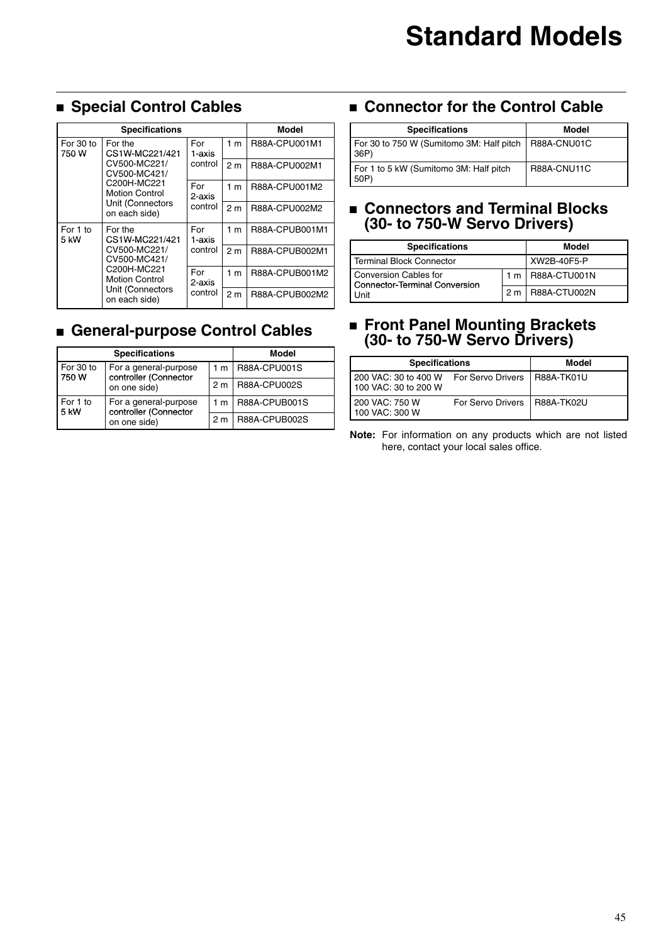## **Special Control Cables**

| <b>Specifications</b>                                                                                                                                        |               |                | Model          |                |
|--------------------------------------------------------------------------------------------------------------------------------------------------------------|---------------|----------------|----------------|----------------|
| For 30 to<br>For the<br>750 W<br>CS1W-MC221/421<br>CV500-MC221/<br>CV500-MC421/<br>C200H-MC221<br><b>Motion Control</b><br>Unit (Connectors<br>on each side) |               | For<br>1-axis  | 1 <sub>m</sub> | R88A-CPU001M1  |
|                                                                                                                                                              | control       | 2 <sub>m</sub> | R88A-CPU002M1  |                |
|                                                                                                                                                              | For<br>2-axis | 1 <sub>m</sub> | R88A-CPU001M2  |                |
|                                                                                                                                                              | control       | 2 <sub>m</sub> | R88A-CPU002M2  |                |
| For 1 to<br>For the<br>CS1W-MC221/421<br>5 kW<br>CV500-MC221/<br>CV500-MC421/<br>C200H-MC221<br><b>Motion Control</b><br>Unit (Connectors<br>on each side)   | For<br>1-axis | 1 <sub>m</sub> | R88A-CPUB001M1 |                |
|                                                                                                                                                              | control       | 2 <sub>m</sub> | R88A-CPUB002M1 |                |
|                                                                                                                                                              |               | For<br>2-axis  | 1 <sub>m</sub> | R88A-CPUB001M2 |
|                                                                                                                                                              | control       | 2 <sub>m</sub> | R88A-CPUB002M2 |                |

# **General-purpose Control Cables**

| <b>Specifications</b>                                                               |                | <b>Model</b>  |
|-------------------------------------------------------------------------------------|----------------|---------------|
| For 30 to<br>For a general-purpose<br>controller (Connector<br>750W<br>on one side) | 1 m            | R88A-CPU001S  |
|                                                                                     | 2 <sub>m</sub> | R88A-CPU002S  |
| For 1 to<br>For a general-purpose<br>controller (Connector<br>5 kW<br>on one side)  | 1 m            | R88A-CPUB001S |
|                                                                                     | 2 m            | R88A-CPUB002S |

### **Connector for the Control Cable**

| <b>Specifications</b>                                         | Model       |
|---------------------------------------------------------------|-------------|
| For 30 to 750 W (Sumitomo 3M: Half pitch   R88A-CNU01C<br>36P |             |
| For 1 to 5 kW (Sumitomo 3M: Half pitch<br>50P)                | R88A-CNU11C |

### **Connectors and Terminal Blocks (30- to 750-W Servo Drivers)**

| <b>Specifications</b>                                  |  | Model              |
|--------------------------------------------------------|--|--------------------|
| Terminal Block Connector                               |  | XW2B-40F5-P        |
| Conversion Cables for<br>Connector-Terminal Conversion |  | 1 m   R88A-CTU001N |
| Unit                                                   |  | 2 m   R88A-CTU002N |

### **Front Panel Mounting Brackets (30- to 750-W Servo Drivers)**

| <b>Specifications</b>                        |                          | Model             |
|----------------------------------------------|--------------------------|-------------------|
| 200 VAC: 30 to 400 W<br>100 VAC: 30 to 200 W | <b>For Servo Drivers</b> | I R88A-TK01U      |
| 200 VAC: 750 W<br>100 VAC: 300 W             | For Servo Drivers        | <b>R88A-TK02U</b> |

**Note:** For information on any products which are not listed here, contact your local sales office.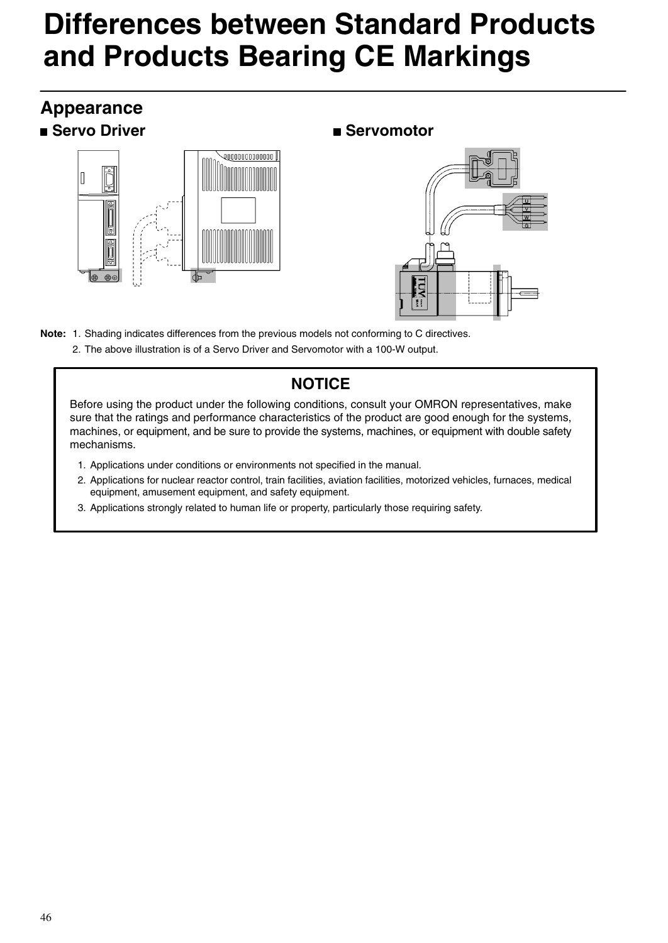# **Differences between Standard Products and Products Bearing CE Markings**

## **Appearance Example 3** Servo Driver Servomotor





- **Note:** 1. Shading indicates differences from the previous models not conforming to C directives.
	- 2. The above illustration is of a Servo Driver and Servomotor with a 100-W output.

### **NOTICE**

Before using the product under the following conditions, consult your OMRON representatives, make sure that the ratings and performance characteristics of the product are good enough for the systems, machines, or equipment, and be sure to provide the systems, machines, or equipment with double safety mechanisms.

- 1. Applications under conditions or environments not specified in the manual.
- 2. Applications for nuclear reactor control, train facilities, aviation facilities, motorized vehicles, furnaces, medical equipment, amusement equipment, and safety equipment.
- 3. Applications strongly related to human life or property, particularly those requiring safety.